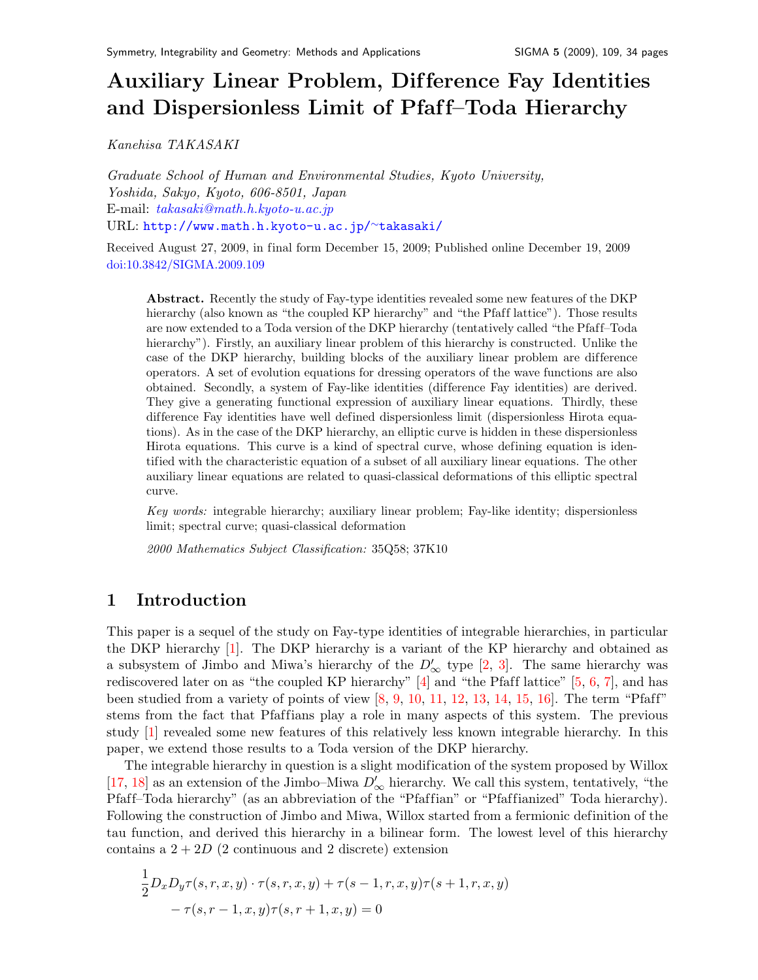# Auxiliary Linear Problem, Dif ference Fay Identities and Dispersionless Limit of Pfaff–Toda Hierarchy

Kanehisa TAKASAKI

Graduate School of Human and Environmental Studies, Kyoto University, Yoshida, Sakyo, Kyoto, 606-8501, Japan E-mail: [takasaki@math.h.kyoto-u.ac.jp](mailto:takasaki@math.h.kyoto-u.ac.jp) URL: [http://www.math.h.kyoto-u.ac.jp/](http://www.math.h.kyoto-u.ac.jp/~takasaki/)∼takasaki/

Received August 27, 2009, in final form December 15, 2009; Published online December 19, 2009 [doi:10.3842/SIGMA.2009.109](http://dx.doi.org/10.3842/SIGMA.2009.109)

Abstract. Recently the study of Fay-type identities revealed some new features of the DKP hierarchy (also known as "the coupled KP hierarchy" and "the Pfaff lattice"). Those results are now extended to a Toda version of the DKP hierarchy (tentatively called "the Pfaff-Toda" hierarchy"). Firstly, an auxiliary linear problem of this hierarchy is constructed. Unlike the case of the DKP hierarchy, building blocks of the auxiliary linear problem are difference operators. A set of evolution equations for dressing operators of the wave functions are also obtained. Secondly, a system of Fay-like identities (dif ference Fay identities) are derived. They give a generating functional expression of auxiliary linear equations. Thirdly, these dif ference Fay identities have well defined dispersionless limit (dispersionless Hirota equations). As in the case of the DKP hierarchy, an elliptic curve is hidden in these dispersionless Hirota equations. This curve is a kind of spectral curve, whose defining equation is identified with the characteristic equation of a subset of all auxiliary linear equations. The other auxiliary linear equations are related to quasi-classical deformations of this elliptic spectral curve.

Key words: integrable hierarchy; auxiliary linear problem; Fay-like identity; dispersionless limit; spectral curve; quasi-classical deformation

2000 Mathematics Subject Classification: 35Q58; 37K10

# 1 Introduction

This paper is a sequel of the study on Fay-type identities of integrable hierarchies, in particular the DKP hierarchy [\[1\]](#page-32-0). The DKP hierarchy is a variant of the KP hierarchy and obtained as a subsystem of Jimbo and Miwa's hierarchy of the  $D'_{\infty}$  type [\[2,](#page-32-1) [3\]](#page-32-2). The same hierarchy was rediscovered later on as "the coupled KP hierarchy"  $[4]$  and "the Pfaff lattice"  $[5, 6, 7]$  $[5, 6, 7]$  $[5, 6, 7]$  $[5, 6, 7]$  $[5, 6, 7]$ , and has been studied from a variety of points of view  $[8, 9, 10, 11, 12, 13, 14, 15, 16]$  $[8, 9, 10, 11, 12, 13, 14, 15, 16]$  $[8, 9, 10, 11, 12, 13, 14, 15, 16]$  $[8, 9, 10, 11, 12, 13, 14, 15, 16]$  $[8, 9, 10, 11, 12, 13, 14, 15, 16]$  $[8, 9, 10, 11, 12, 13, 14, 15, 16]$  $[8, 9, 10, 11, 12, 13, 14, 15, 16]$  $[8, 9, 10, 11, 12, 13, 14, 15, 16]$  $[8, 9, 10, 11, 12, 13, 14, 15, 16]$  $[8, 9, 10, 11, 12, 13, 14, 15, 16]$  $[8, 9, 10, 11, 12, 13, 14, 15, 16]$  $[8, 9, 10, 11, 12, 13, 14, 15, 16]$  $[8, 9, 10, 11, 12, 13, 14, 15, 16]$  $[8, 9, 10, 11, 12, 13, 14, 15, 16]$  $[8, 9, 10, 11, 12, 13, 14, 15, 16]$  $[8, 9, 10, 11, 12, 13, 14, 15, 16]$  $[8, 9, 10, 11, 12, 13, 14, 15, 16]$ . The term "Pfaff" stems from the fact that Pfaffians play a role in many aspects of this system. The previous study [\[1\]](#page-32-0) revealed some new features of this relatively less known integrable hierarchy. In this paper, we extend those results to a Toda version of the DKP hierarchy.

The integrable hierarchy in question is a slight modification of the system proposed by Willox [\[17,](#page-33-9) [18\]](#page-33-10) as an extension of the Jimbo–Miwa  $D'_{\infty}$  hierarchy. We call this system, tentatively, "the Pfaff-Toda hierarchy" (as an abbreviation of the "Pfaffian" or "Pfaffianized" Toda hierarchy). Following the construction of Jimbo and Miwa, Willox started from a fermionic definition of the tau function, and derived this hierarchy in a bilinear form. The lowest level of this hierarchy contains a  $2 + 2D$  (2 continuous and 2 discrete) extension

$$
\frac{1}{2}D_x D_y \tau(s, r, x, y) \cdot \tau(s, r, x, y) + \tau(s - 1, r, x, y) \tau(s + 1, r, x, y) \n- \tau(s, r - 1, x, y) \tau(s, r + 1, x, y) = 0
$$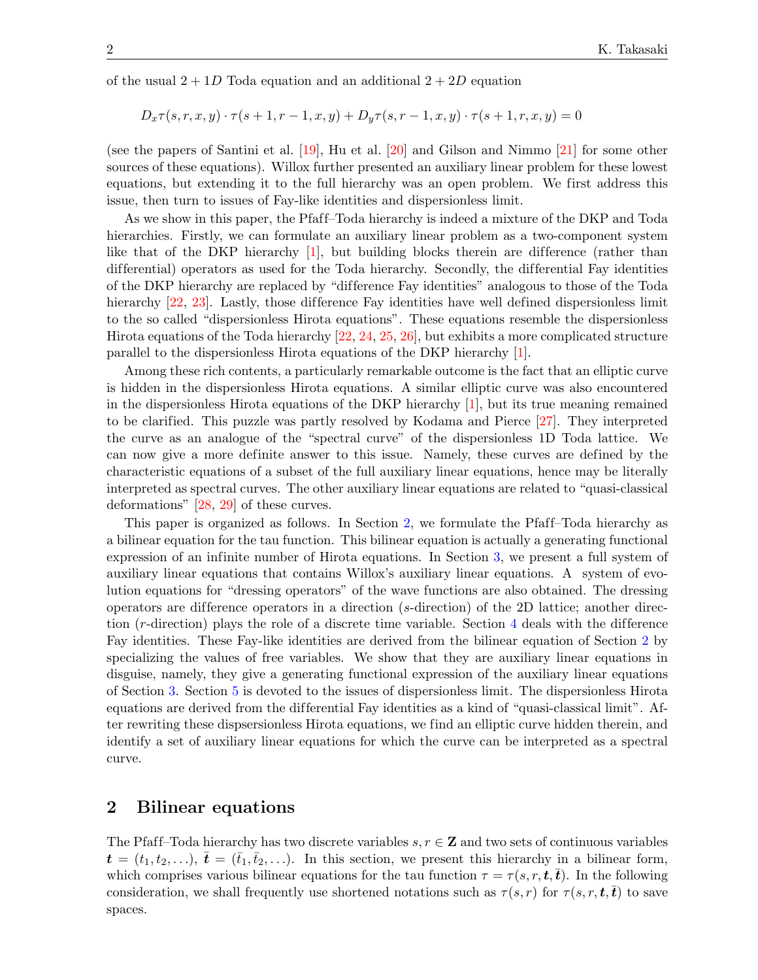of the usual  $2 + 1D$  Toda equation and an additional  $2 + 2D$  equation

$$
D_x \tau(s, r, x, y) \cdot \tau(s+1, r-1, x, y) + D_y \tau(s, r-1, x, y) \cdot \tau(s+1, r, x, y) = 0
$$

(see the papers of Santini et al. [\[19\]](#page-33-11), Hu et al. [\[20\]](#page-33-12) and Gilson and Nimmo [\[21\]](#page-33-13) for some other sources of these equations). Willox further presented an auxiliary linear problem for these lowest equations, but extending it to the full hierarchy was an open problem. We first address this issue, then turn to issues of Fay-like identities and dispersionless limit.

As we show in this paper, the Pfaff-Toda hierarchy is indeed a mixture of the DKP and Toda hierarchies. Firstly, we can formulate an auxiliary linear problem as a two-component system like that of the DKP hierarchy  $[1]$ , but building blocks therein are difference (rather than differential) operators as used for the Toda hierarchy. Secondly, the differential Fay identities of the DKP hierarchy are replaced by "dif ference Fay identities" analogous to those of the Toda hierarchy [\[22,](#page-33-14) [23\]](#page-33-15). Lastly, those difference Fay identities have well defined dispersionless limit to the so called "dispersionless Hirota equations". These equations resemble the dispersionless Hirota equations of the Toda hierarchy [\[22,](#page-33-14) [24,](#page-33-16) [25,](#page-33-17) [26\]](#page-33-18), but exhibits a more complicated structure parallel to the dispersionless Hirota equations of the DKP hierarchy [\[1\]](#page-32-0).

Among these rich contents, a particularly remarkable outcome is the fact that an elliptic curve is hidden in the dispersionless Hirota equations. A similar elliptic curve was also encountered in the dispersionless Hirota equations of the DKP hierarchy [\[1\]](#page-32-0), but its true meaning remained to be clarified. This puzzle was partly resolved by Kodama and Pierce [\[27\]](#page-33-19). They interpreted the curve as an analogue of the "spectral curve" of the dispersionless 1D Toda lattice. We can now give a more definite answer to this issue. Namely, these curves are defined by the characteristic equations of a subset of the full auxiliary linear equations, hence may be literally interpreted as spectral curves. The other auxiliary linear equations are related to "quasi-classical deformations" [\[28,](#page-33-20) [29\]](#page-33-21) of these curves.

This paper is organized as follows. In Section [2,](#page-1-0) we formulate the Pfaff–Toda hierarchy as a bilinear equation for the tau function. This bilinear equation is actually a generating functional expression of an infinite number of Hirota equations. In Section [3,](#page-7-0) we present a full system of auxiliary linear equations that contains Willox's auxiliary linear equations. A system of evolution equations for "dressing operators" of the wave functions are also obtained. The dressing operators are dif ference operators in a direction (s-direction) of the 2D lattice; another direction  $(r\text{-direction})$  plays the role of a discrete time variable. Section [4](#page-16-0) deals with the difference Fay identities. These Fay-like identities are derived from the bilinear equation of Section [2](#page-1-0) by specializing the values of free variables. We show that they are auxiliary linear equations in disguise, namely, they give a generating functional expression of the auxiliary linear equations of Section [3.](#page-7-0) Section [5](#page-23-0) is devoted to the issues of dispersionless limit. The dispersionless Hirota equations are derived from the differential Fay identities as a kind of "quasi-classical limit". After rewriting these dispsersionless Hirota equations, we find an elliptic curve hidden therein, and identify a set of auxiliary linear equations for which the curve can be interpreted as a spectral curve.

## <span id="page-1-0"></span>2 Bilinear equations

The Pfaff–Toda hierarchy has two discrete variables  $s, r \in \mathbb{Z}$  and two sets of continuous variables  $t = (t_1, t_2, \ldots), \ \bar{t} = (\bar{t}_1, \bar{t}_2, \ldots).$  In this section, we present this hierarchy in a bilinear form, which comprises various bilinear equations for the tau function  $\tau = \tau(s, r, t, \bar{t})$ . In the following consideration, we shall frequently use shortened notations such as  $\tau(s,r)$  for  $\tau(s,r,\boldsymbol{t},\boldsymbol{\bar{t}})$  to save spaces.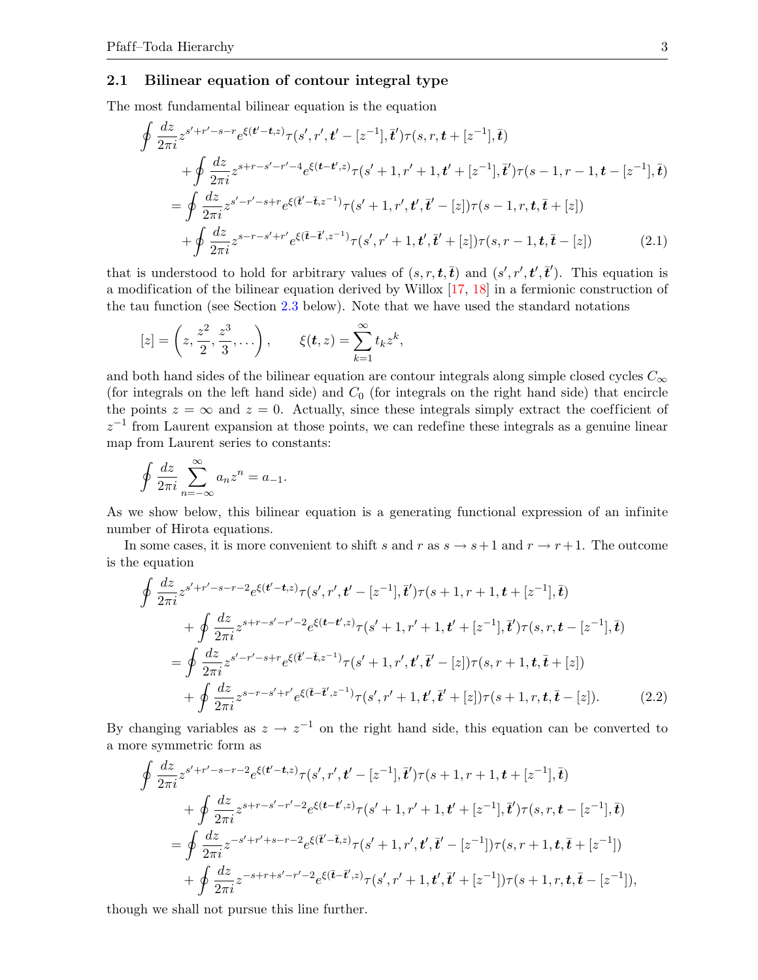<span id="page-2-0"></span> $\alpha$ 

#### 2.1 Bilinear equation of contour integral type

The most fundamental bilinear equation is the equation

$$
\oint \frac{dz}{2\pi i} z^{s'+r'-s-r} e^{\xi(t'-t,z)} \tau(s',r',t'-[z^{-1}],\bar{t}')\tau(s,r,t+[z^{-1}],\bar{t}) \n+ \oint \frac{dz}{2\pi i} z^{s+r-s'-r'-4} e^{\xi(t-t',z)} \tau(s'+1,r'+1,t'+[z^{-1}],\bar{t}')\tau(s-1,r-1,t-[z^{-1}],\bar{t}) \n= \oint \frac{dz}{2\pi i} z^{s'-r'-s+r} e^{\xi(\bar{t}'-\bar{t},z^{-1})} \tau(s'+1,r',t',\bar{t}'-[z])\tau(s-1,r,t,\bar{t}+[z]) \n+ \oint \frac{dz}{2\pi i} z^{s-r-s'+r'} e^{\xi(\bar{t}-\bar{t}',z^{-1})} \tau(s',r'+1,t',\bar{t}'+[z])\tau(s,r-1,t,\bar{t}-[z])
$$
\n(2.1)

that is understood to hold for arbitrary values of  $(s, r, t, \bar{t})$  and  $(s', r', t', \bar{t}')$ . This equation is a modification of the bilinear equation derived by Willox  $[17, 18]$  $[17, 18]$  $[17, 18]$  in a fermionic construction of the tau function (see Section [2.3](#page-5-0) below). Note that we have used the standard notations

$$
[z] = \left(z, \frac{z^2}{2}, \frac{z^3}{3}, \dots\right), \qquad \xi(t, z) = \sum_{k=1}^{\infty} t_k z^k,
$$

and both hand sides of the bilinear equation are contour integrals along simple closed cycles  $C_{\infty}$ (for integrals on the left hand side) and  $C_0$  (for integrals on the right hand side) that encircle the points  $z = \infty$  and  $z = 0$ . Actually, since these integrals simply extract the coefficient of  $z^{-1}$  from Laurent expansion at those points, we can redefine these integrals as a genuine linear map from Laurent series to constants:

$$
\oint \frac{dz}{2\pi i} \sum_{n=-\infty}^{\infty} a_n z^n = a_{-1}.
$$

As we show below, this bilinear equation is a generating functional expression of an infinite number of Hirota equations.

In some cases, it is more convenient to shift s and r as  $s \to s+1$  and  $r \to r+1$ . The outcome is the equation

$$
\oint \frac{dz}{2\pi i} z^{s'+r'-s-r-2} e^{\xi(t'-t,z)} \tau(s',r',t'-[z^{-1}],\bar{t}')\tau(s+1,r+1,t+[z^{-1}],\bar{t}) \n+ \oint \frac{dz}{2\pi i} z^{s+r-s'-r'-2} e^{\xi(t-t',z)} \tau(s'+1,r'+1,t'+[z^{-1}],\bar{t}')\tau(s,r,t-[z^{-1}],\bar{t}) \n= \oint \frac{dz}{2\pi i} z^{s'-r'-s+r} e^{\xi(\bar{t}'-\bar{t},z^{-1})} \tau(s'+1,r',t',\bar{t}'-[z])\tau(s,r+1,t,\bar{t}+[z]) \n+ \oint \frac{dz}{2\pi i} z^{s-r-s'+r'} e^{\xi(\bar{t}-\bar{t}',z^{-1})} \tau(s',r'+1,t',\bar{t}'+[z])\tau(s+1,r,t,\bar{t}-[z]).
$$
\n(2.2)

By changing variables as  $z \to z^{-1}$  on the right hand side, this equation can be converted to a more symmetric form as

<span id="page-2-1"></span>
$$
\oint \frac{dz}{2\pi i} z^{s'+r'-s-r-2} e^{\xi(t'-t,z)} \tau(s',r',t'-[z^{-1}],\bar{t}')\tau(s+1,r+1,t+[z^{-1}],\bar{t}) \n+ \oint \frac{dz}{2\pi i} z^{s+r-s'-r'-2} e^{\xi(t-t',z)} \tau(s'+1,r'+1,t'+[z^{-1}],\bar{t}')\tau(s,r,t-[z^{-1}],\bar{t}) \n= \oint \frac{dz}{2\pi i} z^{-s'+r'+s-r-2} e^{\xi(\bar{t}'-\bar{t},z)} \tau(s'+1,r',t',\bar{t}'-[z^{-1}])\tau(s,r+1,t,\bar{t}+[z^{-1}]) \n+ \oint \frac{dz}{2\pi i} z^{-s+r+s'-r'-2} e^{\xi(\bar{t}-\bar{t}',z)} \tau(s',r'+1,t',\bar{t}'+[z^{-1}])\tau(s+1,r,t,\bar{t}-[z^{-1}]),
$$

though we shall not pursue this line further.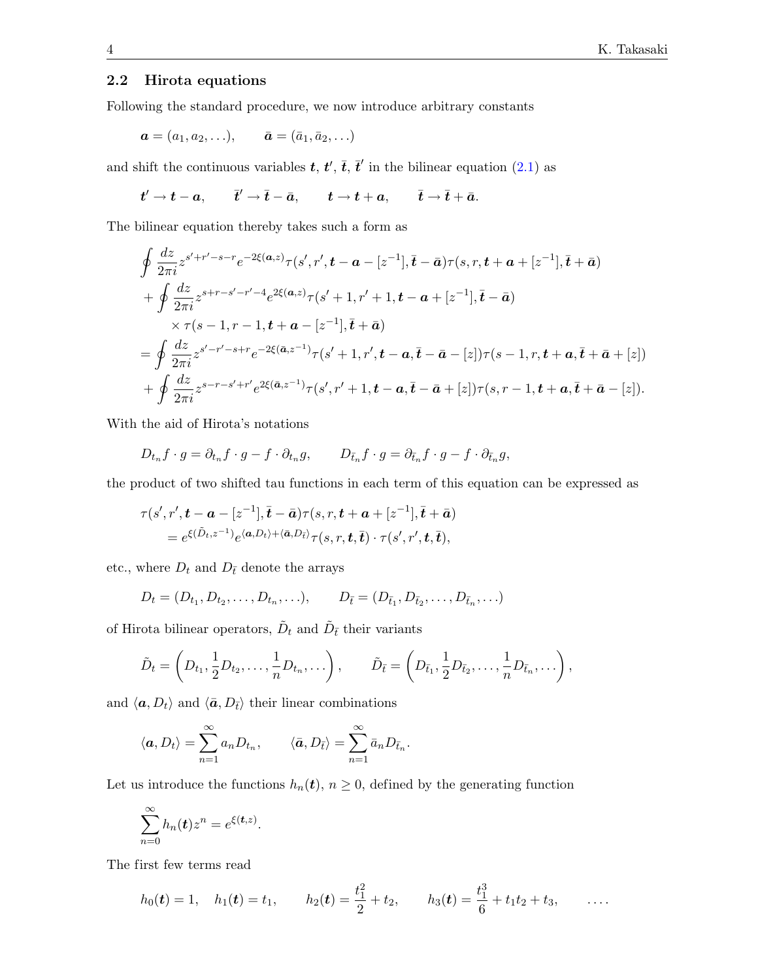## 2.2 Hirota equations

Following the standard procedure, we now introduce arbitrary constants

$$
\boldsymbol{a} = (a_1, a_2, \ldots), \qquad \bar{\boldsymbol{a}} = (\bar{a}_1, \bar{a}_2, \ldots)
$$

and shift the continuous variables  $t, t', \overline{t}, \overline{t}'$  in the bilinear equation [\(2.1\)](#page-2-0) as

$$
t' \rightarrow t - a
$$
,  $\bar{t}' \rightarrow \bar{t} - \bar{a}$ ,  $t \rightarrow t + a$ ,  $\bar{t} \rightarrow \bar{t} + \bar{a}$ .

The bilinear equation thereby takes such a form as

$$
\oint \frac{dz}{2\pi i} z^{s'+r'-s-r} e^{-2\xi(a,z)} \tau(s',r',t-a-[z^{-1}],\bar{t}-\bar{a}) \tau(s,r,t+a+[z^{-1}],\bar{t}+\bar{a}) \n+ \oint \frac{dz}{2\pi i} z^{s+r-s'-r'-4} e^{2\xi(a,z)} \tau(s'+1,r'+1,t-a+[z^{-1}],\bar{t}-\bar{a}) \n\times \tau(s-1,r-1,t+a-[z^{-1}],\bar{t}+\bar{a}) \n= \oint \frac{dz}{2\pi i} z^{s'-r'-s+r} e^{-2\xi(\bar{a},z^{-1})} \tau(s'+1,r',t-a,\bar{t}-\bar{a}-[z]) \tau(s-1,r,t+a,\bar{t}+\bar{a}+[z]) \n+ \oint \frac{dz}{2\pi i} z^{s-r-s'+r'} e^{2\xi(\bar{a},z^{-1})} \tau(s',r'+1,t-a,\bar{t}-\bar{a}+[z]) \tau(s,r-1,t+a,\bar{t}+\bar{a}-[z]).
$$

With the aid of Hirota's notations

$$
D_{t_n}f \cdot g = \partial_{t_n}f \cdot g - f \cdot \partial_{t_n}g, \qquad D_{\bar{t}_n}f \cdot g = \partial_{\bar{t}_n}f \cdot g - f \cdot \partial_{\bar{t}_n}g,
$$

the product of two shifted tau functions in each term of this equation can be expressed as

$$
\tau(s',r',\mathbf{t}-\mathbf{a}-[z^{-1}],\bar{\mathbf{t}}-\bar{\mathbf{a}})\tau(s,r,\mathbf{t}+\mathbf{a}+[z^{-1}],\bar{\mathbf{t}}+\bar{\mathbf{a}})
$$
  
=  $e^{\xi(\tilde{D}_t,z^{-1})}e^{\langle \mathbf{a},D_t\rangle+\langle \bar{\mathbf{a}},D_{\bar{t}}\rangle}\tau(s,r,\mathbf{t},\bar{\mathbf{t}})\cdot\tau(s',r',\mathbf{t},\bar{\mathbf{t}}),$ 

etc., where  $D_t$  and  $D_{\bar{t}}$  denote the arrays

$$
D_t = (D_{t_1}, D_{t_2}, \dots, D_{t_n}, \dots), \qquad D_{\bar{t}} = (D_{\bar{t}_1}, D_{\bar{t}_2}, \dots, D_{\bar{t}_n}, \dots)
$$

of Hirota bilinear operators,  $\tilde{D}_t$  and  $\tilde{D}_{\bar{t}}$  their variants

$$
\tilde{D}_t = \left(D_{t_1}, \frac{1}{2}D_{t_2}, \dots, \frac{1}{n}D_{t_n}, \dots\right), \qquad \tilde{D}_{\bar{t}} = \left(D_{\bar{t}_1}, \frac{1}{2}D_{\bar{t}_2}, \dots, \frac{1}{n}D_{\bar{t}_n}, \dots\right),
$$

.

and  $\langle a, D_t \rangle$  and  $\langle \bar{a}, D_{\bar{t}} \rangle$  their linear combinations

$$
\langle \boldsymbol{a}, D_t \rangle = \sum_{n=1}^{\infty} a_n D_{t_n}, \qquad \langle \bar{\boldsymbol{a}}, D_{\bar{t}} \rangle = \sum_{n=1}^{\infty} \bar{a}_n D_{\bar{t}_n}
$$

.

Let us introduce the functions  $h_n(t)$ ,  $n \geq 0$ , defined by the generating function

$$
\sum_{n=0}^{\infty} h_n(t) z^n = e^{\xi(t,z)}
$$

The first few terms read

$$
h_0(t) = 1
$$
,  $h_1(t) = t_1$ ,  $h_2(t) = \frac{t_1^2}{2} + t_2$ ,  $h_3(t) = \frac{t_1^3}{6} + t_1t_2 + t_3$ , ...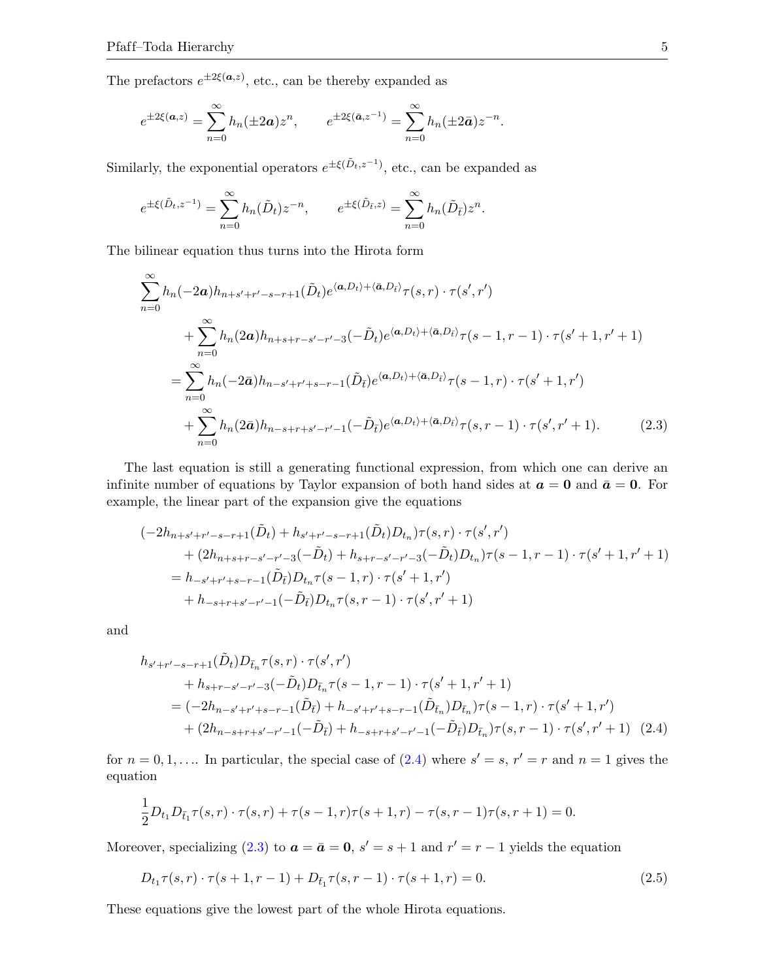The prefactors  $e^{\pm 2\xi(a,z)}$ , etc., can be thereby expanded as

$$
e^{\pm 2\xi(a,z)} = \sum_{n=0}^{\infty} h_n(\pm 2a)z^n
$$
,  $e^{\pm 2\xi(\bar{a},z^{-1})} = \sum_{n=0}^{\infty} h_n(\pm 2\bar{a})z^{-n}$ .

Similarly, the exponential operators  $e^{\pm \xi(\tilde{D}_t,z^{-1})}$ , etc., can be expanded as

$$
e^{\pm \xi(\tilde{D}_t, z^{-1})} = \sum_{n=0}^{\infty} h_n(\tilde{D}_t) z^{-n}, \qquad e^{\pm \xi(\tilde{D}_{\bar{t}}, z)} = \sum_{n=0}^{\infty} h_n(\tilde{D}_{\bar{t}}) z^n.
$$

The bilinear equation thus turns into the Hirota form

$$
\sum_{n=0}^{\infty} h_n(-2a)h_{n+s'+r'-s-r+1}(\tilde{D}_t)e^{\langle a,D_t\rangle+\langle \tilde{a},D_{\tilde{t}}\rangle}\tau(s,r)\cdot\tau(s',r')
$$
  
+
$$
\sum_{n=0}^{\infty} h_n(2a)h_{n+s+r-s'-r'-3}(-\tilde{D}_t)e^{\langle a,D_t\rangle+\langle \tilde{a},D_{\tilde{t}}\rangle}\tau(s-1,r-1)\cdot\tau(s'+1,r'+1)
$$
  
=
$$
\sum_{n=0}^{\infty} h_n(-2\bar{a})h_{n-s'+r'+s-r-1}(\tilde{D}_{\tilde{t}})e^{\langle a,D_t\rangle+\langle \tilde{a},D_{\tilde{t}}\rangle}\tau(s-1,r)\cdot\tau(s'+1,r')
$$
  
+
$$
\sum_{n=0}^{\infty} h_n(2\bar{a})h_{n-s+r+s'-r'-1}(-\tilde{D}_{\tilde{t}})e^{\langle a,D_t\rangle+\langle \tilde{a},D_{\tilde{t}}\rangle}\tau(s,r-1)\cdot\tau(s',r'+1).
$$
(2.3)

The last equation is still a generating functional expression, from which one can derive an infinite number of equations by Taylor expansion of both hand sides at  $a = 0$  and  $\bar{a} = 0$ . For example, the linear part of the expansion give the equations

<span id="page-4-1"></span>
$$
\begin{aligned}\n &(-2h_{n+s'+r'-s-r+1}(\tilde{D}_t) + h_{s'+r'-s-r+1}(\tilde{D}_t)D_{t_n})\tau(s,r)\cdot\tau(s',r') \\
 &+ (2h_{n+s+r-s'-r'-3}(-\tilde{D}_t) + h_{s+r-s'-r'-3}(-\tilde{D}_t)D_{t_n})\tau(s-1,r-1)\cdot\tau(s'+1,r'+1) \\
 &= h_{-s'+r'+s-r-1}(\tilde{D}_{\bar{t}})D_{t_n}\tau(s-1,r)\cdot\tau(s'+1,r') \\
 &+ h_{-s+r+s'-r'-1}(-\tilde{D}_{\bar{t}})D_{t_n}\tau(s,r-1)\cdot\tau(s',r'+1)\n \end{aligned}
$$

and

<span id="page-4-0"></span>
$$
h_{s'+r'-s-r+1}(\tilde{D}_t)D_{\bar{t}_n}\tau(s,r) \cdot \tau(s',r')
$$
  
+ 
$$
h_{s+r-s'-r'-3}(-\tilde{D}_t)D_{\bar{t}_n}\tau(s-1,r-1) \cdot \tau(s'+1,r'+1)
$$
  
= 
$$
(-2h_{n-s'+r'+s-r-1}(\tilde{D}_{\bar{t}}) + h_{-s'+r'+s-r-1}(\tilde{D}_{\bar{t}_n})D_{\bar{t}_n}\tau(s-1,r) \cdot \tau(s'+1,r')
$$
  
+ 
$$
(2h_{n-s+r+s'-r'-1}(-\tilde{D}_{\bar{t}}) + h_{-s+r+s'-r'-1}(-\tilde{D}_{\bar{t}})D_{\bar{t}_n}\tau(s,r-1) \cdot \tau(s',r'+1) (2.4)
$$

for  $n = 0, 1, \ldots$  In particular, the special case of  $(2.4)$  where  $s' = s$ ,  $r' = r$  and  $n = 1$  gives the equation

$$
\frac{1}{2}D_{t_1}D_{\bar{t}_1}\tau(s,r)\cdot \tau(s,r)+\tau(s-1,r)\tau(s+1,r)-\tau(s,r-1)\tau(s,r+1)=0.
$$

Moreover, specializing [\(2.3\)](#page-4-1) to  $a = \bar{a} = 0$ ,  $s' = s + 1$  and  $r' = r - 1$  yields the equation

<span id="page-4-2"></span>
$$
D_{t_1}\tau(s,r)\cdot \tau(s+1,r-1) + D_{\bar{t}_1}\tau(s,r-1)\cdot \tau(s+1,r) = 0.
$$
\n(2.5)

These equations give the lowest part of the whole Hirota equations.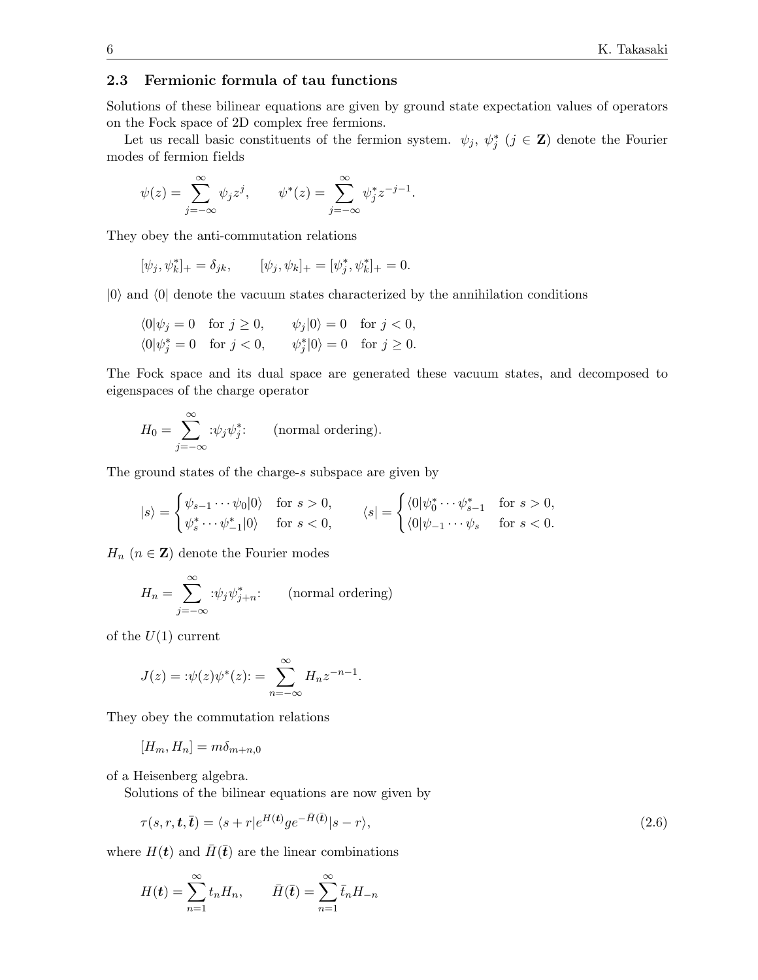## <span id="page-5-0"></span>2.3 Fermionic formula of tau functions

Solutions of these bilinear equations are given by ground state expectation values of operators on the Fock space of 2D complex free fermions.

Let us recall basic constituents of the fermion system.  $\psi_j$ ,  $\psi_j^*$  ( $j \in \mathbf{Z}$ ) denote the Fourier modes of fermion fields

$$
\psi(z) = \sum_{j=-\infty}^{\infty} \psi_j z^j, \qquad \psi^*(z) = \sum_{j=-\infty}^{\infty} \psi_j^* z^{-j-1}.
$$

They obey the anti-commutation relations

$$
[\psi_j, \psi_k^*]_+ = \delta_{jk}, \qquad [\psi_j, \psi_k]_+ = [\psi_j^*, \psi_k^*]_+ = 0.
$$

 $|0\rangle$  and  $\langle 0|$  denote the vacuum states characterized by the annihilation conditions

$$
\langle 0|\psi_j = 0 \quad \text{for } j \ge 0, \qquad \psi_j|0\rangle = 0 \quad \text{for } j < 0,
$$
  

$$
\langle 0|\psi_j^* = 0 \quad \text{for } j < 0, \qquad \psi_j^*|0\rangle = 0 \quad \text{for } j \ge 0.
$$

The Fock space and its dual space are generated these vacuum states, and decomposed to eigenspaces of the charge operator

$$
H_0 = \sum_{j=-\infty}^{\infty} :\psi_j \psi_j^* : \qquad \text{(normal ordering)}.
$$

The ground states of the charge-s subspace are given by

$$
|s\rangle = \begin{cases} \psi_{s-1}\cdots\psi_0|0\rangle & \text{for } s > 0, \\ \psi_s^*\cdots\psi_{-1}^*|0\rangle & \text{for } s < 0, \end{cases} \qquad \langle s| = \begin{cases} \langle 0|\psi_0^*\cdots\psi_{s-1}^* & \text{for } s > 0, \\ \langle 0|\psi_{-1}\cdots\psi_s & \text{for } s < 0. \end{cases}
$$

 $H_n$  ( $n \in \mathbb{Z}$ ) denote the Fourier modes

$$
H_n = \sum_{j=-\infty}^{\infty} :\psi_j \psi_{j+n}^*:\qquad \text{(normal ordering)}
$$

of the  $U(1)$  current

$$
J(z) = :\psi(z)\psi^*(z) := \sum_{n=-\infty}^{\infty} H_n z^{-n-1}.
$$

They obey the commutation relations

$$
[H_m, H_n] = m\delta_{m+n,0}
$$

of a Heisenberg algebra.

Solutions of the bilinear equations are now given by

<span id="page-5-1"></span>
$$
\tau(s,r,\boldsymbol{t},\bar{\boldsymbol{t}}) = \langle s+r|e^{H(\boldsymbol{t})}g e^{-\bar{H}(\bar{\boldsymbol{t}})}|s-r\rangle,\tag{2.6}
$$

where  $H(t)$  and  $\bar{H}(\bar{t})$  are the linear combinations

$$
H(\mathbf{t}) = \sum_{n=1}^{\infty} t_n H_n, \qquad \bar{H}(\bar{\mathbf{t}}) = \sum_{n=1}^{\infty} \bar{t}_n H_{-n}
$$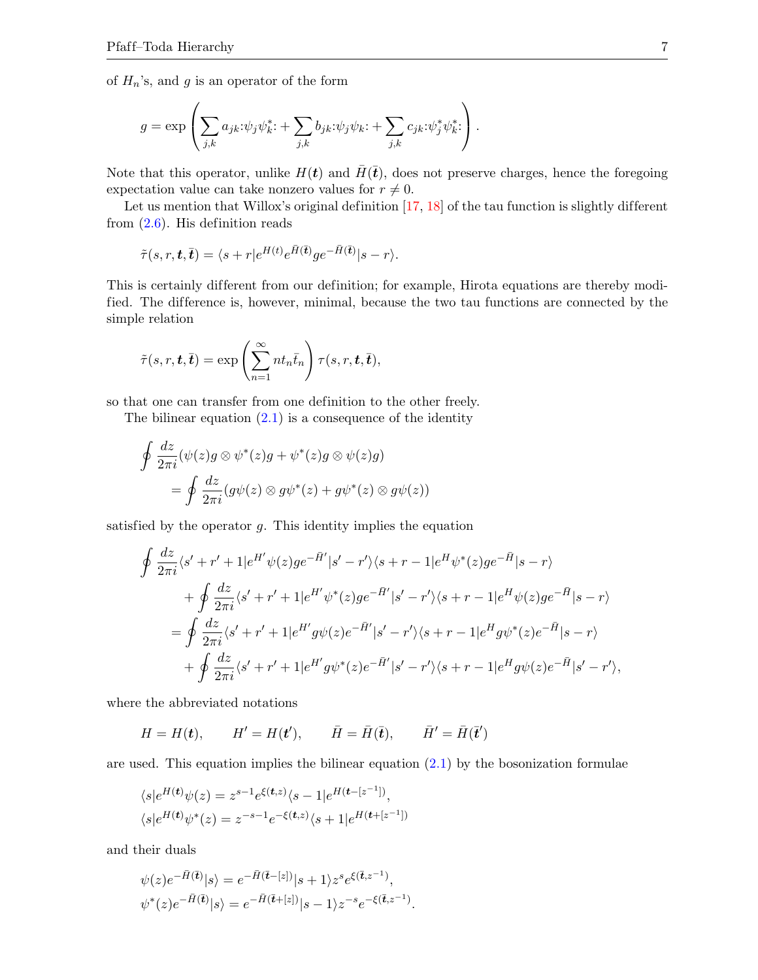of  $H_n$ 's, and g is an operator of the form

$$
g = \exp\left(\sum_{j,k} a_{jk}:\psi_j\psi_k^* + \sum_{j,k} b_{jk}:\psi_j\psi_k + \sum_{j,k} c_{jk}:\psi_j^*\psi_k^*\right).
$$

Note that this operator, unlike  $H(t)$  and  $\bar{H}(\bar{t})$ , does not preserve charges, hence the foregoing expectation value can take nonzero values for  $r \neq 0$ .

Let us mention that Willox's original definition  $\left[17, 18\right]$  $\left[17, 18\right]$  $\left[17, 18\right]$  of the tau function is slightly different from [\(2.6\)](#page-5-1). His definition reads

$$
\tilde{\tau}(s,r,\boldsymbol{t},\bar{\boldsymbol{t}}) = \langle s+r|e^{H(\boldsymbol{t})}e^{\bar{H}(\bar{\boldsymbol{t}})}g e^{-\bar{H}(\bar{\boldsymbol{t}})}|s-r\rangle.
$$

This is certainly different from our definition; for example, Hirota equations are thereby modified. The difference is, however, minimal, because the two tau functions are connected by the simple relation

$$
\tilde{\tau}(s,r,\boldsymbol{t},\bar{\boldsymbol{t}})=\exp\left(\sum_{n=1}^{\infty}nt_n\bar{t}_n\right)\tau(s,r,\boldsymbol{t},\bar{\boldsymbol{t}}),
$$

so that one can transfer from one definition to the other freely.

The bilinear equation  $(2.1)$  is a consequence of the identity

$$
\oint \frac{dz}{2\pi i} (\psi(z)g \otimes \psi^*(z)g + \psi^*(z)g \otimes \psi(z)g)
$$
\n
$$
= \oint \frac{dz}{2\pi i} (g\psi(z) \otimes g\psi^*(z) + g\psi^*(z) \otimes g\psi(z))
$$

satisfied by the operator  $q$ . This identity implies the equation

$$
\oint \frac{dz}{2\pi i} \langle s' + r' + 1 | e^{H'} \psi(z) g e^{-\bar{H}'} | s' - r' \rangle \langle s + r - 1 | e^H \psi^*(z) g e^{-\bar{H}} | s - r \rangle \n+ \oint \frac{dz}{2\pi i} \langle s' + r' + 1 | e^{H'} \psi^*(z) g e^{-\bar{H}'} | s' - r' \rangle \langle s + r - 1 | e^H \psi(z) g e^{-\bar{H}} | s - r \rangle \n= \oint \frac{dz}{2\pi i} \langle s' + r' + 1 | e^{H'} g \psi(z) e^{-\bar{H}'} | s' - r' \rangle \langle s + r - 1 | e^H g \psi^*(z) e^{-\bar{H}} | s - r \rangle \n+ \oint \frac{dz}{2\pi i} \langle s' + r' + 1 | e^{H'} g \psi^*(z) e^{-\bar{H}'} | s' - r' \rangle \langle s + r - 1 | e^H g \psi(z) e^{-\bar{H}} | s' - r' \rangle,
$$

where the abbreviated notations

 $H = H(t),$   $H' = H(t'),$   $\bar{H} = \bar{H}(\bar{t}),$   $\bar{H}' = \bar{H}(\bar{t}')$ 

are used. This equation implies the bilinear equation [\(2.1\)](#page-2-0) by the bosonization formulae

$$
\langle s|e^{H(t)}\psi(z) = z^{s-1}e^{\xi(t,z)}\langle s-1|e^{H(t-[z^{-1}])},
$$
  

$$
\langle s|e^{H(t)}\psi^*(z) = z^{-s-1}e^{-\xi(t,z)}\langle s+1|e^{H(t+[z^{-1}])}\rangle
$$

and their duals

$$
\begin{aligned} \psi(z)e^{-\bar{H}(\bar{\mathbf{t}})}|s\rangle &=e^{-\bar{H}(\bar{\mathbf{t}}-[z])}|s+1\rangle z^{s}e^{\xi(\bar{\mathbf{t}},z^{-1})},\\ \psi^{*}(z)e^{-\bar{H}(\bar{\mathbf{t}})}|s\rangle &=e^{-\bar{H}(\bar{\mathbf{t}}+[z])}|s-1\rangle z^{-s}e^{-\xi(\bar{\mathbf{t}},z^{-1})}. \end{aligned}
$$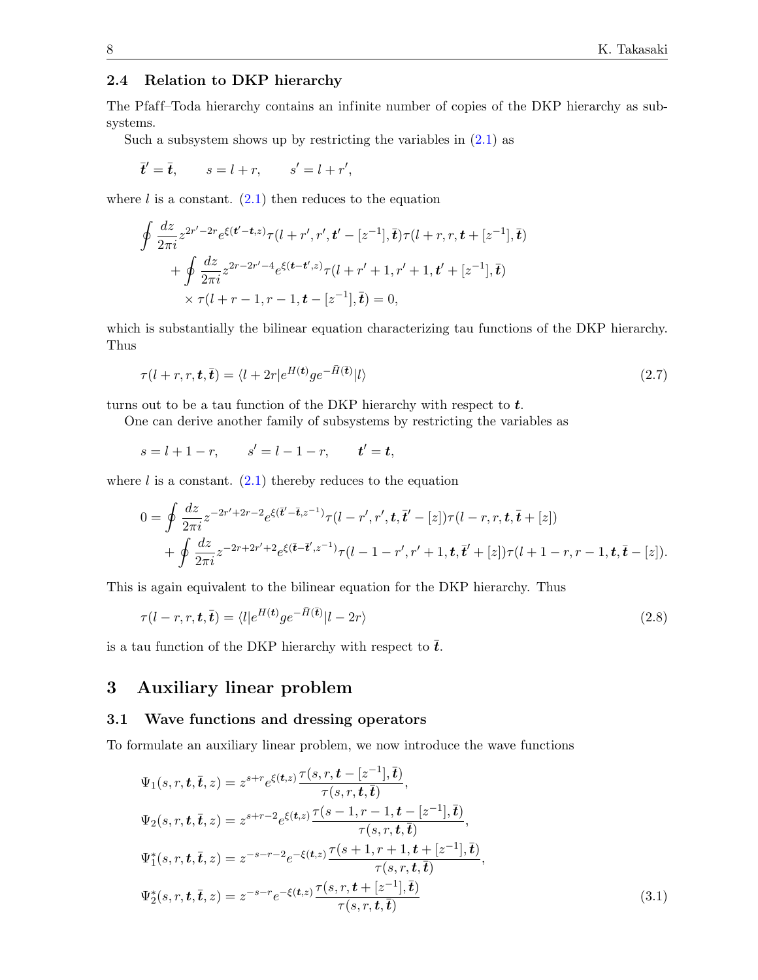## 2.4 Relation to DKP hierarchy

The Pfaff-Toda hierarchy contains an infinite number of copies of the DKP hierarchy as subsystems.

Such a subsystem shows up by restricting the variables in  $(2.1)$  as

$$
\bar{t}' = \bar{t}, \qquad s = l + r, \qquad s' = l + r',
$$

where  $l$  is a constant.  $(2.1)$  then reduces to the equation

$$
\oint \frac{dz}{2\pi i} z^{2r'-2r} e^{\xi(t'-t,z)} \tau(l+r',r',t'-[z^{-1}],\bar{t}) \tau(l+r,r,t+[z^{-1}],\bar{t}) \n+ \oint \frac{dz}{2\pi i} z^{2r-2r'-4} e^{\xi(t-t',z)} \tau(l+r'+1,r'+1,t'+[z^{-1}],\bar{t}) \n\times \tau(l+r-1,r-1,t-[z^{-1}],\bar{t}) = 0,
$$

which is substantially the bilinear equation characterizing tau functions of the DKP hierarchy. Thus

<span id="page-7-2"></span>
$$
\tau(l+r,r,\mathbf{t},\bar{\mathbf{t}}) = \langle l+2r|e^{H(\mathbf{t})}ge^{-\bar{H}(\bar{\mathbf{t}})}|l\rangle \tag{2.7}
$$

turns out to be a tau function of the DKP hierarchy with respect to  $t$ .

One can derive another family of subsystems by restricting the variables as

$$
s = l + 1 - r
$$
,  $s' = l - 1 - r$ ,  $t' = t$ ,

where  $l$  is a constant.  $(2.1)$  thereby reduces to the equation

$$
0 = \oint \frac{dz}{2\pi i} z^{-2r'+2r-2} e^{\xi(\bar{t}'-\bar{t},z^{-1})} \tau(l-r',r',\bar{t},\bar{t}'-[z]) \tau(l-r,r,\bar{t},\bar{t}+[z]) + \oint \frac{dz}{2\pi i} z^{-2r+2r'+2} e^{\xi(\bar{t}-\bar{t}',z^{-1})} \tau(l-1-r',r'+1,\bar{t},\bar{t}+[z]) \tau(l+1-r,r-1,\bar{t},\bar{t}-[z]).
$$

This is again equivalent to the bilinear equation for the DKP hierarchy. Thus

<span id="page-7-3"></span>
$$
\tau(l-r,r,\boldsymbol{t},\bar{\boldsymbol{t}}) = \langle l|e^{H(\boldsymbol{t})}g e^{-\bar{H}(\bar{\boldsymbol{t}})}|l-2r\rangle
$$
\n(2.8)

is a tau function of the DKP hierarchy with respect to  $\bar{t}$ .

## <span id="page-7-0"></span>3 Auxiliary linear problem

#### 3.1 Wave functions and dressing operators

To formulate an auxiliary linear problem, we now introduce the wave functions

<span id="page-7-1"></span>
$$
\Psi_1(s,r,\boldsymbol{t},\bar{\boldsymbol{t}},z) = z^{s+r} e^{\xi(\boldsymbol{t},z)} \frac{\tau(s,r,\boldsymbol{t}-[z^{-1}],\bar{\boldsymbol{t}})}{\tau(s,r,\boldsymbol{t},\bar{\boldsymbol{t}})},
$$
\n
$$
\Psi_2(s,r,\boldsymbol{t},\bar{\boldsymbol{t}},z) = z^{s+r-2} e^{\xi(\boldsymbol{t},z)} \frac{\tau(s-1,r-1,\boldsymbol{t}-[z^{-1}],\bar{\boldsymbol{t}})}{\tau(s,r,\boldsymbol{t},\bar{\boldsymbol{t}})},
$$
\n
$$
\Psi_1^*(s,r,\boldsymbol{t},\bar{\boldsymbol{t}},z) = z^{-s-r-2} e^{-\xi(\boldsymbol{t},z)} \frac{\tau(s+1,r+1,\boldsymbol{t}+[z^{-1}],\bar{\boldsymbol{t}})}{\tau(s,r,\boldsymbol{t},\bar{\boldsymbol{t}})},
$$
\n
$$
\Psi_2^*(s,r,\boldsymbol{t},\bar{\boldsymbol{t}},z) = z^{-s-r} e^{-\xi(\boldsymbol{t},z)} \frac{\tau(s,r,\boldsymbol{t}+[z^{-1}],\bar{\boldsymbol{t}})}{\tau(s,r,\boldsymbol{t},\bar{\boldsymbol{t}})}.
$$
\n(3.1)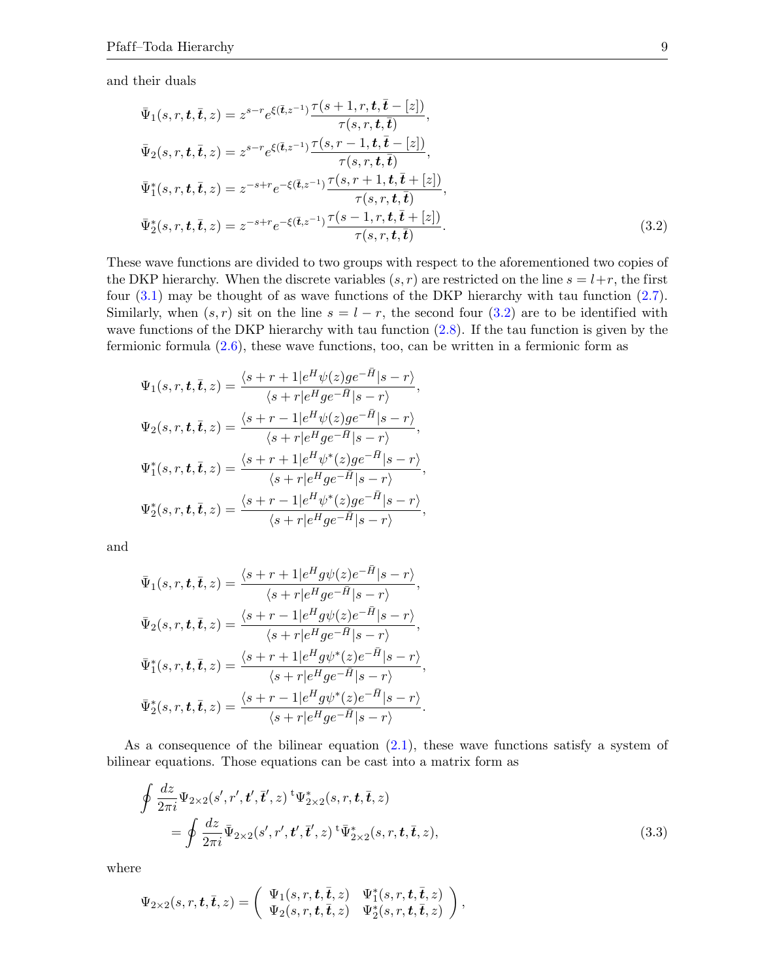and their duals

<span id="page-8-0"></span>
$$
\bar{\Psi}_{1}(s,r,\boldsymbol{t},\bar{\boldsymbol{t}},z) = z^{s-r} e^{\xi(\bar{\boldsymbol{t}},z^{-1})} \frac{\tau(s+1,r,\boldsymbol{t},\bar{\boldsymbol{t}}-[z])}{\tau(s,r,\boldsymbol{t},\bar{\boldsymbol{t}})} , \n\bar{\Psi}_{2}(s,r,\boldsymbol{t},\bar{\boldsymbol{t}},z) = z^{s-r} e^{\xi(\bar{\boldsymbol{t}},z^{-1})} \frac{\tau(s,r-1,\boldsymbol{t},\bar{\boldsymbol{t}}-[z])}{\tau(s,r,\boldsymbol{t},\bar{\boldsymbol{t}})} , \n\bar{\Psi}_{1}^{*}(s,r,\boldsymbol{t},\bar{\boldsymbol{t}},z) = z^{-s+r} e^{-\xi(\bar{\boldsymbol{t}},z^{-1})} \frac{\tau(s,r+1,\boldsymbol{t},\bar{\boldsymbol{t}}+[z])}{\tau(s,r,\boldsymbol{t},\bar{\boldsymbol{t}})} , \n\bar{\Psi}_{2}^{*}(s,r,\boldsymbol{t},\bar{\boldsymbol{t}},z) = z^{-s+r} e^{-\xi(\bar{\boldsymbol{t}},z^{-1})} \frac{\tau(s-1,r,\boldsymbol{t},\bar{\boldsymbol{t}}+[z])}{\tau(s,r,\boldsymbol{t},\bar{\boldsymbol{t}})} .
$$
\n(3.2)

These wave functions are divided to two groups with respect to the aforementioned two copies of the DKP hierarchy. When the discrete variables  $(s, r)$  are restricted on the line  $s = l+r$ , the first four  $(3.1)$  may be thought of as wave functions of the DKP hierarchy with tau function  $(2.7)$ . Similarly, when  $(s, r)$  sit on the line  $s = l - r$ , the second four  $(3.2)$  are to be identified with wave functions of the DKP hierarchy with tau function  $(2.8)$ . If the tau function is given by the fermionic formula [\(2.6\)](#page-5-1), these wave functions, too, can be written in a fermionic form as

$$
\Psi_1(s,r,\boldsymbol{t},\bar{\boldsymbol{t}},z) = \frac{\langle s+r+1|e^H\psi(z)ge^{-\bar{H}}|s-r\rangle}{\langle s+r|e^Hge^{-\bar{H}}|s-r\rangle},
$$
  

$$
\Psi_2(s,r,\boldsymbol{t},\bar{\boldsymbol{t}},z) = \frac{\langle s+r-1|e^H\psi(z)ge^{-\bar{H}}|s-r\rangle}{\langle s+r|e^Hge^{-\bar{H}}|s-r\rangle},
$$
  

$$
\Psi_1^*(s,r,\boldsymbol{t},\bar{\boldsymbol{t}},z) = \frac{\langle s+r+1|e^H\psi^*(z)ge^{-\bar{H}}|s-r\rangle}{\langle s+r|e^Hge^{-\bar{H}}|s-r\rangle},
$$
  

$$
\Psi_2^*(s,r,\boldsymbol{t},\bar{\boldsymbol{t}},z) = \frac{\langle s+r-1|e^H\psi^*(z)ge^{-\bar{H}}|s-r\rangle}{\langle s+r|e^Hge^{-\bar{H}}|s-r\rangle},
$$

and

$$
\bar{\Psi}_{1}(s,r,\boldsymbol{t},\bar{\boldsymbol{t}},z) = \frac{\langle s+r+1|e^{H}g\psi(z)e^{-\bar{H}}|s-r\rangle}{\langle s+r|e^{H}ge^{-\bar{H}}|s-r\rangle},
$$
\n
$$
\bar{\Psi}_{2}(s,r,\boldsymbol{t},\bar{\boldsymbol{t}},z) = \frac{\langle s+r-1|e^{H}g\psi(z)e^{-\bar{H}}|s-r\rangle}{\langle s+r|e^{H}ge^{-\bar{H}}|s-r\rangle},
$$
\n
$$
\bar{\Psi}_{1}^{*}(s,r,\boldsymbol{t},\bar{\boldsymbol{t}},z) = \frac{\langle s+r+1|e^{H}g\psi^{*}(z)e^{-\bar{H}}|s-r\rangle}{\langle s+r|e^{H}ge^{-\bar{H}}|s-r\rangle},
$$
\n
$$
\bar{\Psi}_{2}^{*}(s,r,\boldsymbol{t},\bar{\boldsymbol{t}},z) = \frac{\langle s+r-1|e^{H}g\psi^{*}(z)e^{-\bar{H}}|s-r\rangle}{\langle s+r|e^{H}ge^{-\bar{H}}|s-r\rangle}.
$$

As a consequence of the bilinear equation  $(2.1)$ , these wave functions satisfy a system of bilinear equations. Those equations can be cast into a matrix form as

<span id="page-8-1"></span>
$$
\oint \frac{dz}{2\pi i} \Psi_{2\times 2}(s', r', t', \bar{t}', z) \Psi_{2\times 2}^*(s, r, t, \bar{t}, z)
$$
\n
$$
= \oint \frac{dz}{2\pi i} \bar{\Psi}_{2\times 2}(s', r', t', \bar{t}', z) \Psi_{2\times 2}^*(s, r, t, \bar{t}, z),
$$
\n(3.3)

where

$$
\Psi_{2\times 2}(s,r,\boldsymbol{t},\bar{\boldsymbol{t}},z)=\left(\begin{array}{cc}\Psi_1(s,r,\boldsymbol{t},\bar{\boldsymbol{t}},z)&\Psi_1^*(s,r,\boldsymbol{t},\bar{\boldsymbol{t}},z)\\\Psi_2(s,r,\boldsymbol{t},\bar{\boldsymbol{t}},z)&\Psi_2^*(s,r,\boldsymbol{t},\bar{\boldsymbol{t}},z)\end{array}\right),
$$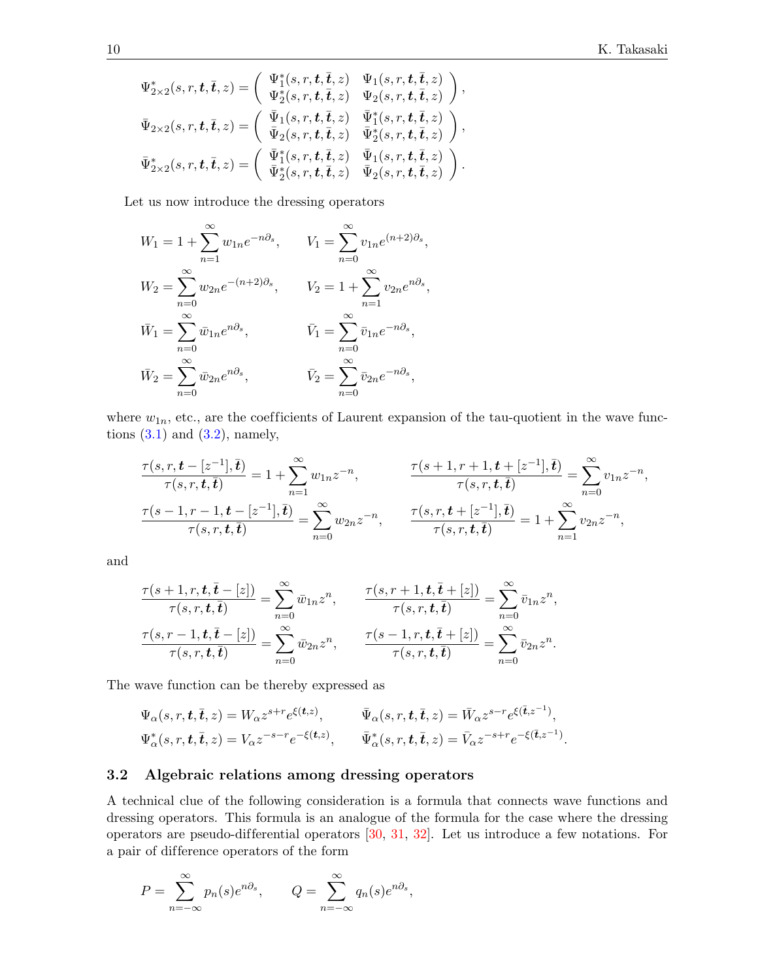$$
\begin{aligned} \Psi_{2\times 2}^*(s,r,\boldsymbol{t},\bar{\boldsymbol{t}},z) &= \left( \begin{array}{cc} \Psi_1^*(s,r,\boldsymbol{t},\bar{\boldsymbol{t}},z) & \Psi_1(s,r,\boldsymbol{t},\bar{\boldsymbol{t}},z) \\ \Psi_2^*(s,r,\boldsymbol{t},\bar{\boldsymbol{t}},z) & \Psi_2(s,r,\boldsymbol{t},\bar{\boldsymbol{t}},z) \end{array} \right),\\ \bar{\Psi}_{2\times 2}(s,r,\boldsymbol{t},\bar{\boldsymbol{t}},z) &= \left( \begin{array}{cc} \bar{\Psi}_1(s,r,\boldsymbol{t},\bar{\boldsymbol{t}},z) & \bar{\Psi}_1^*(s,r,\boldsymbol{t},\bar{\boldsymbol{t}},z) \\ \bar{\Psi}_2(s,r,\boldsymbol{t},\bar{\boldsymbol{t}},z) & \bar{\Psi}_2^*(s,r,\boldsymbol{t},\bar{\boldsymbol{t}},z) \end{array} \right),\\ \bar{\Psi}_{2\times 2}^*(s,r,\boldsymbol{t},\bar{\boldsymbol{t}},z) &= \left( \begin{array}{cc} \bar{\Psi}_1^*(s,r,\boldsymbol{t},\bar{\boldsymbol{t}},z) & \bar{\Psi}_1(s,r,\boldsymbol{t},\bar{\boldsymbol{t}},z) \\ \bar{\Psi}_2^*(s,r,\boldsymbol{t},\bar{\boldsymbol{t}},z) & \bar{\Psi}_2(s,r,\boldsymbol{t},\bar{\boldsymbol{t}},z) \end{array} \right). \end{aligned}
$$

Let us now introduce the dressing operators

$$
W_1 = 1 + \sum_{n=1}^{\infty} w_{1n} e^{-n\partial_s}, \qquad V_1 = \sum_{n=0}^{\infty} v_{1n} e^{(n+2)\partial_s},
$$
  
\n
$$
W_2 = \sum_{n=0}^{\infty} w_{2n} e^{-(n+2)\partial_s}, \qquad V_2 = 1 + \sum_{n=1}^{\infty} v_{2n} e^{n\partial_s},
$$
  
\n
$$
\bar{W}_1 = \sum_{n=0}^{\infty} \bar{w}_{1n} e^{n\partial_s}, \qquad \bar{V}_1 = \sum_{n=0}^{\infty} \bar{v}_{1n} e^{-n\partial_s},
$$
  
\n
$$
\bar{W}_2 = \sum_{n=0}^{\infty} \bar{w}_{2n} e^{n\partial_s}, \qquad \bar{V}_2 = \sum_{n=0}^{\infty} \bar{v}_{2n} e^{-n\partial_s},
$$

where  $w_{1n}$ , etc., are the coefficients of Laurent expansion of the tau-quotient in the wave functions  $(3.1)$  and  $(3.2)$ , namely,

$$
\frac{\tau(s,r,\mathbf{t}-[z^{-1}],\bar{\mathbf{t}})}{\tau(s,r,\mathbf{t},\bar{\mathbf{t}})}=1+\sum_{n=1}^{\infty}w_{1n}z^{-n},\qquad\qquad\frac{\tau(s+1,r+1,\mathbf{t}+[z^{-1}],\bar{\mathbf{t}})}{\tau(s,r,\mathbf{t},\bar{\mathbf{t}})}=\sum_{n=0}^{\infty}v_{1n}z^{-n},
$$
\n
$$
\frac{\tau(s-1,r-1,\mathbf{t}-[z^{-1}],\bar{\mathbf{t}})}{\tau(s,r,\mathbf{t},\bar{\mathbf{t}})}=\sum_{n=0}^{\infty}w_{2n}z^{-n},\qquad\frac{\tau(s,r,\mathbf{t}+[z^{-1}],\bar{\mathbf{t}})}{\tau(s,r,\mathbf{t},\bar{\mathbf{t}})}=1+\sum_{n=1}^{\infty}v_{2n}z^{-n},
$$

and

$$
\frac{\tau(s+1,r,\boldsymbol{t},\bar{\boldsymbol{t}}-[z])}{\tau(s,r,\boldsymbol{t},\bar{\boldsymbol{t}})} = \sum_{n=0}^{\infty} \bar{w}_{1n} z^n, \qquad \frac{\tau(s,r+1,\boldsymbol{t},\bar{\boldsymbol{t}}+[z])}{\tau(s,r,\boldsymbol{t},\bar{\boldsymbol{t}})} = \sum_{n=0}^{\infty} \bar{v}_{1n} z^n,
$$

$$
\frac{\tau(s,r-1,\boldsymbol{t},\bar{\boldsymbol{t}}-[z])}{\tau(s,r,\boldsymbol{t},\bar{\boldsymbol{t}})} = \sum_{n=0}^{\infty} \bar{w}_{2n} z^n, \qquad \frac{\tau(s-1,r,\boldsymbol{t},\bar{\boldsymbol{t}}+[z])}{\tau(s,r,\boldsymbol{t},\bar{\boldsymbol{t}})} = \sum_{n=0}^{\infty} \bar{v}_{2n} z^n.
$$

The wave function can be thereby expressed as

$$
\Psi_{\alpha}(s,r,\boldsymbol{t},\bar{\boldsymbol{t}},z) = W_{\alpha}z^{s+r}e^{\xi(\boldsymbol{t},z)}, \qquad \bar{\Psi}_{\alpha}(s,r,\boldsymbol{t},\bar{\boldsymbol{t}},z) = \bar{W}_{\alpha}z^{s-r}e^{\xi(\bar{\boldsymbol{t}},z^{-1})},
$$
\n
$$
\Psi_{\alpha}^{*}(s,r,\boldsymbol{t},\bar{\boldsymbol{t}},z) = V_{\alpha}z^{-s-r}e^{-\xi(\boldsymbol{t},z)}, \qquad \bar{\Psi}_{\alpha}^{*}(s,r,\boldsymbol{t},\bar{\boldsymbol{t}},z) = \bar{V}_{\alpha}z^{-s+r}e^{-\xi(\bar{\boldsymbol{t}},z^{-1})}.
$$

## 3.2 Algebraic relations among dressing operators

A technical clue of the following consideration is a formula that connects wave functions and dressing operators. This formula is an analogue of the formula for the case where the dressing operators are pseudo-differential operators  $[30, 31, 32]$  $[30, 31, 32]$  $[30, 31, 32]$  $[30, 31, 32]$  $[30, 31, 32]$ . Let us introduce a few notations. For a pair of dif ference operators of the form

$$
P = \sum_{n=-\infty}^{\infty} p_n(s)e^{n\partial_s}, \qquad Q = \sum_{n=-\infty}^{\infty} q_n(s)e^{n\partial_s},
$$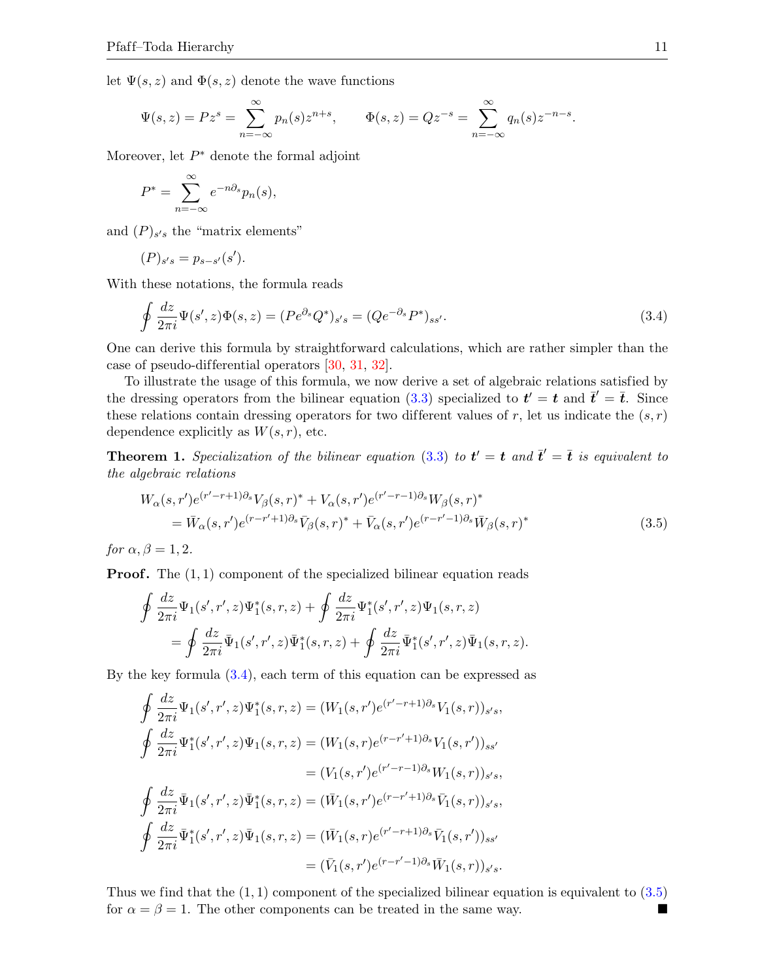let  $\Psi(s, z)$  and  $\Phi(s, z)$  denote the wave functions

$$
\Psi(s, z) = Pz^{s} = \sum_{n=-\infty}^{\infty} p_{n}(s)z^{n+s}, \qquad \Phi(s, z) = Qz^{-s} = \sum_{n=-\infty}^{\infty} q_{n}(s)z^{-n-s}.
$$

Moreover, let  $P^*$  denote the formal adjoint

$$
P^* = \sum_{n=-\infty}^{\infty} e^{-n\partial_s} p_n(s),
$$

and  $(P)_{s's}$  the "matrix elements"

$$
(P)_{s's} = p_{s-s'}(s').
$$

With these notations, the formula reads

<span id="page-10-0"></span>
$$
\oint \frac{dz}{2\pi i} \Psi(s', z) \Phi(s, z) = (P e^{\partial_s} Q^*)_{s's} = (Q e^{-\partial_s} P^*)_{ss'}.
$$
\n(3.4)

One can derive this formula by straightforward calculations, which are rather simpler than the case of pseudo-differential operators [\[30,](#page-33-22) [31,](#page-33-23) [32\]](#page-33-24).

To illustrate the usage of this formula, we now derive a set of algebraic relations satisfied by the dressing operators from the bilinear equation [\(3.3\)](#page-8-1) specialized to  $t' = t$  and  $\bar{t}' = \bar{t}$ . Since these relations contain dressing operators for two different values of  $r$ , let us indicate the  $(s, r)$ dependence explicitly as  $W(s, r)$ , etc.

**Theorem 1.** Specialization of the bilinear equation [\(3.3\)](#page-8-1) to  $t' = t$  and  $\bar{t}' = \bar{t}$  is equivalent to the algebraic relations

<span id="page-10-1"></span>
$$
W_{\alpha}(s,r')e^{(r'-r+1)\partial_{s}}V_{\beta}(s,r)^{*} + V_{\alpha}(s,r')e^{(r'-r-1)\partial_{s}}W_{\beta}(s,r)^{*}
$$
  
=  $\bar{W}_{\alpha}(s,r')e^{(r-r'+1)\partial_{s}}\bar{V}_{\beta}(s,r)^{*} + \bar{V}_{\alpha}(s,r')e^{(r-r'-1)\partial_{s}}\bar{W}_{\beta}(s,r)^{*}$  (3.5)

for  $\alpha, \beta = 1, 2$ .

**Proof.** The  $(1, 1)$  component of the specialized bilinear equation reads

$$
\oint \frac{dz}{2\pi i} \Psi_1(s', r', z) \Psi_1^*(s, r, z) + \oint \frac{dz}{2\pi i} \Psi_1^*(s', r', z) \Psi_1(s, r, z) \n= \oint \frac{dz}{2\pi i} \bar{\Psi}_1(s', r', z) \bar{\Psi}_1^*(s, r, z) + \oint \frac{dz}{2\pi i} \bar{\Psi}_1^*(s', r', z) \bar{\Psi}_1(s, r, z).
$$

By the key formula [\(3.4\)](#page-10-0), each term of this equation can be expressed as

$$
\oint \frac{dz}{2\pi i} \Psi_1(s',r',z) \Psi_1^*(s,r,z) = (W_1(s,r')e^{(r'-r+1)\partial_s} V_1(s,r))_{s's},
$$
\n
$$
\oint \frac{dz}{2\pi i} \Psi_1^*(s',r',z) \Psi_1(s,r,z) = (W_1(s,r)e^{(r-r'+1)\partial_s} V_1(s,r'))_{ss'}
$$
\n
$$
= (V_1(s,r')e^{(r'-r-1)\partial_s} W_1(s,r))_{s's},
$$
\n
$$
\oint \frac{dz}{2\pi i} \Psi_1(s',r',z) \Psi_1^*(s,r,z) = (\bar{W}_1(s,r')e^{(r-r'+1)\partial_s} \bar{V}_1(s,r))_{s's},
$$
\n
$$
\oint \frac{dz}{2\pi i} \Psi_1^*(s',r',z) \Psi_1(s,r,z) = (\bar{W}_1(s,r)e^{(r'-r+1)\partial_s} \bar{V}_1(s,r'))_{ss'}
$$
\n
$$
= (\bar{V}_1(s,r')e^{(r-r'-1)\partial_s} \bar{W}_1(s,r))_{s's}.
$$

Thus we find that the  $(1, 1)$  component of the specialized bilinear equation is equivalent to  $(3.5)$ for  $\alpha = \beta = 1$ . The other components can be treated in the same way.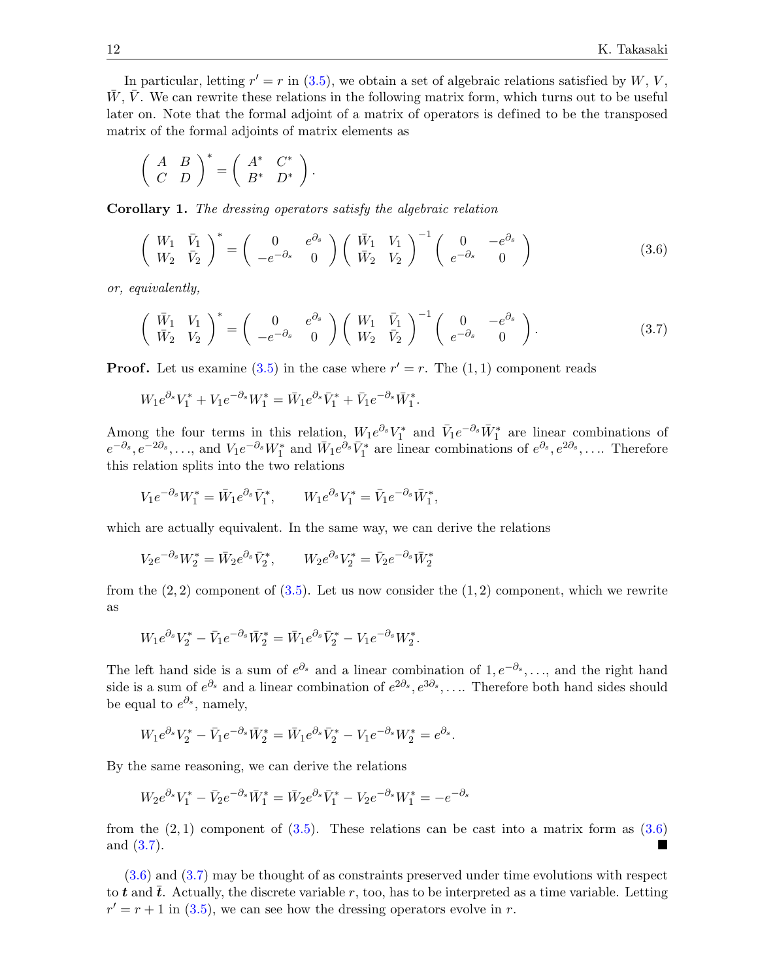In particular, letting  $r' = r$  in [\(3.5\)](#page-10-1), we obtain a set of algebraic relations satisfied by  $W, V,$  $W, V$ . We can rewrite these relations in the following matrix form, which turns out to be useful later on. Note that the formal adjoint of a matrix of operators is defined to be the transposed matrix of the formal adjoints of matrix elements as

$$
\left(\begin{array}{cc}A&B\\C&D\end{array}\right)^*=\left(\begin{array}{cc}A^*&C^*\\B^*&D^*\end{array}\right).
$$

Corollary 1. The dressing operators satisfy the algebraic relation

<span id="page-11-0"></span>
$$
\begin{pmatrix}\nW_1 & \bar{V}_1 \\
W_2 & \bar{V}_2\n\end{pmatrix}^* = \begin{pmatrix}\n0 & e^{\partial_s} \\
-e^{-\partial_s} & 0\n\end{pmatrix} \begin{pmatrix}\n\bar{W}_1 & V_1 \\
\bar{W}_2 & V_2\n\end{pmatrix}^{-1} \begin{pmatrix}\n0 & -e^{\partial_s} \\
e^{-\partial_s} & 0\n\end{pmatrix}
$$
\n(3.6)

or, equivalently,

<span id="page-11-1"></span>
$$
\begin{pmatrix}\n\overline{W}_1 & V_1 \\
\overline{W}_2 & V_2\n\end{pmatrix}^* = \begin{pmatrix}\n0 & e^{\partial_s} \\
-e^{-\partial_s} & 0\n\end{pmatrix} \begin{pmatrix}\nW_1 & \overline{V}_1 \\
W_2 & \overline{V}_2\n\end{pmatrix}^{-1} \begin{pmatrix}\n0 & -e^{\partial_s} \\
e^{-\partial_s} & 0\n\end{pmatrix}.
$$
\n(3.7)

**Proof.** Let us examine [\(3.5\)](#page-10-1) in the case where  $r' = r$ . The (1, 1) component reads

$$
W_1 e^{\partial_s} V_1^* + V_1 e^{-\partial_s} W_1^* = \bar{W}_1 e^{\partial_s} \bar{V}_1^* + \bar{V}_1 e^{-\partial_s} \bar{W}_1^*.
$$

Among the four terms in this relation,  $W_1e^{\partial_s}V_1^*$  and  $\bar{V}_1e^{-\partial_s}\bar{W}_1^*$  are linear combinations of  $e^{-\partial_s}, e^{-2\partial_s}, \ldots$ , and  $V_1e^{-\partial_s}W_1^*$  and  $\bar{W}_1e^{\partial_s}\bar{V}_1^*$  are linear combinations of  $e^{\partial_s}, e^{2\partial_s}, \ldots$ . Therefore this relation splits into the two relations

$$
V_1 e^{-\partial_s} W_1^* = \bar{W}_1 e^{\partial_s} \bar{V}_1^*, \qquad W_1 e^{\partial_s} V_1^* = \bar{V}_1 e^{-\partial_s} \bar{W}_1^*,
$$

which are actually equivalent. In the same way, we can derive the relations

$$
V_2 e^{-\partial_s} W_2^* = \bar{W}_2 e^{\partial_s} \bar{V}_2^*, \qquad W_2 e^{\partial_s} V_2^* = \bar{V}_2 e^{-\partial_s} \bar{W}_2^*
$$

from the  $(2, 2)$  component of  $(3.5)$ . Let us now consider the  $(1, 2)$  component, which we rewrite as

$$
W_1 e^{\partial_s} V_2^* - \bar{V}_1 e^{-\partial_s} \bar{W}_2^* = \bar{W}_1 e^{\partial_s} \bar{V}_2^* - V_1 e^{-\partial_s} W_2^*.
$$

The left hand side is a sum of  $e^{\partial_s}$  and a linear combination of 1,  $e^{-\partial_s}$ ,..., and the right hand side is a sum of  $e^{\partial_s}$  and a linear combination of  $e^{2\partial_s}, e^{3\partial_s}, \ldots$  Therefore both hand sides should be equal to  $e^{\partial_s}$ , namely,

$$
W_1 e^{\partial_s} V_2^* - \bar{V}_1 e^{-\partial_s} \bar{W}_2^* = \bar{W}_1 e^{\partial_s} \bar{V}_2^* - V_1 e^{-\partial_s} W_2^* = e^{\partial_s}.
$$

By the same reasoning, we can derive the relations

$$
W_2 e^{\partial_s} V_1^* - \bar{V}_2 e^{-\partial_s} \bar{W}_1^* = \bar{W}_2 e^{\partial_s} \bar{V}_1^* - V_2 e^{-\partial_s} W_1^* = -e^{-\partial_s}
$$

from the  $(2,1)$  component of  $(3.5)$ . These relations can be cast into a matrix form as  $(3.6)$ and [\(3.7\)](#page-11-1).

[\(3.6\)](#page-11-0) and [\(3.7\)](#page-11-1) may be thought of as constraints preserved under time evolutions with respect to t and  $\bar{t}$ . Actually, the discrete variable r, too, has to be interpreted as a time variable. Letting  $r' = r + 1$  in [\(3.5\)](#page-10-1), we can see how the dressing operators evolve in r.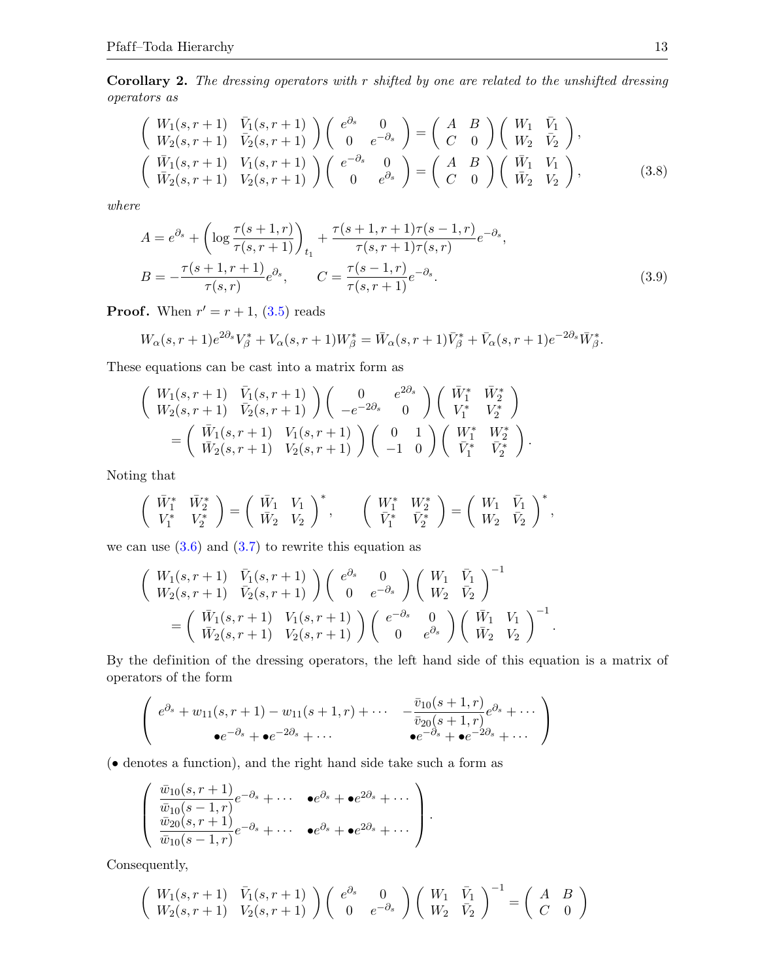**Corollary 2.** The dressing operators with r shifted by one are related to the unshifted dressing operators as

<span id="page-12-1"></span>
$$
\begin{pmatrix}\nW_1(s,r+1) & \bar{V}_1(s,r+1) \\
W_2(s,r+1) & \bar{V}_2(s,r+1)\n\end{pmatrix}\n\begin{pmatrix}\ne^{\partial_s} & 0 \\
0 & e^{-\partial_s}\n\end{pmatrix} =\n\begin{pmatrix}\nA & B \\
C & 0\n\end{pmatrix}\n\begin{pmatrix}\nW_1 & \bar{V}_1 \\
W_2 & \bar{V}_2\n\end{pmatrix},
$$
\n
$$
\begin{pmatrix}\n\bar{W}_1(s,r+1) & V_1(s,r+1) \\
\bar{W}_2(s,r+1) & V_2(s,r+1)\n\end{pmatrix}\n\begin{pmatrix}\ne^{-\partial_s} & 0 \\
0 & e^{\partial_s}\n\end{pmatrix} =\n\begin{pmatrix}\nA & B \\
C & 0\n\end{pmatrix}\n\begin{pmatrix}\n\bar{W}_1 & V_1 \\
\bar{W}_2 & V_2\n\end{pmatrix},
$$
\n(3.8)

where

<span id="page-12-0"></span>
$$
A = e^{\partial_s} + \left(\log \frac{\tau(s+1,r)}{\tau(s,r+1)}\right)_{t_1} + \frac{\tau(s+1,r+1)\tau(s-1,r)}{\tau(s,r+1)\tau(s,r)}e^{-\partial_s},
$$
  
\n
$$
B = -\frac{\tau(s+1,r+1)}{\tau(s,r)}e^{\partial_s}, \qquad C = \frac{\tau(s-1,r)}{\tau(s,r+1)}e^{-\partial_s}.
$$
\n(3.9)

**Proof.** When  $r' = r + 1$ , [\(3.5\)](#page-10-1) reads

$$
W_{\alpha}(s, r+1)e^{2\partial_{s}}V_{\beta}^{*} + V_{\alpha}(s, r+1)W_{\beta}^{*} = \bar{W}_{\alpha}(s, r+1)\bar{V}_{\beta}^{*} + \bar{V}_{\alpha}(s, r+1)e^{-2\partial_{s}}\bar{W}_{\beta}^{*}.
$$

These equations can be cast into a matrix form as

$$
\begin{pmatrix}\nW_1(s,r+1) & \bar{V}_1(s,r+1) \\
W_2(s,r+1) & \bar{V}_2(s,r+1)\n\end{pmatrix}\n\begin{pmatrix}\n0 & e^{2\partial_s} \\
-e^{-2\partial_s} & 0\n\end{pmatrix}\n\begin{pmatrix}\n\bar{W}_1^* & \bar{W}_2^* \\
V_1^* & V_2^*\n\end{pmatrix} \\
= \begin{pmatrix}\n\bar{W}_1(s,r+1) & V_1(s,r+1) \\
\bar{W}_2(s,r+1) & V_2(s,r+1)\n\end{pmatrix}\n\begin{pmatrix}\n0 & 1 \\
-1 & 0\n\end{pmatrix}\n\begin{pmatrix}\nW_1^* & W_2^* \\
\bar{V}_1^* & \bar{V}_2^*\n\end{pmatrix}.
$$

Noting that

$$
\left( \begin{array}{cc} \bar{W}_1^* & \bar{W}_2^* \\ V_1^* & V_2^* \end{array} \right) = \left( \begin{array}{cc} \bar{W}_1 & V_1 \\ \bar{W}_2 & V_2 \end{array} \right)^*, \qquad \left( \begin{array}{cc} W_1^* & W_2^* \\ \bar{V}_1^* & \bar{V}_2^* \end{array} \right) = \left( \begin{array}{cc} W_1 & \bar{V}_1 \\ W_2 & \bar{V}_2 \end{array} \right)^*,
$$

we can use  $(3.6)$  and  $(3.7)$  to rewrite this equation as

$$
\begin{aligned}\n\left(\begin{array}{cc} W_1(s,r+1) & \bar{V}_1(s,r+1) \\ W_2(s,r+1) & \bar{V}_2(s,r+1) \end{array}\right) & \left(\begin{array}{cc} e^{\partial_s} & 0 \\ 0 & e^{-\partial_s} \end{array}\right) & \left(\begin{array}{cc} W_1 & \bar{V}_1 \\ W_2 & \bar{V}_2 \end{array}\right)^{-1} \\
&= \left(\begin{array}{cc} \bar{W}_1(s,r+1) & V_1(s,r+1) \\ \bar{W}_2(s,r+1) & V_2(s,r+1) \end{array}\right) & \left(\begin{array}{cc} e^{-\partial_s} & 0 \\ 0 & e^{\partial_s} \end{array}\right) & \left(\begin{array}{cc} \bar{W}_1 & V_1 \\ \bar{W}_2 & V_2 \end{array}\right)^{-1}.\n\end{aligned}
$$

By the definition of the dressing operators, the left hand side of this equation is a matrix of operators of the form

$$
\begin{pmatrix} e^{\partial_s} + w_{11}(s, r+1) - w_{11}(s+1, r) + \cdots & -\frac{\bar{v}_{10}(s+1, r)}{\bar{v}_{20}(s+1, r)} e^{\partial_s} + \cdots \\ \bullet e^{-\partial_s} + \bullet e^{-2\partial_s} + \cdots & \bullet e^{-\partial_s} + \bullet e^{-2\partial_s} + \cdots \end{pmatrix}
$$

(• denotes a function), and the right hand side take such a form as

$$
\begin{pmatrix}\n\frac{\bar{w}_{10}(s,r+1)}{\bar{w}_{10}(s-1,r)}e^{-\partial_s} + \cdots & \bullet e^{\partial_s} + \bullet e^{2\partial_s} + \cdots \\
\frac{\bar{w}_{20}(s,r+1)}{\bar{w}_{10}(s-1,r)}e^{-\partial_s} + \cdots & \bullet e^{\partial_s} + \bullet e^{2\partial_s} + \cdots\n\end{pmatrix}.
$$

Consequently,

$$
\begin{pmatrix}\nW_1(s,r+1) & \bar{V}_1(s,r+1) \\
W_2(s,r+1) & V_2(s,r+1)\n\end{pmatrix}\n\begin{pmatrix}\ne^{\partial_s} & 0 \\
0 & e^{-\partial_s}\n\end{pmatrix}\n\begin{pmatrix}\nW_1 & \bar{V}_1 \\
W_2 & \bar{V}_2\n\end{pmatrix}^{-1} =\n\begin{pmatrix}\nA & B \\
C & 0\n\end{pmatrix}
$$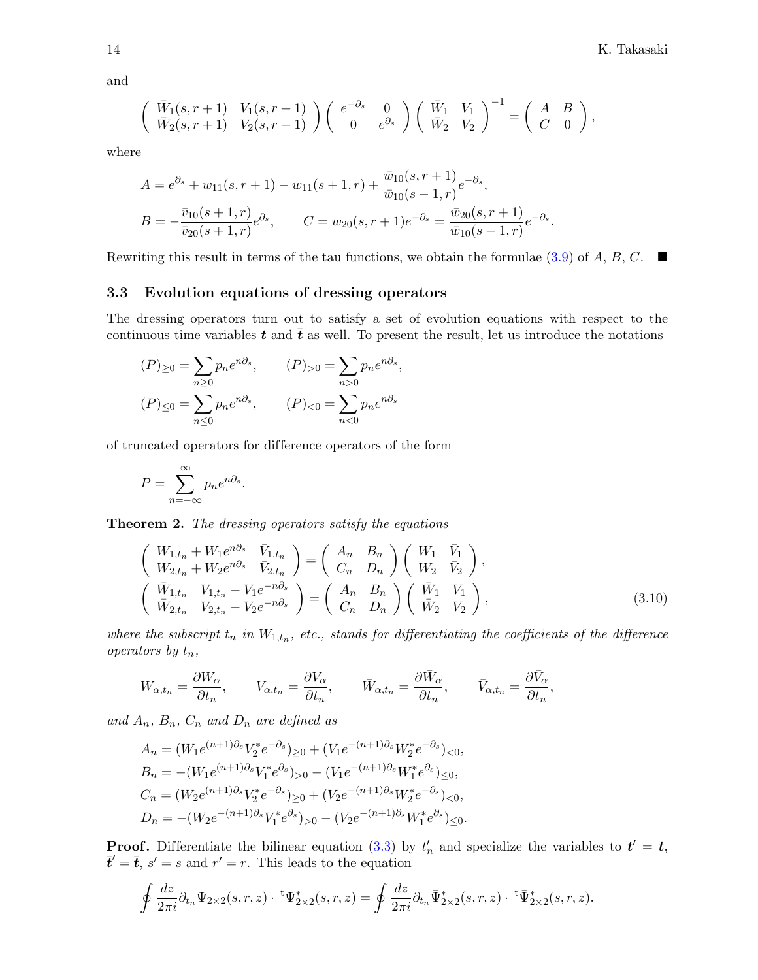and

$$
\begin{pmatrix}\n\overline{W}_1(s,r+1) & V_1(s,r+1) \\
\overline{W}_2(s,r+1) & V_2(s,r+1)\n\end{pmatrix}\n\begin{pmatrix}\ne^{-\partial_s} & 0 \\
0 & e^{\partial_s}\n\end{pmatrix}\n\begin{pmatrix}\n\overline{W}_1 & V_1 \\
\overline{W}_2 & V_2\n\end{pmatrix}^{-1} =\n\begin{pmatrix}\nA & B \\
C & 0\n\end{pmatrix},
$$

where

$$
A = e^{\partial_s} + w_{11}(s, r+1) - w_{11}(s+1, r) + \frac{\bar{w}_{10}(s, r+1)}{\bar{w}_{10}(s-1, r)} e^{-\partial_s},
$$
  
\n
$$
B = -\frac{\bar{v}_{10}(s+1, r)}{\bar{v}_{20}(s+1, r)} e^{\partial_s}, \qquad C = w_{20}(s, r+1) e^{-\partial_s} = \frac{\bar{w}_{20}(s, r+1)}{\bar{w}_{10}(s-1, r)} e^{-\partial_s}.
$$

Rewriting this result in terms of the tau functions, we obtain the formulae  $(3.9)$  of A, B, C.

#### 3.3 Evolution equations of dressing operators

The dressing operators turn out to satisfy a set of evolution equations with respect to the continuous time variables t and  $\bar{t}$  as well. To present the result, let us introduce the notations

$$
(P)_{\geq 0} = \sum_{n\geq 0} p_n e^{n\partial_s}, \qquad (P)_{>0} = \sum_{n>0} p_n e^{n\partial_s},
$$
  

$$
(P)_{\leq 0} = \sum_{n\leq 0} p_n e^{n\partial_s}, \qquad (P)_{<0} = \sum_{n<0} p_n e^{n\partial_s}
$$

of truncated operators for dif ference operators of the form

$$
P = \sum_{n=-\infty}^{\infty} p_n e^{n\partial_s}.
$$

Theorem 2. The dressing operators satisfy the equations

<span id="page-13-0"></span>
$$
\begin{pmatrix}\nW_{1,t_n} + W_1 e^{n\partial_s} & \bar{V}_{1,t_n} \\
W_{2,t_n} + W_2 e^{n\partial_s} & \bar{V}_{2,t_n}\n\end{pmatrix} = \begin{pmatrix}\nA_n & B_n \\
C_n & D_n\n\end{pmatrix} \begin{pmatrix}\nW_1 & \bar{V}_1 \\
W_2 & \bar{V}_2\n\end{pmatrix},
$$
\n
$$
\begin{pmatrix}\n\bar{W}_{1,t_n} & V_{1,t_n} - V_1 e^{-n\partial_s} \\
\bar{W}_{2,t_n} & V_{2,t_n} - V_2 e^{-n\partial_s}\n\end{pmatrix} = \begin{pmatrix}\nA_n & B_n \\
C_n & D_n\n\end{pmatrix} \begin{pmatrix}\n\bar{W}_1 & V_1 \\
\bar{W}_2 & V_2\n\end{pmatrix},
$$
\n(3.10)

where the subscript  $t_n$  in  $W_{1,t_n}$ , etc., stands for differentiating the coefficients of the difference operators by  $t_n$ ,

$$
W_{\alpha,t_n}=\frac{\partial W_\alpha}{\partial t_n},\qquad V_{\alpha,t_n}=\frac{\partial V_\alpha}{\partial t_n},\qquad \bar W_{\alpha,t_n}=\frac{\partial \bar W_\alpha}{\partial t_n},\qquad \bar V_{\alpha,t_n}=\frac{\partial \bar V_\alpha}{\partial t_n},
$$

and  $A_n$ ,  $B_n$ ,  $C_n$  and  $D_n$  are defined as

$$
A_n = (W_1 e^{(n+1)\partial_s} V_2^* e^{-\partial_s})_{\geq 0} + (V_1 e^{-(n+1)\partial_s} W_2^* e^{-\partial_s})_{\leq 0},
$$
  
\n
$$
B_n = -(W_1 e^{(n+1)\partial_s} V_1^* e^{\partial_s})_{\geq 0} - (V_1 e^{-(n+1)\partial_s} W_1^* e^{\partial_s})_{\leq 0},
$$
  
\n
$$
C_n = (W_2 e^{(n+1)\partial_s} V_2^* e^{-\partial_s})_{\geq 0} + (V_2 e^{-(n+1)\partial_s} W_2^* e^{-\partial_s})_{\leq 0},
$$
  
\n
$$
D_n = -(W_2 e^{-(n+1)\partial_s} V_1^* e^{\partial_s})_{\geq 0} - (V_2 e^{-(n+1)\partial_s} W_1^* e^{\partial_s})_{\leq 0}.
$$

**Proof.** Differentiate the bilinear equation [\(3.3\)](#page-8-1) by  $t'_n$  and specialize the variables to  $t' = t$ ,  $\bar{t}' = \bar{t}$ ,  $s' = s$  and  $r' = r$ . This leads to the equation

$$
\oint \frac{dz}{2\pi i} \partial_{t_n} \Psi_{2\times 2}(s,r,z) \cdot {}^{\mathfrak{t}} \Psi^*_{2\times 2}(s,r,z) = \oint \frac{dz}{2\pi i} \partial_{t_n} \bar{\Psi}^*_{2\times 2}(s,r,z) \cdot {}^{\mathfrak{t}} \bar{\Psi}^*_{2\times 2}(s,r,z).
$$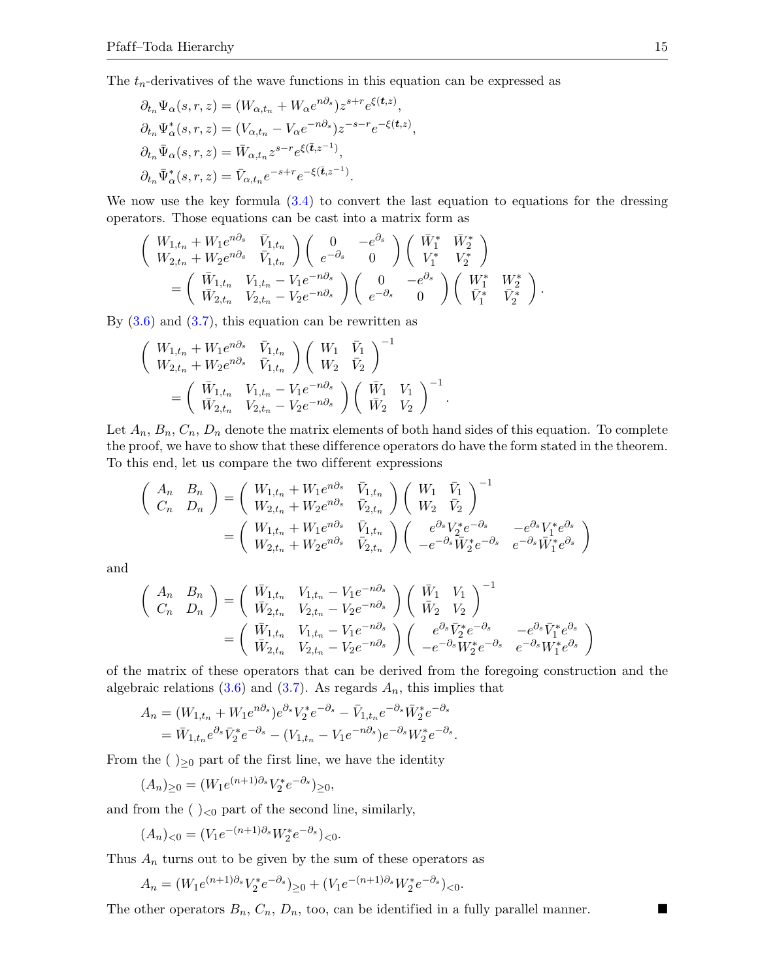The  $t_n$ -derivatives of the wave functions in this equation can be expressed as

$$
\partial_{t_n} \Psi_{\alpha}(s, r, z) = (W_{\alpha, t_n} + W_{\alpha} e^{n\partial_s}) z^{s+r} e^{\xi(t, z)},
$$
  
\n
$$
\partial_{t_n} \Psi_{\alpha}^*(s, r, z) = (V_{\alpha, t_n} - V_{\alpha} e^{-n\partial_s}) z^{-s-r} e^{-\xi(t, z)},
$$
  
\n
$$
\partial_{t_n} \bar{\Psi}_{\alpha}(s, r, z) = \bar{W}_{\alpha, t_n} z^{s-r} e^{\xi(\bar{t}, z^{-1})},
$$
  
\n
$$
\partial_{t_n} \bar{\Psi}_{\alpha}^*(s, r, z) = \bar{V}_{\alpha, t_n} e^{-s+r} e^{-\xi(\bar{t}, z^{-1})}.
$$

We now use the key formula [\(3.4\)](#page-10-0) to convert the last equation to equations for the dressing operators. Those equations can be cast into a matrix form as

$$
\begin{pmatrix}\nW_{1,t_n} + W_1 e^{n\partial_s} & \bar{V}_{1,t_n} \\
W_{2,t_n} + W_2 e^{n\partial_s} & \bar{V}_{1,t_n}\n\end{pmatrix}\n\begin{pmatrix}\n0 & -e^{\partial_s} \\
e^{-\partial_s} & 0\n\end{pmatrix}\n\begin{pmatrix}\n\bar{W}_1^* & \bar{W}_2^* \\
V_1^* & V_2^*\n\end{pmatrix}
$$
\n
$$
= \begin{pmatrix}\n\bar{W}_{1,t_n} & V_{1,t_n} - V_1 e^{-n\partial_s} \\
\bar{W}_{2,t_n} & V_{2,t_n} - V_2 e^{-n\partial_s}\n\end{pmatrix}\n\begin{pmatrix}\n0 & -e^{\partial_s} \\
e^{-\partial_s} & 0\n\end{pmatrix}\n\begin{pmatrix}\nW_1^* & W_2^* \\
\bar{V}_1^* & \bar{V}_2^*\n\end{pmatrix}.
$$

By  $(3.6)$  and  $(3.7)$ , this equation can be rewritten as

$$
\begin{aligned}\n&\left(\begin{array}{c} W_{1,t_n} + W_1 e^{n\partial_s} & \bar{V}_{1,t_n} \\ W_{2,t_n} + W_2 e^{n\partial_s} & \bar{V}_{1,t_n} \end{array}\right) \left(\begin{array}{cc} W_1 & \bar{V}_1 \\ W_2 & \bar{V}_2 \end{array}\right)^{-1} \\
&= \left(\begin{array}{cc} \bar{W}_{1,t_n} & V_{1,t_n} - V_1 e^{-n\partial_s} \\ \bar{W}_{2,t_n} & V_{2,t_n} - V_2 e^{-n\partial_s} \end{array}\right) \left(\begin{array}{cc} \bar{W}_1 & V_1 \\ \bar{W}_2 & V_2 \end{array}\right)^{-1}.\n\end{aligned}
$$

Let  $A_n$ ,  $B_n$ ,  $C_n$ ,  $D_n$  denote the matrix elements of both hand sides of this equation. To complete the proof, we have to show that these dif ference operators do have the form stated in the theorem. To this end, let us compare the two dif ferent expressions

$$
\begin{pmatrix}\nA_n & B_n \\
C_n & D_n\n\end{pmatrix} = \begin{pmatrix}\nW_{1,t_n} + W_1 e^{n\partial_s} & \bar{V}_{1,t_n} \\
W_{2,t_n} + W_2 e^{n\partial_s} & \bar{V}_{2,t_n}\n\end{pmatrix} \begin{pmatrix}\nW_1 & \bar{V}_1 \\
W_2 & \bar{V}_2\n\end{pmatrix}^{-1}
$$
\n
$$
= \begin{pmatrix}\nW_{1,t_n} + W_1 e^{n\partial_s} & \bar{V}_{1,t_n} \\
W_{2,t_n} + W_2 e^{n\partial_s} & \bar{V}_{2,t_n}\n\end{pmatrix} \begin{pmatrix}\ne^{\partial_s} V_2^* e^{-\partial_s} & -e^{\partial_s} V_1^* e^{\partial_s} \\
-e^{-\partial_s} \bar{W}_2^* e^{-\partial_s} & e^{-\partial_s} \bar{W}_1^* e^{\partial_s}\n\end{pmatrix}
$$

and

$$
\begin{pmatrix}\nA_n & B_n \\
C_n & D_n\n\end{pmatrix} = \begin{pmatrix}\n\bar{W}_{1,t_n} & V_{1,t_n} - V_1 e^{-n\partial_s} \\
\bar{W}_{2,t_n} & V_{2,t_n} - V_2 e^{-n\partial_s}\n\end{pmatrix} \begin{pmatrix}\n\bar{W}_1 & V_1 \\
\bar{W}_2 & V_2\n\end{pmatrix}^{-1}
$$
\n
$$
= \begin{pmatrix}\n\bar{W}_{1,t_n} & V_{1,t_n} - V_1 e^{-n\partial_s} \\
\bar{W}_{2,t_n} & V_{2,t_n} - V_2 e^{-n\partial_s}\n\end{pmatrix} \begin{pmatrix}\ne^{\partial_s} \bar{V}_2^* e^{-\partial_s} & -e^{\partial_s} \bar{V}_1^* e^{\partial_s} \\
-e^{-\partial_s} W_2^* e^{-\partial_s} & e^{-\partial_s} W_1^* e^{\partial_s}\n\end{pmatrix}
$$

of the matrix of these operators that can be derived from the foregoing construction and the algebraic relations  $(3.6)$  and  $(3.7)$ . As regards  $A_n$ , this implies that

$$
A_n = (W_{1,t_n} + W_1 e^{n\partial_s}) e^{\partial_s} V_2^* e^{-\partial_s} - \bar{V}_{1,t_n} e^{-\partial_s} \bar{W}_2^* e^{-\partial_s}
$$
  
=  $\bar{W}_{1,t_n} e^{\partial_s} \bar{V}_2^* e^{-\partial_s} - (V_{1,t_n} - V_1 e^{-n\partial_s}) e^{-\partial_s} W_2^* e^{-\partial_s}.$ 

From the ( $\geq 0$  part of the first line, we have the identity

$$
(A_n)_{\geq 0} = (W_1 e^{(n+1)\partial_s} V_2^* e^{-\partial_s})_{\geq 0},
$$

and from the ( $\,$ ) $\lt$ 0 part of the second line, similarly,

$$
(A_n)_{<0} = (V_1 e^{-(n+1)\partial_s} W_2^* e^{-\partial_s})_{<0}.
$$

Thus  $A_n$  turns out to be given by the sum of these operators as

$$
A_n = (W_1 e^{(n+1)\partial_s} V_2^* e^{-\partial_s})_{\geq 0} + (V_1 e^{-(n+1)\partial_s} W_2^* e^{-\partial_s})_{\leq 0}.
$$

The other operators  $B_n$ ,  $C_n$ ,  $D_n$ , too, can be identified in a fully parallel manner.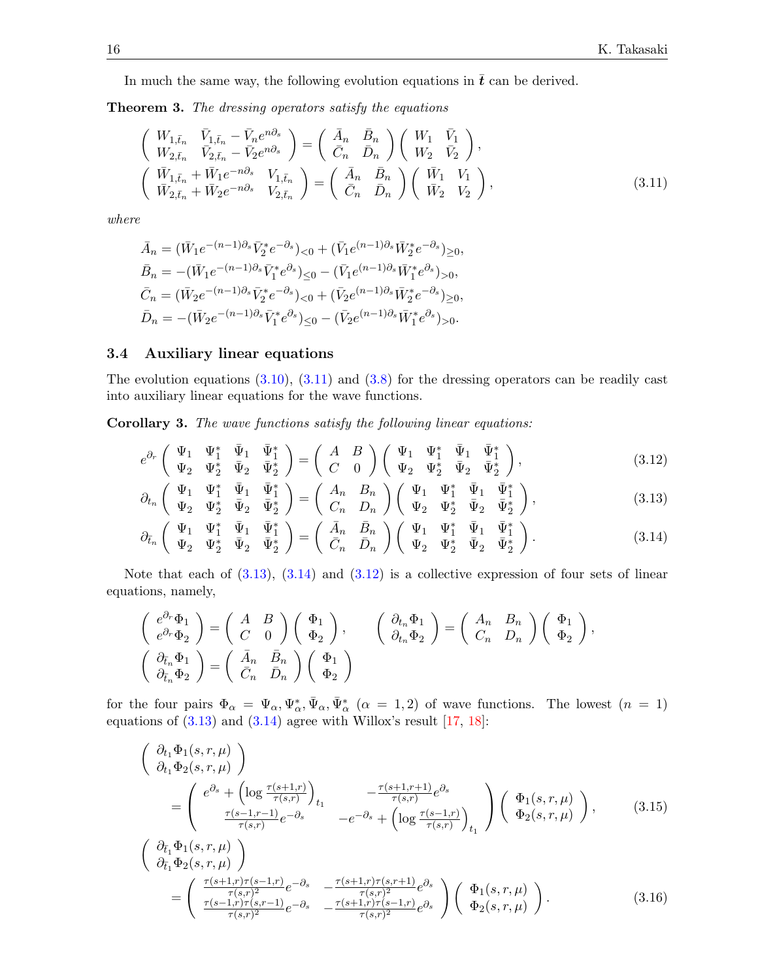In much the same way, the following evolution equations in  $\bar{t}$  can be derived.

Theorem 3. The dressing operators satisfy the equations

<span id="page-15-0"></span>
$$
\begin{pmatrix}\nW_{1,\bar{t}_n} & \bar{V}_{1,\bar{t}_n} - \bar{V}_n e^{n\partial_s} \\
W_{2,\bar{t}_n} & \bar{V}_{2,\bar{t}_n} - \bar{V}_2 e^{n\partial_s}\n\end{pmatrix} = \begin{pmatrix}\n\bar{A}_n & \bar{B}_n \\
\bar{C}_n & \bar{D}_n\n\end{pmatrix} \begin{pmatrix}\nW_1 & \bar{V}_1 \\
W_2 & \bar{V}_2\n\end{pmatrix},
$$
\n
$$
\begin{pmatrix}\n\bar{W}_{1,\bar{t}_n} + \bar{W}_1 e^{-n\partial_s} & V_{1,\bar{t}_n} \\
\bar{W}_{2,\bar{t}_n} + \bar{W}_2 e^{-n\partial_s} & V_{2,\bar{t}_n}\n\end{pmatrix} = \begin{pmatrix}\n\bar{A}_n & \bar{B}_n \\
\bar{C}_n & \bar{D}_n\n\end{pmatrix} \begin{pmatrix}\n\bar{W}_1 & V_1 \\
\bar{W}_2 & V_2\n\end{pmatrix},
$$
\n(3.11)

where

$$
\bar{A}_n = (\bar{W}_1 e^{-(n-1)\partial_s} \bar{V}_2^* e^{-\partial_s})_{< 0} + (\bar{V}_1 e^{(n-1)\partial_s} \bar{W}_2^* e^{-\partial_s})_{\geq 0},
$$
\n
$$
\bar{B}_n = -(\bar{W}_1 e^{-(n-1)\partial_s} \bar{V}_1^* e^{\partial_s})_{\leq 0} - (\bar{V}_1 e^{(n-1)\partial_s} \bar{W}_1^* e^{\partial_s})_{> 0},
$$
\n
$$
\bar{C}_n = (\bar{W}_2 e^{-(n-1)\partial_s} \bar{V}_2^* e^{-\partial_s})_{< 0} + (\bar{V}_2 e^{(n-1)\partial_s} \bar{W}_2^* e^{-\partial_s})_{\geq 0},
$$
\n
$$
\bar{D}_n = -(\bar{W}_2 e^{-(n-1)\partial_s} \bar{V}_1^* e^{\partial_s})_{\leq 0} - (\bar{V}_2 e^{(n-1)\partial_s} \bar{W}_1^* e^{\partial_s})_{> 0}.
$$

## 3.4 Auxiliary linear equations

The evolution equations  $(3.10)$ ,  $(3.11)$  and  $(3.8)$  for the dressing operators can be readily cast into auxiliary linear equations for the wave functions.

Corollary 3. The wave functions satisfy the following linear equations:

<span id="page-15-3"></span>
$$
e^{\partial_r} \begin{pmatrix} \Psi_1 & \Psi_1^* & \bar{\Psi}_1 & \bar{\Psi}_1^* \\ \Psi_2 & \Psi_2^* & \bar{\Psi}_2 & \bar{\Psi}_2^* \end{pmatrix} = \begin{pmatrix} A & B \\ C & 0 \end{pmatrix} \begin{pmatrix} \Psi_1 & \Psi_1^* & \bar{\Psi}_1 & \bar{\Psi}_1^* \\ \Psi_2 & \Psi_2^* & \bar{\Psi}_2 & \bar{\Psi}_2^* \end{pmatrix},
$$
(3.12)

<span id="page-15-1"></span>
$$
\partial_{t_n} \left( \begin{array}{cccc} \Psi_1 & \Psi_1^* & \bar{\Psi}_1 & \bar{\Psi}_1^* \\ \Psi_2 & \Psi_2^* & \bar{\Psi}_2 & \bar{\Psi}_2^* \end{array} \right) = \left( \begin{array}{cccc} A_n & B_n \\ C_n & D_n \end{array} \right) \left( \begin{array}{cccc} \Psi_1 & \Psi_1^* & \bar{\Psi}_1 & \bar{\Psi}_1^* \\ \Psi_2 & \Psi_2^* & \bar{\Psi}_2 & \bar{\Psi}_2^* \end{array} \right), \tag{3.13}
$$

<span id="page-15-2"></span>
$$
\partial_{\bar{t}_n} \begin{pmatrix} \Psi_1 & \Psi_1^* & \bar{\Psi}_1 & \bar{\Psi}_1^* \\ \Psi_2 & \Psi_2^* & \bar{\Psi}_2 & \bar{\Psi}_2^* \end{pmatrix} = \begin{pmatrix} \bar{A}_n & \bar{B}_n \\ \bar{C}_n & \bar{D}_n \end{pmatrix} \begin{pmatrix} \Psi_1 & \Psi_1^* & \bar{\Psi}_1 & \bar{\Psi}_1^* \\ \Psi_2 & \Psi_2^* & \bar{\Psi}_2 & \bar{\Psi}_2^* \end{pmatrix} . \tag{3.14}
$$

Note that each of  $(3.13)$ ,  $(3.14)$  and  $(3.12)$  is a collective expression of four sets of linear equations, namely,

$$
\begin{pmatrix}\ne^{\partial_r}\Phi_1 \\
e^{\partial_r}\Phi_2\n\end{pmatrix} = \begin{pmatrix} A & B \\
C & 0\n\end{pmatrix} \begin{pmatrix} \Phi_1 \\
\Phi_2\n\end{pmatrix}, \qquad \begin{pmatrix} \partial_{t_n}\Phi_1 \\
\partial_{t_n}\Phi_2\n\end{pmatrix} = \begin{pmatrix} A_n & B_n \\
C_n & D_n\n\end{pmatrix} \begin{pmatrix} \Phi_1 \\
\Phi_2\n\end{pmatrix},
$$
\n
$$
\begin{pmatrix} \partial_{\bar{t}_n}\Phi_1 \\
\partial_{\bar{t}_n}\Phi_2\n\end{pmatrix} = \begin{pmatrix} \bar{A}_n & \bar{B}_n \\
\bar{C}_n & \bar{D}_n\n\end{pmatrix} \begin{pmatrix} \Phi_1 \\
\Phi_2\n\end{pmatrix}
$$

for the four pairs  $\Phi_{\alpha} = \Psi_{\alpha}, \Psi_{\alpha}^*, \bar{\Psi}_{\alpha}, \bar{\Psi}_{\alpha}^*$  ( $\alpha = 1, 2$ ) of wave functions. The lowest ( $n = 1$ ) equations of  $(3.13)$  and  $(3.14)$  agree with Willox's result  $[17, 18]$  $[17, 18]$  $[17, 18]$ :

<span id="page-15-4"></span>
$$
\begin{pmatrix}\n\partial_{t_1}\Phi_1(s,r,\mu) \\
\partial_{t_1}\Phi_2(s,r,\mu)\n\end{pmatrix} = \begin{pmatrix}\ne^{\partial_s} + \left(\log \frac{\tau(s+1,r)}{\tau(s,r)}\right)_{t_1} & -\frac{\tau(s+1,r+1)}{\tau(s,r)}e^{\partial_s} \\
\frac{\tau(s-1,r-1)}{\tau(s,r)}e^{-\partial_s} & -e^{-\partial_s} + \left(\log \frac{\tau(s-1,r)}{\tau(s,r)}\right)_{t_1}\n\end{pmatrix} \begin{pmatrix}\n\Phi_1(s,r,\mu) \\
\Phi_2(s,r,\mu)\n\end{pmatrix},
$$
\n(3.15)

<span id="page-15-5"></span>
$$
\begin{pmatrix}\n\partial_{\tilde{t}_1} \Phi_1(s, r, \mu) \\
\partial_{\tilde{t}_1} \Phi_2(s, r, \mu)\n\end{pmatrix} = \begin{pmatrix}\n\frac{\tau(s+1, r)\tau(s-1, r)}{\tau(s, r)^2} e^{-\partial_s} & -\frac{\tau(s+1, r)\tau(s, r+1)}{\tau(s, r)^2} e^{\partial_s} \\
\frac{\tau(s-1, r)\tau(s, r-1)}{\tau(s, r)^2} e^{-\partial_s} & -\frac{\tau(s+1, r)\tau(s-1, r)}{\tau(s, r)^2} e^{\partial_s}\n\end{pmatrix} \begin{pmatrix}\n\Phi_1(s, r, \mu) \\
\Phi_2(s, r, \mu)\n\end{pmatrix}.
$$
\n(3.16)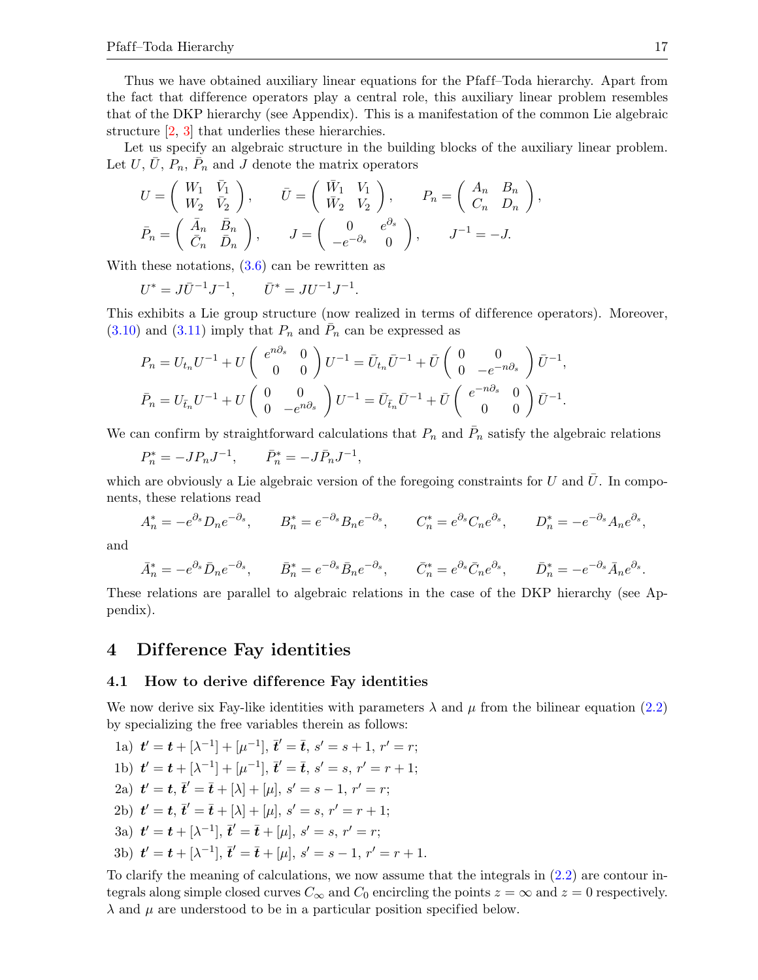Thus we have obtained auxiliary linear equations for the Pfaff–Toda hierarchy. Apart from the fact that dif ference operators play a central role, this auxiliary linear problem resembles that of the DKP hierarchy (see Appendix). This is a manifestation of the common Lie algebraic structure  $\left[2, 3\right]$  $\left[2, 3\right]$  $\left[2, 3\right]$  that underlies these hierarchies.

Let us specify an algebraic structure in the building blocks of the auxiliary linear problem. Let  $U, \bar{U}, P_n, \bar{P}_n$  and J denote the matrix operators

$$
U = \begin{pmatrix} W_1 & \bar{V}_1 \\ W_2 & \bar{V}_2 \end{pmatrix}, \qquad \bar{U} = \begin{pmatrix} \bar{W}_1 & V_1 \\ \bar{W}_2 & V_2 \end{pmatrix}, \qquad P_n = \begin{pmatrix} A_n & B_n \\ C_n & D_n \end{pmatrix},
$$
  

$$
\bar{P}_n = \begin{pmatrix} \bar{A}_n & \bar{B}_n \\ \bar{C}_n & \bar{D}_n \end{pmatrix}, \qquad J = \begin{pmatrix} 0 & e^{\partial_s} \\ -e^{-\partial_s} & 0 \end{pmatrix}, \qquad J^{-1} = -J.
$$

With these notations,  $(3.6)$  can be rewritten as

$$
U^* = J\bar{U}^{-1}J^{-1}, \qquad \bar{U}^* = JU^{-1}J^{-1}.
$$

This exhibits a Lie group structure (now realized in terms of difference operators). Moreover,  $(3.10)$  and  $(3.11)$  imply that  $P_n$  and  $\overline{P}_n$  can be expressed as

$$
P_n = U_{t_n} U^{-1} + U \begin{pmatrix} e^{n\partial_s} & 0 \\ 0 & 0 \end{pmatrix} U^{-1} = \bar{U}_{t_n} \bar{U}^{-1} + \bar{U} \begin{pmatrix} 0 & 0 \\ 0 & -e^{-n\partial_s} \end{pmatrix} \bar{U}^{-1},
$$
  

$$
\bar{P}_n = U_{\bar{t}_n} U^{-1} + U \begin{pmatrix} 0 & 0 \\ 0 & -e^{n\partial_s} \end{pmatrix} U^{-1} = \bar{U}_{\bar{t}_n} \bar{U}^{-1} + \bar{U} \begin{pmatrix} e^{-n\partial_s} & 0 \\ 0 & 0 \end{pmatrix} \bar{U}^{-1}.
$$

We can confirm by straightforward calculations that  $P_n$  and  $\bar{P}_n$  satisfy the algebraic relations

$$
P_n^* = -J P_n J^{-1}, \qquad \bar{P}_n^* = -J \bar{P}_n J^{-1},
$$

which are obviously a Lie algebraic version of the foregoing constraints for U and  $\overline{U}$ . In components, these relations read

$$
A_n^* = -e^{\partial_s} D_n e^{-\partial_s}, \qquad B_n^* = e^{-\partial_s} B_n e^{-\partial_s}, \qquad C_n^* = e^{\partial_s} C_n e^{\partial_s}, \qquad D_n^* = -e^{-\partial_s} A_n e^{\partial_s},
$$

and

$$
\bar{A}_n^* = -e^{\partial_s} \bar{D}_n e^{-\partial_s}, \qquad \bar{B}_n^* = e^{-\partial_s} \bar{B}_n e^{-\partial_s}, \qquad \bar{C}_n^* = e^{\partial_s} \bar{C}_n e^{\partial_s}, \qquad \bar{D}_n^* = -e^{-\partial_s} \bar{A}_n e^{\partial_s}.
$$

These relations are parallel to algebraic relations in the case of the DKP hierarchy (see Appendix).

## <span id="page-16-0"></span>4 Difference Fay identities

#### 4.1 How to derive difference Fay identities

We now derive six Fay-like identities with parameters  $\lambda$  and  $\mu$  from the bilinear equation [\(2.2\)](#page-2-1) by specializing the free variables therein as follows:

1a) 
$$
t' = t + [\lambda^{-1}] + [\mu^{-1}], \bar{t}' = \bar{t}, s' = s + 1, r' = r;
$$

1b) 
$$
t' = t + [\lambda^{-1}] + [\mu^{-1}], \bar{t}' = \bar{t}, s' = s, r' = r + 1;
$$

2a) 
$$
t' = t
$$
,  $\bar{t}' = \bar{t} + [\lambda] + [\mu]$ ,  $s' = s - 1$ ,  $r' = r$ ;

2b) 
$$
t' = t
$$
,  $\bar{t}' = \bar{t} + [\lambda] + [\mu]$ ,  $s' = s$ ,  $r' = r + 1$ ;

3a) 
$$
t' = t + [\lambda^{-1}], \bar{t}' = \bar{t} + [\mu], s' = s, r' = r;
$$

3b) 
$$
t' = t + [\lambda^{-1}], \bar{t}' = \bar{t} + [\mu], s' = s - 1, r' = r + 1.
$$

To clarify the meaning of calculations, we now assume that the integrals in  $(2.2)$  are contour integrals along simple closed curves  $C_{\infty}$  and  $C_0$  encircling the points  $z = \infty$  and  $z = 0$  respectively.  $\lambda$  and  $\mu$  are understood to be in a particular position specified below.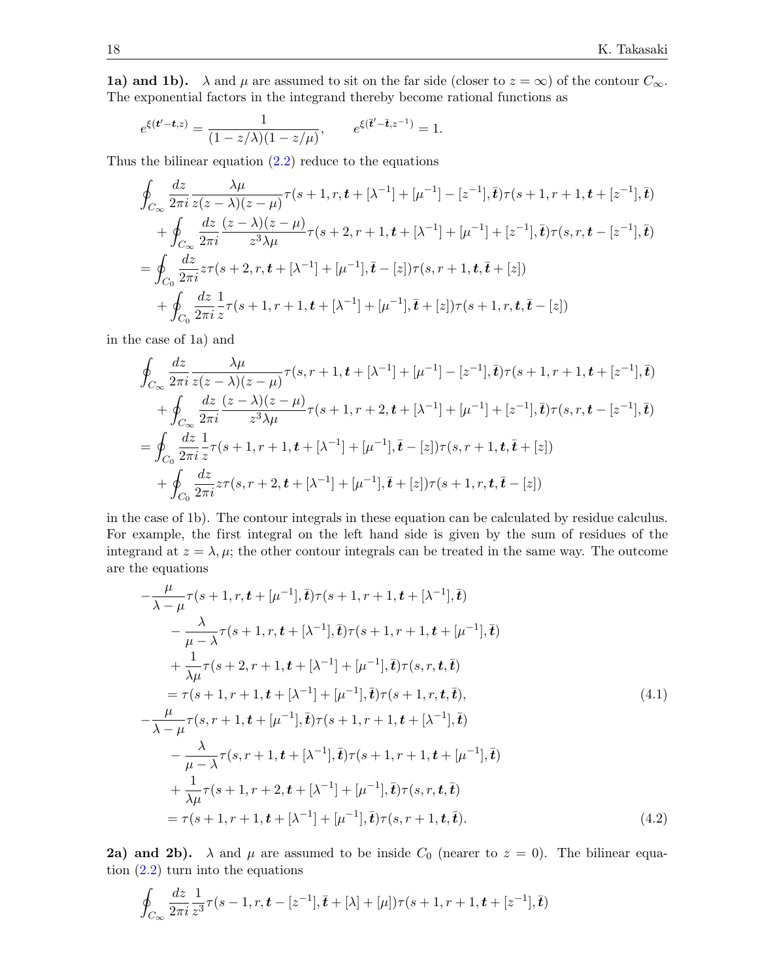1a) and 1b).  $\lambda$  and  $\mu$  are assumed to sit on the far side (closer to  $z = \infty$ ) of the contour  $C_{\infty}$ . The exponential factors in the integrand thereby become rational functions as

$$
e^{\xi(t'-t,z)} = \frac{1}{(1-z/\lambda)(1-z/\mu)}, \qquad e^{\xi(t'-\bar{t},z^{-1})} = 1.
$$

Thus the bilinear equation  $(2.2)$  reduce to the equations

$$
\oint_{C_{\infty}} \frac{dz}{2\pi i} \frac{\lambda \mu}{z(z-\lambda)(z-\mu)} \tau(s+1,r,t+ [\lambda^{-1}] + [\mu^{-1}] - [z^{-1}], \bar{t}) \tau(s+1,r+1,t+ [z^{-1}], \bar{t}) \n+ \oint_{C_{\infty}} \frac{dz}{2\pi i} \frac{(z-\lambda)(z-\mu)}{z^3 \lambda \mu} \tau(s+2,r+1,t+ [\lambda^{-1}] + [\mu^{-1}] + [z^{-1}], \bar{t}) \tau(s,r,t- [z^{-1}], \bar{t}) \n= \oint_{C_{0}} \frac{dz}{2\pi i} z \tau(s+2,r,t+ [\lambda^{-1}] + [\mu^{-1}], \bar{t} - [z]) \tau(s,r+1,t, \bar{t} + [z]) \n+ \oint_{C_{0}} \frac{dz}{2\pi i} \frac{1}{z} \tau(s+1,r+1,t+ [\lambda^{-1}] + [\mu^{-1}], \bar{t} + [z]) \tau(s+1,r,t, \bar{t} - [z])
$$

in the case of 1a) and

$$
\oint_{C_{\infty}} \frac{dz}{2\pi i} \frac{\lambda \mu}{z(z-\lambda)(z-\mu)} \tau(s, r+1, t+[\lambda^{-1}] + [\mu^{-1}] - [z^{-1}], \bar{t}) \tau(s+1, r+1, t+ [z^{-1}], \bar{t}) \n+ \oint_{C_{\infty}} \frac{dz}{2\pi i} \frac{(z-\lambda)(z-\mu)}{z^3 \lambda \mu} \tau(s+1, r+2, t+[\lambda^{-1}] + [\mu^{-1}] + [z^{-1}], \bar{t}) \tau(s, r, t-[z^{-1}], \bar{t}) \n= \oint_{C_{0}} \frac{dz}{2\pi i} \frac{1}{z} \tau(s+1, r+1, t+[\lambda^{-1}] + [\mu^{-1}], \bar{t}-[z]) \tau(s, r+1, t, \bar{t}+[z]) \n+ \oint_{C_{0}} \frac{dz}{2\pi i} z \tau(s, r+2, t+[\lambda^{-1}] + [\mu^{-1}], \bar{t}+[z]) \tau(s+1, r, t, \bar{t}-[z])
$$

in the case of 1b). The contour integrals in these equation can be calculated by residue calculus. For example, the first integral on the left hand side is given by the sum of residues of the integrand at  $z = \lambda, \mu$ ; the other contour integrals can be treated in the same way. The outcome are the equations

<span id="page-17-0"></span>
$$
-\frac{\mu}{\lambda - \mu} \tau(s + 1, r, t + [\mu^{-1}], \bar{t}) \tau(s + 1, r + 1, t + [\lambda^{-1}], \bar{t})
$$
  
\n
$$
-\frac{\lambda}{\mu - \lambda} \tau(s + 1, r, t + [\lambda^{-1}], \bar{t}) \tau(s + 1, r + 1, t + [\mu^{-1}], \bar{t})
$$
  
\n
$$
+\frac{1}{\lambda \mu} \tau(s + 2, r + 1, t + [\lambda^{-1}] + [\mu^{-1}], \bar{t}) \tau(s, r, t, \bar{t})
$$
  
\n
$$
= \tau(s + 1, r + 1, t + [\lambda^{-1}] + [\mu^{-1}], \bar{t}) \tau(s + 1, r, t, \bar{t}),
$$
  
\n
$$
-\frac{\mu}{\lambda - \mu} \tau(s, r + 1, t + [\mu^{-1}], \bar{t}) \tau(s + 1, r + 1, t + [\lambda^{-1}], \bar{t})
$$
  
\n
$$
-\frac{\lambda}{\mu - \lambda} \tau(s, r + 1, t + [\lambda^{-1}], \bar{t}) \tau(s + 1, r + 1, t + [\mu^{-1}], \bar{t})
$$
  
\n
$$
+\frac{1}{\lambda \mu} \tau(s + 1, r + 2, t + [\lambda^{-1}] + [\mu^{-1}], \bar{t}) \tau(s, r, t, \bar{t})
$$
  
\n
$$
= \tau(s + 1, r + 1, t + [\lambda^{-1}] + [\mu^{-1}], \bar{t}) \tau(s, r + 1, t, \bar{t}).
$$
  
\n(4.2)

**2a) and 2b).**  $\lambda$  and  $\mu$  are assumed to be inside  $C_0$  (nearer to  $z = 0$ ). The bilinear equation  $(2.2)$  turn into the equations

<span id="page-17-1"></span>
$$
\oint_{C_{\infty}} \frac{dz}{2\pi i} \frac{1}{z^3} \tau(s-1, r, t-[z^{-1}], \bar{t}+[\lambda]+[\mu]) \tau(s+1, r+1, t+[z^{-1}], \bar{t})
$$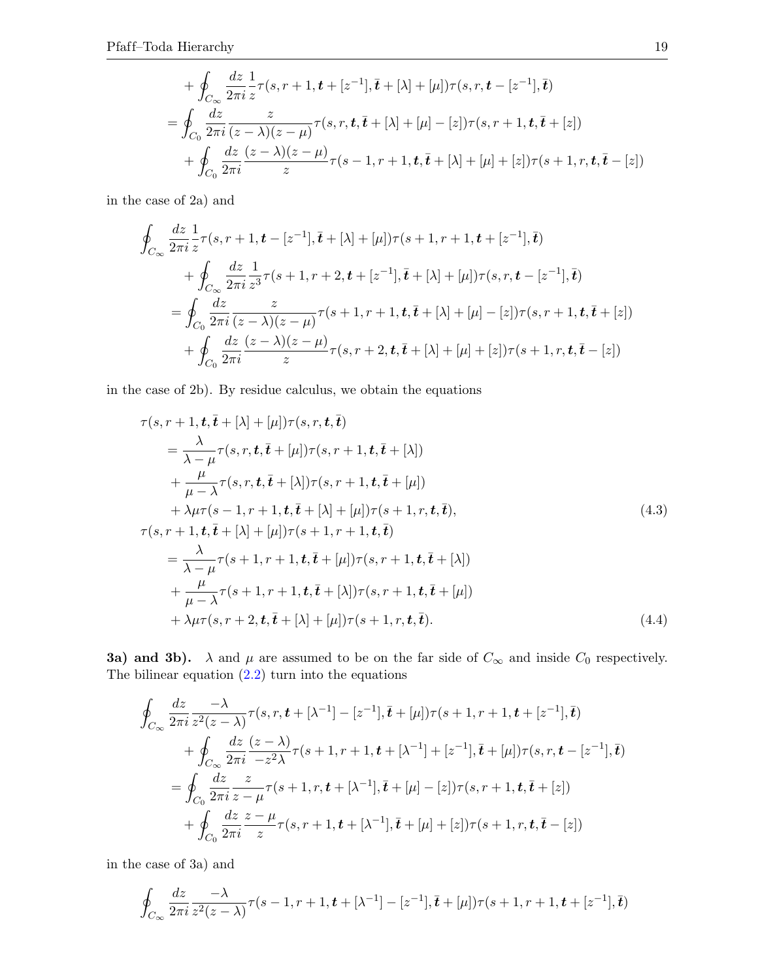$$
+\oint_{C_{\infty}}\frac{dz}{2\pi i}\frac{1}{z}\tau(s,r+1,\boldsymbol{t}+[z^{-1}],\bar{\boldsymbol{t}}+[{\lambda}]+[\mu])\tau(s,r,\boldsymbol{t}-[z^{-1}],\bar{\boldsymbol{t}})
$$
\n
$$
=\oint_{C_{0}}\frac{dz}{2\pi i}\frac{z}{(z-{\lambda})(z-\mu)}\tau(s,r,\boldsymbol{t},\bar{\boldsymbol{t}}+[{\lambda}]+[\mu]-[z])\tau(s,r+1,\boldsymbol{t},\bar{\boldsymbol{t}}+[z])
$$
\n
$$
+\oint_{C_{0}}\frac{dz}{2\pi i}\frac{(z-{\lambda})(z-\mu)}{z}\tau(s-1,r+1,\boldsymbol{t},\bar{\boldsymbol{t}}+[{\lambda}]+[\mu]+[z])\tau(s+1,r,\boldsymbol{t},\bar{\boldsymbol{t}}-[z])
$$

in the case of 2a) and

$$
\oint_{C_{\infty}} \frac{dz}{2\pi i} \frac{1}{z} \tau(s, r+1, t-[z^{-1}], \bar{t}+[\lambda]+[\mu]) \tau(s+1, r+1, t+[z^{-1}], \bar{t}) \n+ \oint_{C_{\infty}} \frac{dz}{2\pi i} \frac{1}{z^3} \tau(s+1, r+2, t+[z^{-1}], \bar{t}+[\lambda]+[\mu]) \tau(s, r, t-[z^{-1}], \bar{t}) \n= \oint_{C_{0}} \frac{dz}{2\pi i} \frac{z}{(z-\lambda)(z-\mu)} \tau(s+1, r+1, t, \bar{t}+[\lambda]+[\mu]-[z]) \tau(s, r+1, t, \bar{t}+[z]) \n+ \oint_{C_{0}} \frac{dz}{2\pi i} \frac{(z-\lambda)(z-\mu)}{z} \tau(s, r+2, t, \bar{t}+[\lambda]+[\mu]+[z]) \tau(s+1, r, t, \bar{t}-[z])
$$

in the case of 2b). By residue calculus, we obtain the equations

$$
\tau(s,r+1,\boldsymbol{t},\bar{\boldsymbol{t}}+[\lambda]+[\mu])\tau(s,r,\boldsymbol{t},\bar{\boldsymbol{t}})
$$
\n
$$
=\frac{\lambda}{\lambda-\mu}\tau(s,r,\boldsymbol{t},\bar{\boldsymbol{t}}+[\mu])\tau(s,r+1,\boldsymbol{t},\bar{\boldsymbol{t}}+[\lambda])
$$
\n
$$
+\frac{\mu}{\mu-\lambda}\tau(s,r,\boldsymbol{t},\bar{\boldsymbol{t}}+[\lambda])\tau(s,r+1,\boldsymbol{t},\bar{\boldsymbol{t}}+[\mu])
$$
\n
$$
+\lambda\mu\tau(s-1,r+1,\boldsymbol{t},\bar{\boldsymbol{t}}+[\lambda]+[\mu])\tau(s+1,r,\boldsymbol{t},\bar{\boldsymbol{t}}),
$$
\n
$$
\tau(s,r+1,\boldsymbol{t},\bar{\boldsymbol{t}}+[\lambda]+[\mu])\tau(s+1,r+1,\boldsymbol{t},\bar{\boldsymbol{t}})
$$
\n
$$
=\frac{\lambda}{\lambda-\mu}\tau(s+1,r+1,\boldsymbol{t},\bar{\boldsymbol{t}}+[\mu])\tau(s,r+1,\boldsymbol{t},\bar{\boldsymbol{t}}+[\lambda])
$$
\n
$$
+\frac{\mu}{\mu-\lambda}\tau(s+1,r+1,\boldsymbol{t},\bar{\boldsymbol{t}}+[\lambda])\tau(s,r+1,\boldsymbol{t},\bar{\boldsymbol{t}}+[\mu])
$$
\n
$$
+\lambda\mu\tau(s,r+2,\boldsymbol{t},\bar{\boldsymbol{t}}+[\lambda]+[\mu])\tau(s+1,r,\boldsymbol{t},\bar{\boldsymbol{t}}). \tag{4.4}
$$

3a) and 3b).  $\lambda$  and  $\mu$  are assumed to be on the far side of  $C_{\infty}$  and inside  $C_0$  respectively. The bilinear equation  $(2.2)$  turn into the equations

$$
\oint_{C_{\infty}} \frac{dz}{2\pi i} \frac{-\lambda}{z^2(z-\lambda)} \tau(s, r, t + [\lambda^{-1}] - [z^{-1}], \bar{t} + [\mu]) \tau(s+1, r+1, t + [z^{-1}], \bar{t}) \n+ \oint_{C_{\infty}} \frac{dz}{2\pi i} \frac{(z-\lambda)}{-z^2 \lambda} \tau(s+1, r+1, t + [\lambda^{-1}] + [z^{-1}], \bar{t} + [\mu]) \tau(s, r, t - [z^{-1}], \bar{t}) \n= \oint_{C_{0}} \frac{dz}{2\pi i} \frac{z}{z-\mu} \tau(s+1, r, t + [\lambda^{-1}], \bar{t} + [\mu] - [z]) \tau(s, r+1, t, \bar{t} + [z]) \n+ \oint_{C_{0}} \frac{dz}{2\pi i} \frac{z-\mu}{z} \tau(s, r+1, t + [\lambda^{-1}], \bar{t} + [\mu] + [z]) \tau(s+1, r, t, \bar{t} - [z])
$$

in the case of 3a) and

$$
\oint_{C_{\infty}} \frac{dz}{2\pi i} \frac{-\lambda}{z^2(z-\lambda)} \tau(s-1, r+1, t+[\lambda^{-1}] - [z^{-1}], \bar{t} + [\mu]) \tau(s+1, r+1, t+ [z^{-1}], \bar{t})
$$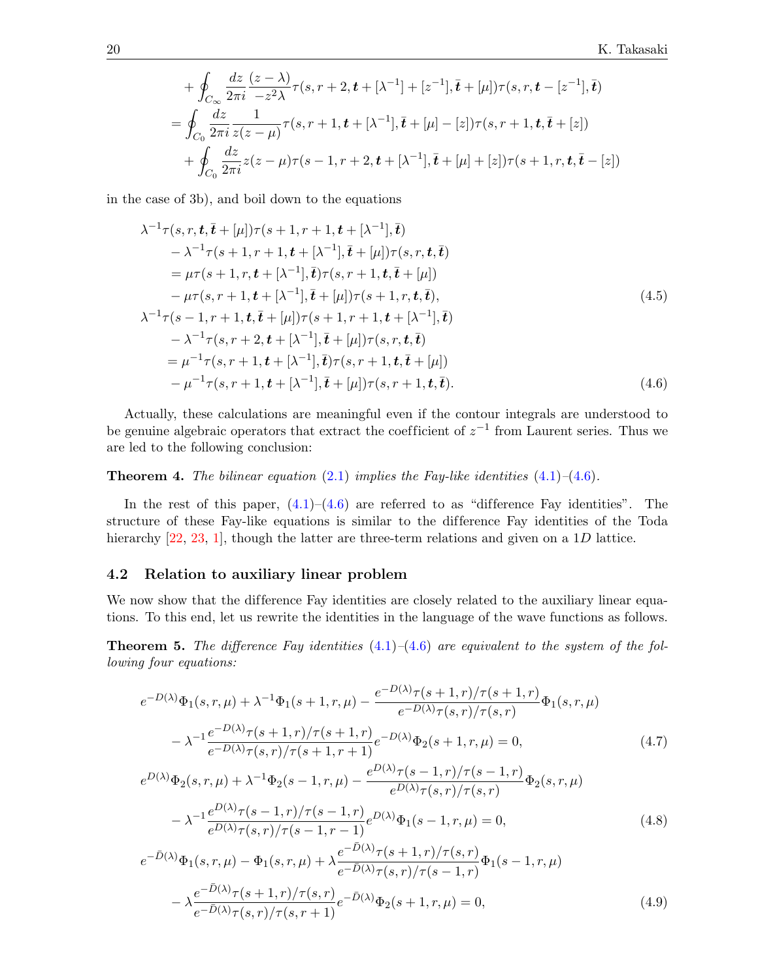$$
+ \oint_{C_{\infty}} \frac{dz}{2\pi i} \frac{(z-\lambda)}{-z^2 \lambda} \tau(s, r+2, t+[\lambda^{-1}] + [z^{-1}], \bar{t} + [\mu]) \tau(s, r, t-[z^{-1}], \bar{t})
$$
  
= 
$$
\oint_{C_0} \frac{dz}{2\pi i} \frac{1}{z(z-\mu)} \tau(s, r+1, t+[\lambda^{-1}], \bar{t} + [\mu] - [z]) \tau(s, r+1, t, \bar{t} + [z])
$$
  
+ 
$$
\oint_{C_0} \frac{dz}{2\pi i} z(z-\mu) \tau(s-1, r+2, t+[\lambda^{-1}], \bar{t} + [\mu] + [z]) \tau(s+1, r, t, \bar{t} - [z])
$$

in the case of 3b), and boil down to the equations

<span id="page-19-0"></span>
$$
\lambda^{-1}\tau(s,r,t,\bar{t}+[\mu])\tau(s+1,r+1,t+[\lambda^{-1}],\bar{t})
$$
  
\n
$$
-\lambda^{-1}\tau(s+1,r+1,t+[\lambda^{-1}],\bar{t}+[\mu])\tau(s,r,t,\bar{t})
$$
  
\n
$$
=\mu\tau(s+1,r,t+[\lambda^{-1}],\bar{t})\tau(s,r+1,t,\bar{t}+[\mu])
$$
  
\n
$$
-\mu\tau(s,r+1,t+[\lambda^{-1}],\bar{t}+[\mu])\tau(s+1,r,t,\bar{t}),
$$
  
\n
$$
\lambda^{-1}\tau(s-1,r+1,t,\bar{t}+[\mu])\tau(s+1,r+1,t+[\lambda^{-1}],\bar{t})
$$
  
\n
$$
-\lambda^{-1}\tau(s,r+2,t+[\lambda^{-1}],\bar{t}+[\mu])\tau(s,r,t,\bar{t})
$$
  
\n
$$
=\mu^{-1}\tau(s,r+1,t+[\lambda^{-1}],\bar{t})\tau(s,r+1,t,\bar{t}+[\mu])
$$
  
\n
$$
-\mu^{-1}\tau(s,r+1,t+[\lambda^{-1}],\bar{t}+[\mu])\tau(s,r+1,t,\bar{t}).
$$
\n(4.6)

Actually, these calculations are meaningful even if the contour integrals are understood to be genuine algebraic operators that extract the coefficient of  $z^{-1}$  from Laurent series. Thus we are led to the following conclusion:

**Theorem 4.** The bilinear equation [\(2.1\)](#page-2-0) implies the Fay-like identities  $(4.1)$ – $(4.6)$ .

In the rest of this paper,  $(4.1)$ – $(4.6)$  are referred to as "difference Fay identities". The structure of these Fay-like equations is similar to the difference Fay identities of the Toda hierarchy [\[22,](#page-33-14) [23,](#page-33-15) [1\]](#page-32-0), though the latter are three-term relations and given on a 1D lattice.

#### 4.2 Relation to auxiliary linear problem

We now show that the difference Fay identities are closely related to the auxiliary linear equations. To this end, let us rewrite the identities in the language of the wave functions as follows.

**Theorem 5.** The difference Fay identities  $(4.1)$ – $(4.6)$  are equivalent to the system of the following four equations:

<span id="page-19-3"></span><span id="page-19-2"></span><span id="page-19-1"></span>
$$
e^{-D(\lambda)}\Phi_{1}(s,r,\mu) + \lambda^{-1}\Phi_{1}(s+1,r,\mu) - \frac{e^{-D(\lambda)}\tau(s+1,r)/\tau(s+1,r)}{e^{-D(\lambda)}\tau(s,r)/\tau(s,r)}\Phi_{1}(s,r,\mu) - \lambda^{-1}\frac{e^{-D(\lambda)}\tau(s+1,r)/\tau(s+1,r)}{e^{-D(\lambda)}\tau(s,r)/\tau(s+1,r+1)}e^{-D(\lambda)}\Phi_{2}(s+1,r,\mu) = 0, \qquad (4.7)
$$
  

$$
e^{D(\lambda)}\Phi_{2}(s,r,\mu) + \lambda^{-1}\Phi_{2}(s-1,r,\mu) - \frac{e^{D(\lambda)}\tau(s-1,r)/\tau(s-1,r)}{e^{D(\lambda)}\tau(s,r)/\tau(s,r)}\Phi_{2}(s,r,\mu) - \lambda^{-1}\frac{e^{D(\lambda)}\tau(s-1,r)/\tau(s-1,r)}{e^{D(\lambda)}\tau(s,r)/\tau(s-1,r-1)}e^{D(\lambda)}\Phi_{1}(s-1,r,\mu) = 0, \qquad (4.8)
$$
  

$$
e^{-\bar{D}(\lambda)}\Phi_{1}(s,r,\mu) - \Phi_{1}(s,r,\mu) + \lambda \frac{e^{-\bar{D}(\lambda)}\tau(s+1,r)/\tau(s,r)}{e^{-\bar{D}(\lambda)}\tau(s,r)/\tau(s-1,r)}\Phi_{1}(s-1,r,\mu) - \lambda \frac{e^{-\bar{D}(\lambda)}\tau(s+1,r)/\tau(s,r)}{e^{-\bar{D}(\lambda)}\tau(s,r)/\tau(s,r+1)}e^{-\bar{D}(\lambda)}\Phi_{2}(s+1,r,\mu) = 0, \qquad (4.9)
$$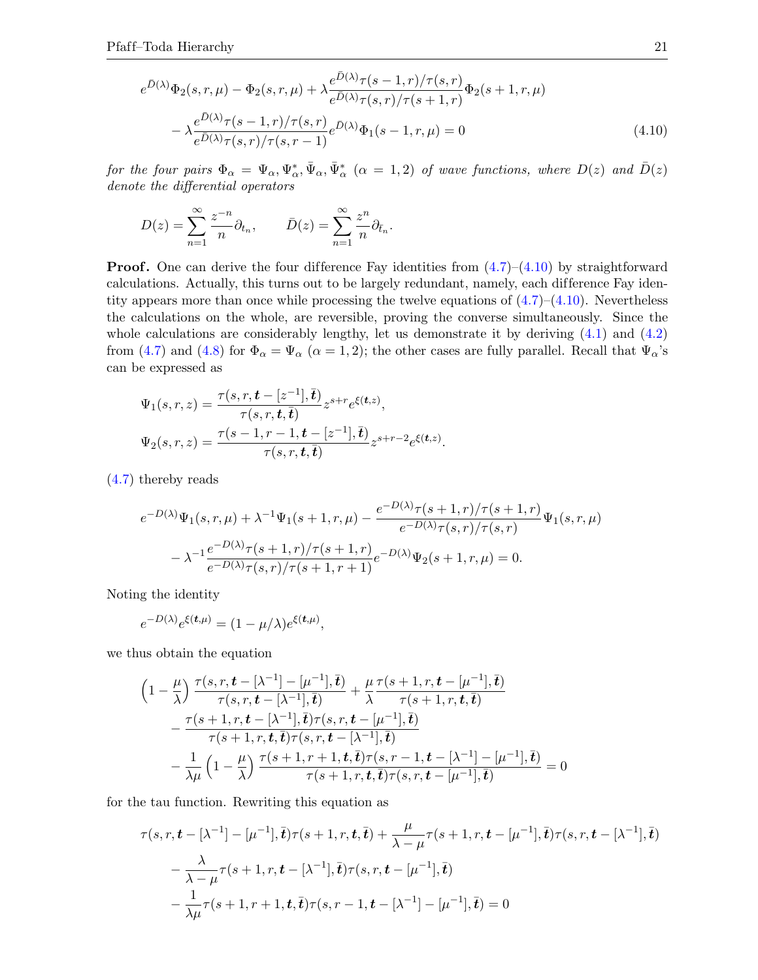<span id="page-20-0"></span>
$$
e^{\bar{D}(\lambda)}\Phi_2(s,r,\mu) - \Phi_2(s,r,\mu) + \lambda \frac{e^{\bar{D}(\lambda)}\tau(s-1,r)/\tau(s,r)}{e^{\bar{D}(\lambda)}\tau(s,r)/\tau(s+1,r)}\Phi_2(s+1,r,\mu) - \lambda \frac{e^{\bar{D}(\lambda)}\tau(s-1,r)/\tau(s,r)}{e^{\bar{D}(\lambda)}\tau(s,r)/\tau(s,r-1)}e^{\bar{D}(\lambda)}\Phi_1(s-1,r,\mu) = 0
$$
\n(4.10)

for the four pairs  $\Phi_{\alpha} = \Psi_{\alpha}, \Psi_{\alpha}^*, \bar{\Psi}_{\alpha}, \bar{\Psi}_{\alpha}^*$  ( $\alpha = 1, 2$ ) of wave functions, where  $D(z)$  and  $\bar{D}(z)$ denote the differential operators

$$
D(z) = \sum_{n=1}^{\infty} \frac{z^{-n}}{n} \partial_{t_n}, \qquad \bar{D}(z) = \sum_{n=1}^{\infty} \frac{z^n}{n} \partial_{\bar{t}_n}.
$$

**Proof.** One can derive the four difference Fay identities from  $(4.7)-(4.10)$  $(4.7)-(4.10)$  $(4.7)-(4.10)$  by straightforward calculations. Actually, this turns out to be largely redundant, namely, each dif ference Fay identity appears more than once while processing the twelve equations of  $(4.7)$ – $(4.10)$ . Nevertheless the calculations on the whole, are reversible, proving the converse simultaneously. Since the whole calculations are considerably lengthy, let us demonstrate it by deriving [\(4.1\)](#page-17-0) and [\(4.2\)](#page-17-1) from [\(4.7\)](#page-19-1) and [\(4.8\)](#page-19-2) for  $\Phi_{\alpha} = \Psi_{\alpha}$  ( $\alpha = 1, 2$ ); the other cases are fully parallel. Recall that  $\Psi_{\alpha}$ 's can be expressed as

$$
\Psi_1(s,r,z) = \frac{\tau(s,r,\boldsymbol{t} - [z^{-1}],\bar{\boldsymbol{t}})}{\tau(s,r,\boldsymbol{t},\bar{\boldsymbol{t}})} z^{s+r} e^{\xi(\boldsymbol{t},z)},
$$
  

$$
\Psi_2(s,r,z) = \frac{\tau(s-1,r-1,\boldsymbol{t} - [z^{-1}],\bar{\boldsymbol{t}})}{\tau(s,r,\boldsymbol{t},\bar{\boldsymbol{t}})} z^{s+r-2} e^{\xi(\boldsymbol{t},z)}.
$$

[\(4.7\)](#page-19-1) thereby reads

$$
e^{-D(\lambda)}\Psi_1(s,r,\mu) + \lambda^{-1}\Psi_1(s+1,r,\mu) - \frac{e^{-D(\lambda)}\tau(s+1,r)/\tau(s+1,r)}{e^{-D(\lambda)}\tau(s,r)/\tau(s,r)}\Psi_1(s,r,\mu)
$$

$$
-\lambda^{-1}\frac{e^{-D(\lambda)}\tau(s+1,r)/\tau(s+1,r)}{e^{-D(\lambda)}\tau(s,r)/\tau(s+1,r+1)}e^{-D(\lambda)}\Psi_2(s+1,r,\mu) = 0.
$$

Noting the identity

$$
e^{-D(\lambda)}e^{\xi(t,\mu)} = (1 - \mu/\lambda)e^{\xi(t,\mu)},
$$

we thus obtain the equation

$$
\begin{aligned}\n\left(1-\frac{\mu}{\lambda}\right)\frac{\tau(s,r,\boldsymbol{t}-[\lambda^{-1}]-[\mu^{-1}],\bar{\boldsymbol{t}})}{\tau(s,r,\boldsymbol{t}-[\lambda^{-1}],\bar{\boldsymbol{t}})} &+\frac{\mu}{\lambda}\frac{\tau(s+1,r,\boldsymbol{t}-[\mu^{-1}],\bar{\boldsymbol{t}})}{\tau(s+1,r,\boldsymbol{t},\bar{\boldsymbol{t}})} \\
&-\frac{\tau(s+1,r,\boldsymbol{t}-[\lambda^{-1}],\bar{\boldsymbol{t}})\tau(s,r,\boldsymbol{t}-[\mu^{-1}],\bar{\boldsymbol{t}})}{\tau(s+1,r,\boldsymbol{t},\bar{\boldsymbol{t}})\tau(s,r,\boldsymbol{t}-[\lambda^{-1}],\bar{\boldsymbol{t}})} \\
&-\frac{1}{\lambda\mu}\left(1-\frac{\mu}{\lambda}\right)\frac{\tau(s+1,r+1,\boldsymbol{t},\bar{\boldsymbol{t}})\tau(s,r-1,\boldsymbol{t}-[\lambda^{-1}]-[\mu^{-1}],\bar{\boldsymbol{t}})}{\tau(s+1,r,\boldsymbol{t},\bar{\boldsymbol{t}})\tau(s,r,\boldsymbol{t}-[\mu^{-1}],\bar{\boldsymbol{t}})}=0\n\end{aligned}
$$

for the tau function. Rewriting this equation as

$$
\tau(s,r,\mathbf{t} - [\lambda^{-1}] - [\mu^{-1}], \bar{\mathbf{t}})\tau(s+1,r,\mathbf{t}, \bar{\mathbf{t}}) + \frac{\mu}{\lambda - \mu}\tau(s+1,r,\mathbf{t} - [\mu^{-1}], \bar{\mathbf{t}})\tau(s,r,\mathbf{t} - [\lambda^{-1}], \bar{\mathbf{t}}) \n- \frac{\lambda}{\lambda - \mu}\tau(s+1,r,\mathbf{t} - [\lambda^{-1}], \bar{\mathbf{t}})\tau(s,r,\mathbf{t} - [\mu^{-1}], \bar{\mathbf{t}}) \n- \frac{1}{\lambda\mu}\tau(s+1,r+1,\mathbf{t}, \bar{\mathbf{t}})\tau(s,r-1,\mathbf{t} - [\lambda^{-1}] - [\mu^{-1}], \bar{\mathbf{t}}) = 0
$$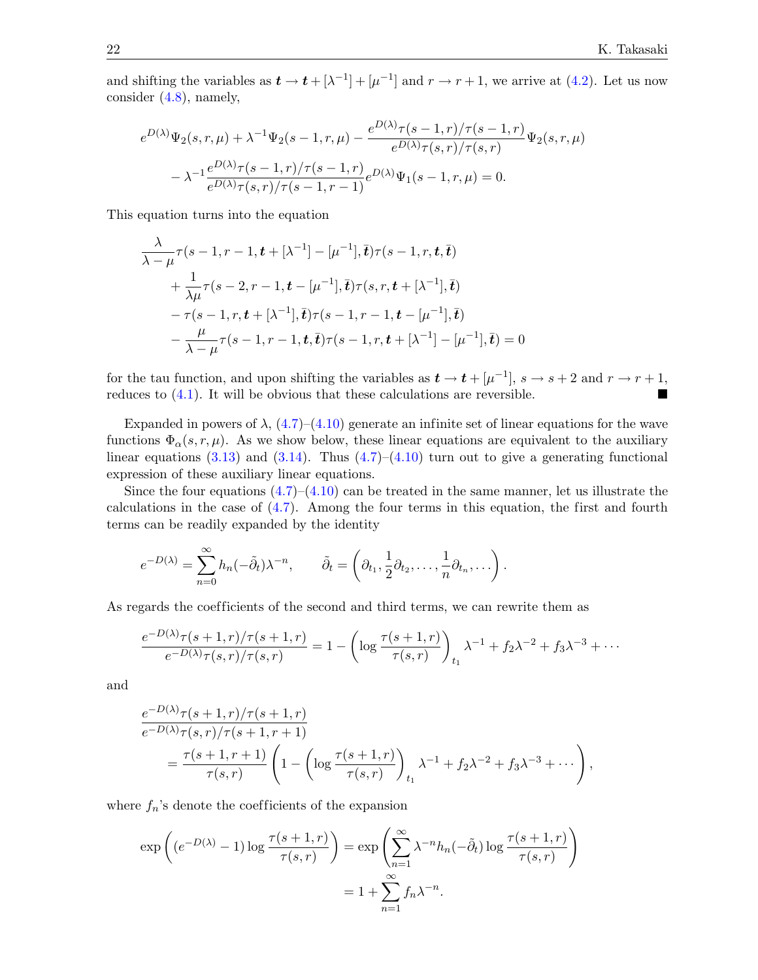and shifting the variables as  $t \to t + [\lambda^{-1}] + [\mu^{-1}]$  and  $r \to r + 1$ , we arrive at [\(4.2\)](#page-17-1). Let us now consider [\(4.8\)](#page-19-2), namely,

$$
e^{D(\lambda)}\Psi_2(s,r,\mu) + \lambda^{-1}\Psi_2(s-1,r,\mu) - \frac{e^{D(\lambda)}\tau(s-1,r)/\tau(s-1,r)}{e^{D(\lambda)}\tau(s,r)/\tau(s,r)}\Psi_2(s,r,\mu) - \lambda^{-1}\frac{e^{D(\lambda)}\tau(s-1,r)/\tau(s-1,r)}{e^{D(\lambda)}\tau(s,r)/\tau(s-1,r-1)}e^{D(\lambda)}\Psi_1(s-1,r,\mu) = 0.
$$

This equation turns into the equation

$$
\frac{\lambda}{\lambda - \mu} \tau(s - 1, r - 1, t + [\lambda^{-1}] - [\mu^{-1}], \bar{t}) \tau(s - 1, r, t, \bar{t}) \n+ \frac{1}{\lambda \mu} \tau(s - 2, r - 1, t - [\mu^{-1}], \bar{t}) \tau(s, r, t + [\lambda^{-1}], \bar{t}) \n- \tau(s - 1, r, t + [\lambda^{-1}], \bar{t}) \tau(s - 1, r - 1, t - [\mu^{-1}], \bar{t}) \n- \frac{\mu}{\lambda - \mu} \tau(s - 1, r - 1, t, \bar{t}) \tau(s - 1, r, t + [\lambda^{-1}] - [\mu^{-1}], \bar{t}) = 0
$$

for the tau function, and upon shifting the variables as  $t \to t + [\mu^{-1}]$ ,  $s \to s + 2$  and  $r \to r + 1$ , reduces to  $(4.1)$ . It will be obvious that these calculations are reversible.

Expanded in powers of  $\lambda$ ,  $(4.7)$ – $(4.10)$  generate an infinite set of linear equations for the wave functions  $\Phi_{\alpha}(s,r,\mu)$ . As we show below, these linear equations are equivalent to the auxiliary linear equations [\(3.13\)](#page-15-1) and [\(3.14\)](#page-15-2). Thus  $(4.7)$ – $(4.10)$  turn out to give a generating functional expression of these auxiliary linear equations.

Since the four equations  $(4.7)$ – $(4.10)$  can be treated in the same manner, let us illustrate the calculations in the case of [\(4.7\)](#page-19-1). Among the four terms in this equation, the first and fourth terms can be readily expanded by the identity

$$
e^{-D(\lambda)} = \sum_{n=0}^{\infty} h_n(-\tilde{\partial}_t) \lambda^{-n}, \qquad \tilde{\partial}_t = \left(\partial_{t_1}, \frac{1}{2}\partial_{t_2}, \dots, \frac{1}{n}\partial_{t_n}, \dots\right).
$$

As regards the coefficients of the second and third terms, we can rewrite them as

$$
\frac{e^{-D(\lambda)}\tau(s+1,r)/\tau(s+1,r)}{e^{-D(\lambda)}\tau(s,r)/\tau(s,r)} = 1 - \left(\log \frac{\tau(s+1,r)}{\tau(s,r)}\right)_{t_1} \lambda^{-1} + f_2 \lambda^{-2} + f_3 \lambda^{-3} + \cdots
$$

and

$$
\frac{e^{-D(\lambda)}\tau(s+1,r)/\tau(s+1,r)}{e^{-D(\lambda)}\tau(s,r)/\tau(s+1,r+1)}
$$
\n
$$
=\frac{\tau(s+1,r+1)}{\tau(s,r)}\left(1-\left(\log\frac{\tau(s+1,r)}{\tau(s,r)}\right)_{t_1}\lambda^{-1}+f_2\lambda^{-2}+f_3\lambda^{-3}+\cdots\right),
$$

where  $f_n$ 's denote the coefficients of the expansion

$$
\exp\left((e^{-D(\lambda)} - 1)\log\frac{\tau(s+1,r)}{\tau(s,r)}\right) = \exp\left(\sum_{n=1}^{\infty}\lambda^{-n}h_n(-\tilde{\partial}_t)\log\frac{\tau(s+1,r)}{\tau(s,r)}\right)
$$

$$
= 1 + \sum_{n=1}^{\infty}f_n\lambda^{-n}.
$$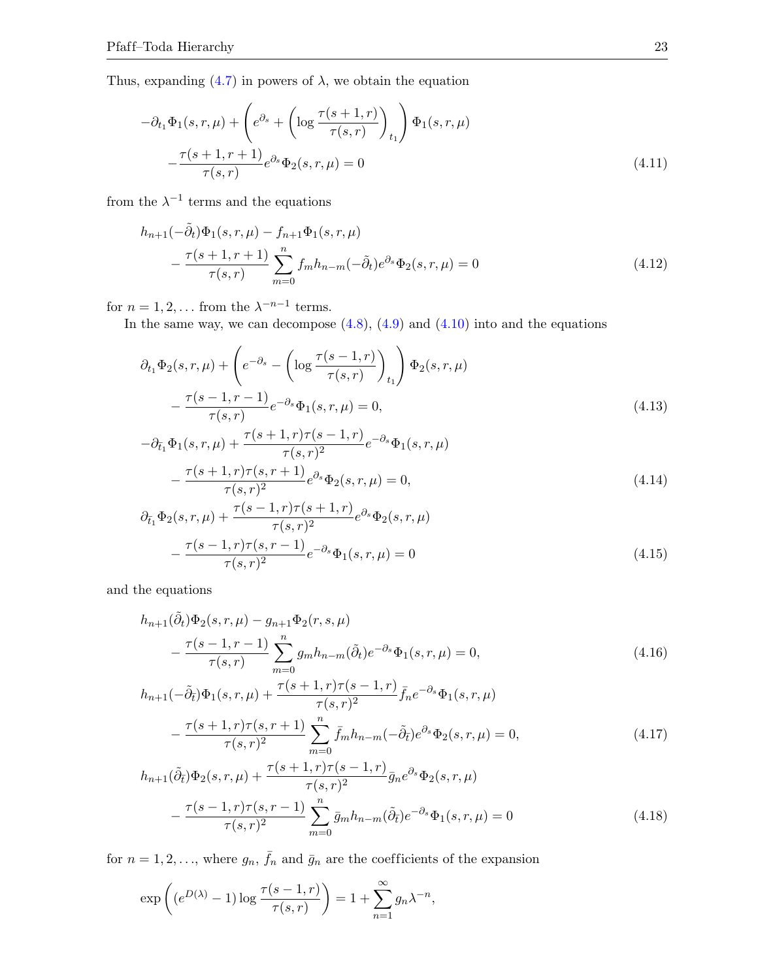Thus, expanding  $(4.7)$  in powers of  $\lambda$ , we obtain the equation

<span id="page-22-0"></span>
$$
-\partial_{t_1}\Phi_1(s,r,\mu) + \left(e^{\partial_s} + \left(\log\frac{\tau(s+1,r)}{\tau(s,r)}\right)_{t_1}\right)\Phi_1(s,r,\mu)
$$

$$
-\frac{\tau(s+1,r+1)}{\tau(s,r)}e^{\partial_s}\Phi_2(s,r,\mu) = 0
$$
\n(4.11)

from the  $\lambda^{-1}$  terms and the equations

<span id="page-22-4"></span>
$$
h_{n+1}(-\tilde{\partial}_t)\Phi_1(s,r,\mu) - f_{n+1}\Phi_1(s,r,\mu)
$$
  
 
$$
-\frac{\tau(s+1,r+1)}{\tau(s,r)}\sum_{m=0}^n f_m h_{n-m}(-\tilde{\partial}_t)e^{\partial_s}\Phi_2(s,r,\mu) = 0
$$
(4.12)

for  $n = 1, 2, \dots$  from the  $\lambda^{-n-1}$  terms.

In the same way, we can decompose  $(4.8)$ ,  $(4.9)$  and  $(4.10)$  into and the equations

$$
\partial_{t_1} \Phi_2(s, r, \mu) + \left( e^{-\partial_s} - \left( \log \frac{\tau(s-1, r)}{\tau(s, r)} \right)_{t_1} \right) \Phi_2(s, r, \mu) - \frac{\tau(s-1, r-1)}{\tau(s, r)} e^{-\partial_s} \Phi_1(s, r, \mu) = 0,
$$
\n(4.13)

<span id="page-22-2"></span><span id="page-22-1"></span>
$$
-\partial_{\bar{t}_1} \Phi_1(s,r,\mu) + \frac{\tau(s+1,r)\tau(s-1,r)}{\tau(s,r)^2} e^{-\partial_s} \Phi_1(s,r,\mu) -\frac{\tau(s+1,r)\tau(s,r+1)}{\tau(s,r)^2} e^{\partial_s} \Phi_2(s,r,\mu) = 0,
$$
\n(4.14)

<span id="page-22-3"></span>
$$
\partial_{\bar{t}_1} \Phi_2(s, r, \mu) + \frac{\tau(s - 1, r)\tau(s + 1, r)}{\tau(s, r)^2} e^{\partial_s} \Phi_2(s, r, \mu) \n- \frac{\tau(s - 1, r)\tau(s, r - 1)}{\tau(s, r)^2} e^{-\partial_s} \Phi_1(s, r, \mu) = 0
$$
\n(4.15)

and the equations

$$
h_{n+1}(\tilde{\partial}_t)\Phi_2(s,r,\mu) - g_{n+1}\Phi_2(r,s,\mu) - \frac{\tau(s-1,r-1)}{\tau(s,r)} \sum_{m=0}^n g_m h_{n-m}(\tilde{\partial}_t)e^{-\partial_s}\Phi_1(s,r,\mu) = 0,
$$
\n(4.16)

<span id="page-22-6"></span><span id="page-22-5"></span>
$$
h_{n+1}(-\tilde{\partial}_{\bar{t}})\Phi_1(s,r,\mu) + \frac{\tau(s+1,r)\tau(s-1,r)}{\tau(s,r)^2}\bar{f}_n e^{-\partial_s} \Phi_1(s,r,\mu) - \frac{\tau(s+1,r)\tau(s,r+1)}{\tau(s,r)^2} \sum_{m=0}^n \bar{f}_m h_{n-m}(-\tilde{\partial}_{\bar{t}}) e^{\partial_s} \Phi_2(s,r,\mu) = 0,
$$
\n(4.17)

<span id="page-22-7"></span>
$$
h_{n+1}(\tilde{\partial}_{\tilde{t}})\Phi_{2}(s,r,\mu) + \frac{\tau(s+1,r)\tau(s-1,r)}{\tau(s,r)^{2}}\bar{g}_{n}e^{\partial_{s}}\Phi_{2}(s,r,\mu) - \frac{\tau(s-1,r)\tau(s,r-1)}{\tau(s,r)^{2}}\sum_{m=0}^{n}\bar{g}_{m}h_{n-m}(\tilde{\partial}_{\tilde{t}})e^{-\partial_{s}}\Phi_{1}(s,r,\mu) = 0
$$
\n(4.18)

for  $n = 1, 2, \ldots$ , where  $g_n$ ,  $\bar{f}_n$  and  $\bar{g}_n$  are the coefficients of the expansion

$$
\exp\left((e^{D(\lambda)}-1)\log\frac{\tau(s-1,r)}{\tau(s,r)}\right)=1+\sum_{n=1}^{\infty}g_n\lambda^{-n},
$$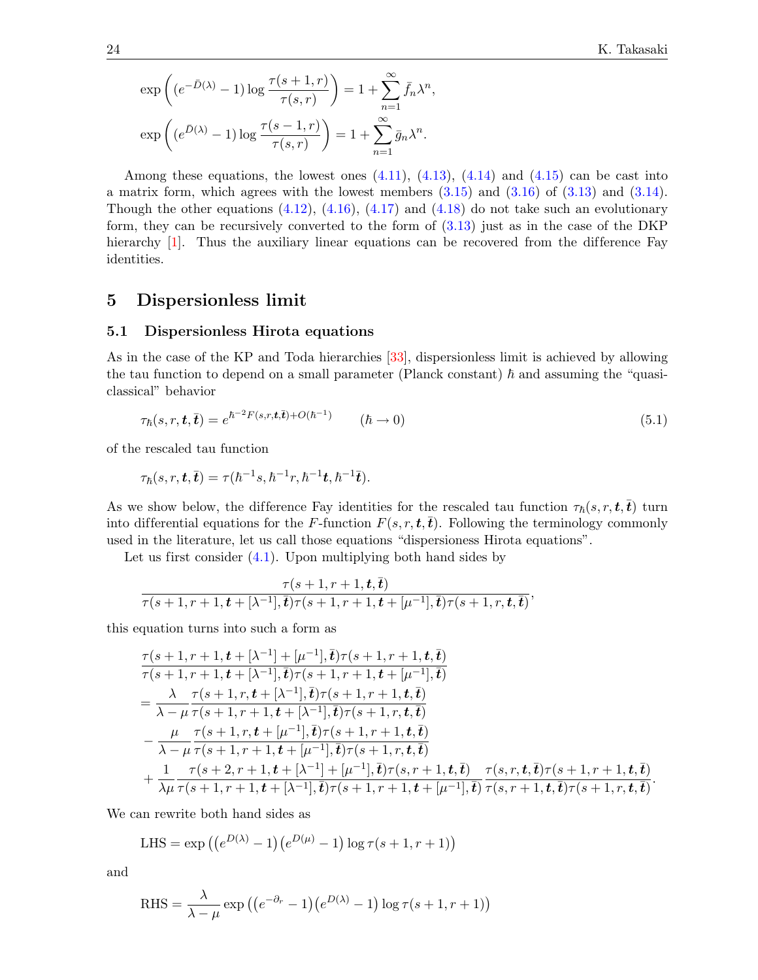$$
\exp\left((e^{-\bar{D}(\lambda)}-1)\log\frac{\tau(s+1,r)}{\tau(s,r)}\right) = 1 + \sum_{n=1}^{\infty} \bar{f}_n \lambda^n,
$$

$$
\exp\left((e^{\bar{D}(\lambda)}-1)\log\frac{\tau(s-1,r)}{\tau(s,r)}\right) = 1 + \sum_{n=1}^{\infty} \bar{g}_n \lambda^n.
$$

Among these equations, the lowest ones  $(4.11)$ ,  $(4.13)$ ,  $(4.14)$  and  $(4.15)$  can be cast into a matrix form, which agrees with the lowest members  $(3.15)$  and  $(3.16)$  of  $(3.13)$  and  $(3.14)$ . Though the other equations  $(4.12)$ ,  $(4.16)$ ,  $(4.17)$  and  $(4.18)$  do not take such an evolutionary form, they can be recursively converted to the form of [\(3.13\)](#page-15-1) just as in the case of the DKP hierarchy  $[1]$ . Thus the auxiliary linear equations can be recovered from the difference Fay identities.

## <span id="page-23-0"></span>5 Dispersionless limit

#### 5.1 Dispersionless Hirota equations

As in the case of the KP and Toda hierarchies [\[33\]](#page-33-25), dispersionless limit is achieved by allowing the tau function to depend on a small parameter (Planck constant)  $\hbar$  and assuming the "quasiclassical" behavior

<span id="page-23-1"></span>
$$
\tau_{\hbar}(s,r,\boldsymbol{t},\bar{\boldsymbol{t}}) = e^{\hbar^{-2}F(s,r,\boldsymbol{t},\bar{\boldsymbol{t}}) + O(\hbar^{-1})} \qquad (\hbar \to 0)
$$
\n(5.1)

of the rescaled tau function

$$
\tau_{\hbar}(s,r,\boldsymbol{t},\bar{\boldsymbol{t}})=\tau(\hbar^{-1}s,\hbar^{-1}r,\hbar^{-1}\boldsymbol{t},\hbar^{-1}\bar{\boldsymbol{t}}).
$$

As we show below, the difference Fay identities for the rescaled tau function  $\tau_h(s, r, t, \bar{t})$  turn into differential equations for the F-function  $F(s, r, t, \bar{t})$ . Following the terminology commonly used in the literature, let us call those equations "dispersioness Hirota equations".

Let us first consider  $(4.1)$ . Upon multiplying both hand sides by

$$
\frac{\tau(s+1,r+1,\boldsymbol{t},\bar{\boldsymbol{t}})}{\tau(s+1,r+1,\boldsymbol{t}+[\lambda^{-1}],\bar{\boldsymbol{t}})\tau(s+1,r+1,\boldsymbol{t}+[\mu^{-1}],\bar{\boldsymbol{t}})\tau(s+1,r,\boldsymbol{t},\bar{\boldsymbol{t}})},
$$

this equation turns into such a form as

$$
\frac{\tau(s+1,r+1,\boldsymbol{t}+[\lambda^{-1}]+[\mu^{-1}],\bar{\boldsymbol{t}})\tau(s+1,r+1,\boldsymbol{t},\bar{\boldsymbol{t}})}{\tau(s+1,r+1,\boldsymbol{t}+[\lambda^{-1}],\bar{\boldsymbol{t}})\tau(s+1,r+1,\boldsymbol{t}+[\mu^{-1}],\bar{\boldsymbol{t}})} \\
= \frac{\lambda}{\lambda-\mu} \frac{\tau(s+1,r,\boldsymbol{t}+[\lambda^{-1}],\bar{\boldsymbol{t}})\tau(s+1,r+1,\boldsymbol{t},\bar{\boldsymbol{t}})}{\tau(s+1,r+1,\boldsymbol{t}+[\lambda^{-1}],\bar{\boldsymbol{t}})\tau(s+1,r,\boldsymbol{t},\bar{\boldsymbol{t}})} \\
- \frac{\mu}{\lambda-\mu} \frac{\tau(s+1,r,\boldsymbol{t}+[\mu^{-1}],\bar{\boldsymbol{t}})\tau(s+1,r+1,\boldsymbol{t},\bar{\boldsymbol{t}})}{\tau(s+1,r+1,\boldsymbol{t}+[\mu^{-1}],\bar{\boldsymbol{t}})\tau(s+1,r,\boldsymbol{t},\bar{\boldsymbol{t}})} \\
+ \frac{1}{\lambda\mu} \frac{\tau(s+2,r+1,\boldsymbol{t}+[\lambda^{-1}]+[\mu^{-1}],\bar{\boldsymbol{t}})\tau(s,r+1,\boldsymbol{t},\bar{\boldsymbol{t}})}{\tau(s+1,r+1,\boldsymbol{t}+[\lambda^{-1}],\bar{\boldsymbol{t}})\tau(s+1,r+1,\boldsymbol{t}+[\mu^{-1}],\bar{\boldsymbol{t}})} \frac{\tau(s,r,\boldsymbol{t},\bar{\boldsymbol{t}})\tau(s+1,r+1,\boldsymbol{t},\bar{\boldsymbol{t}})}{\tau(s,r+1,\boldsymbol{t},\bar{\boldsymbol{t}})\tau(s+1,r,\boldsymbol{t},\bar{\boldsymbol{t}})}.
$$

We can rewrite both hand sides as

LHS = exp 
$$
((e^{D(\lambda)} - 1) (e^{D(\mu)} - 1) \log \tau (s + 1, r + 1))
$$

and

RHS = 
$$
\frac{\lambda}{\lambda - \mu} \exp\left( \left( e^{-\partial_r} - 1 \right) \left( e^{D(\lambda)} - 1 \right) \log \tau (s + 1, r + 1) \right)
$$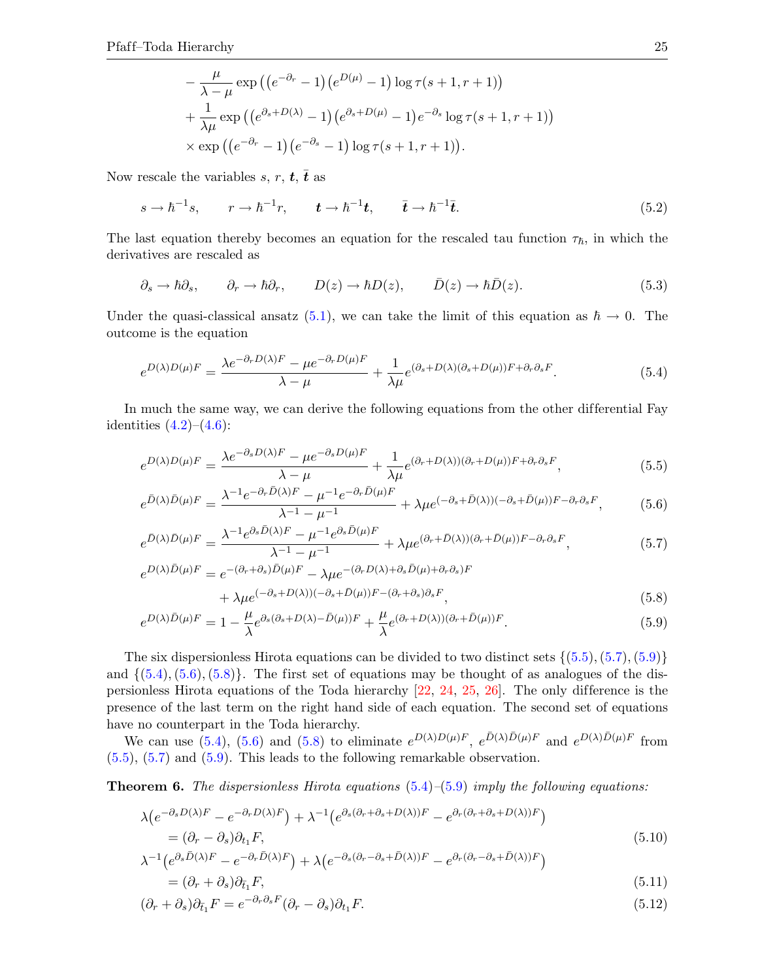<span id="page-24-10"></span><span id="page-24-9"></span>
$$
-\frac{\mu}{\lambda-\mu}\exp\left(\left(e^{-\partial_r}-1\right)\left(e^{D(\mu)}-1\right)\log\tau(s+1,r+1)\right)
$$

$$
+\frac{1}{\lambda\mu}\exp\left(\left(e^{\partial_s+D(\lambda)}-1\right)\left(e^{\partial_s+D(\mu)}-1\right)e^{-\partial_s}\log\tau(s+1,r+1)\right)
$$

$$
\times \exp\left(\left(e^{-\partial_r}-1\right)\left(e^{-\partial_s}-1\right)\log\tau(s+1,r+1)\right).
$$

Now rescale the variables s, r, t,  $\bar{t}$  as

$$
s \to \hbar^{-1}s, \qquad r \to \hbar^{-1}r, \qquad t \to \hbar^{-1}t, \qquad \bar{t} \to \hbar^{-1}\bar{t}.
$$

The last equation thereby becomes an equation for the rescaled tau function  $\tau_{\hbar}$ , in which the derivatives are rescaled as

$$
\partial_s \to \hbar \partial_s, \qquad \partial_r \to \hbar \partial_r, \qquad D(z) \to \hbar D(z), \qquad \bar{D}(z) \to \hbar \bar{D}(z). \tag{5.3}
$$

Under the quasi-classical ansatz [\(5.1\)](#page-23-1), we can take the limit of this equation as  $\hbar \to 0$ . The outcome is the equation

$$
e^{D(\lambda)D(\mu)F} = \frac{\lambda e^{-\partial_r D(\lambda)F} - \mu e^{-\partial_r D(\mu)F}}{\lambda - \mu} + \frac{1}{\lambda \mu} e^{(\partial_s + D(\lambda)(\partial_s + D(\mu))F + \partial_r \partial_s F}.
$$
(5.4)

In much the same way, we can derive the following equations from the other differential Fay identities  $(4.2)$ – $(4.6)$ :

$$
e^{D(\lambda)D(\mu)F} = \frac{\lambda e^{-\partial_s D(\lambda)F} - \mu e^{-\partial_s D(\mu)F}}{\lambda - \mu} + \frac{1}{\lambda \mu} e^{(\partial_r + D(\lambda))(\partial_r + D(\mu))F + \partial_r \partial_s F},
$$
(5.5)

$$
e^{\bar{D}(\lambda)\bar{D}(\mu)F} = \frac{\lambda^{-1}e^{-\partial_r\bar{D}(\lambda)F} - \mu^{-1}e^{-\partial_r\bar{D}(\mu)F}}{\lambda^{-1} - \mu^{-1}} + \lambda\mu e^{(-\partial_s + \bar{D}(\lambda))(-\partial_s + \bar{D}(\mu))F - \partial_r\partial_s F},\tag{5.6}
$$

$$
e^{\bar{D}(\lambda)\bar{D}(\mu)F} = \frac{\lambda^{-1}e^{\partial_s\bar{D}(\lambda)F} - \mu^{-1}e^{\partial_s\bar{D}(\mu)F}}{\lambda^{-1} - \mu^{-1}} + \lambda\mu e^{(\partial_r + \bar{D}(\lambda))(\partial_r + \bar{D}(\mu))F - \partial_r\partial_sF},
$$
(5.7)

$$
e^{D(\lambda)\bar{D}(\mu)F} = e^{-(\partial_r + \partial_s)\bar{D}(\mu)F} - \lambda\mu e^{-(\partial_r D(\lambda) + \partial_s \bar{D}(\mu) + \partial_r \partial_s)F}
$$
\n
$$
(-\partial_r + D(\lambda))(-\partial_r + \bar{D}(\mu))F - (\partial_r + \partial_s)F
$$
\n
$$
(5.2)
$$

<span id="page-24-5"></span><span id="page-24-4"></span><span id="page-24-3"></span><span id="page-24-2"></span><span id="page-24-1"></span><span id="page-24-0"></span>
$$
+\lambda \mu e^{(-\partial_s + D(\lambda))(-\partial_s + \bar{D}(\mu))F - (\partial_r + \partial_s)\partial_s F},\tag{5.8}
$$

$$
e^{D(\lambda)\bar{D}(\mu)F} = 1 - \frac{\mu}{\lambda}e^{\partial_s(\partial_s + D(\lambda) - \bar{D}(\mu))F} + \frac{\mu}{\lambda}e^{(\partial_r + D(\lambda))(\partial_r + \bar{D}(\mu))F}.
$$
\n(5.9)

The six dispersionless Hirota equations can be divided to two distinct sets  $\{(5.5), (5.7), (5.9)\}\$  $\{(5.5), (5.7), (5.9)\}\$  $\{(5.5), (5.7), (5.9)\}\$  $\{(5.5), (5.7), (5.9)\}\$  $\{(5.5), (5.7), (5.9)\}\$ and  $\{(5.4), (5.6), (5.8)\}.$  $\{(5.4), (5.6), (5.8)\}.$  $\{(5.4), (5.6), (5.8)\}.$  $\{(5.4), (5.6), (5.8)\}.$  $\{(5.4), (5.6), (5.8)\}.$  $\{(5.4), (5.6), (5.8)\}.$  $\{(5.4), (5.6), (5.8)\}.$  The first set of equations may be thought of as analogues of the dispersionless Hirota equations of the Toda hierarchy  $[22, 24, 25, 26]$  $[22, 24, 25, 26]$  $[22, 24, 25, 26]$  $[22, 24, 25, 26]$  $[22, 24, 25, 26]$  $[22, 24, 25, 26]$  $[22, 24, 25, 26]$ . The only difference is the presence of the last term on the right hand side of each equation. The second set of equations have no counterpart in the Toda hierarchy.

We can use [\(5.4\)](#page-24-3), [\(5.6\)](#page-24-4) and [\(5.8\)](#page-24-5) to eliminate  $e^{D(\lambda)D(\mu)F}$ ,  $e^{\bar{D}(\lambda)\bar{D}(\mu)F}$  and  $e^{D(\lambda)\bar{D}(\mu)F}$  from [\(5.5\)](#page-24-0), [\(5.7\)](#page-24-1) and [\(5.9\)](#page-24-2). This leads to the following remarkable observation.

**Theorem 6.** The dispersionless Hirota equations  $(5.4)$ – $(5.9)$  imply the following equations:

$$
\lambda \left( e^{-\partial_s D(\lambda)F} - e^{-\partial_r D(\lambda)F} \right) + \lambda^{-1} \left( e^{\partial_s (\partial_r + \partial_s + D(\lambda))F} - e^{\partial_r (\partial_r + \partial_s + D(\lambda))F} \right)
$$
\n
$$
= (\partial_r - \partial_s) \partial_{t_1} F,
$$
\n(5.10)

$$
\lambda^{-1} \left( e^{\partial_s \bar{D}(\lambda)F} - e^{-\partial_r \bar{D}(\lambda)F} \right) + \lambda \left( e^{-\partial_s (\partial_r - \partial_s + \bar{D}(\lambda))F} - e^{\partial_r (\partial_r - \partial_s + \bar{D}(\lambda))F} \right)
$$
\n
$$
= (3 + 3)3 \quad F
$$
\n
$$
(5.11)
$$

<span id="page-24-8"></span><span id="page-24-7"></span><span id="page-24-6"></span>
$$
= (\partial_r + \partial_s)\partial_{\bar{t}_1} F,\tag{5.11}
$$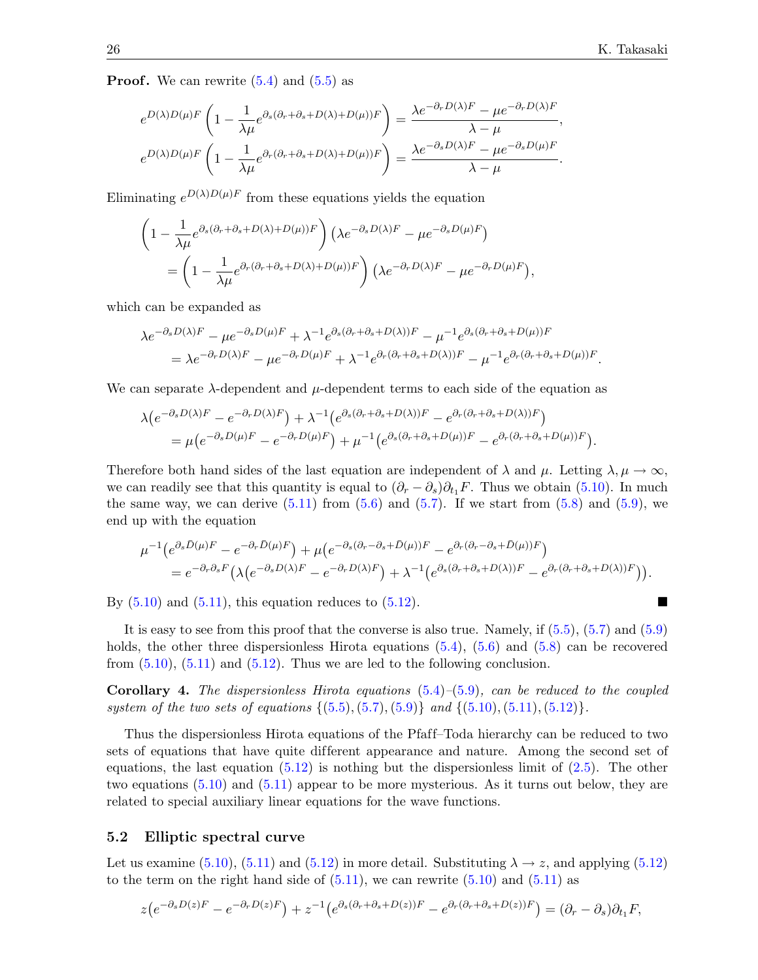**Proof.** We can rewrite  $(5.4)$  and  $(5.5)$  as

$$
e^{D(\lambda)D(\mu)F} \left(1 - \frac{1}{\lambda \mu} e^{\partial_s(\partial_r + \partial_s + D(\lambda) + D(\mu))F}\right) = \frac{\lambda e^{-\partial_r D(\lambda)F} - \mu e^{-\partial_r D(\lambda)F}}{\lambda - \mu},
$$
  

$$
e^{D(\lambda)D(\mu)F} \left(1 - \frac{1}{\lambda \mu} e^{\partial_r(\partial_r + \partial_s + D(\lambda) + D(\mu))F}\right) = \frac{\lambda e^{-\partial_s D(\lambda)F} - \mu e^{-\partial_s D(\mu)F}}{\lambda - \mu}.
$$

Eliminating  $e^{D(\lambda)D(\mu)F}$  from these equations yields the equation

$$
\left(1 - \frac{1}{\lambda \mu} e^{\partial_s(\partial_r + \partial_s + D(\lambda) + D(\mu))F}\right) \left(\lambda e^{-\partial_s D(\lambda)F} - \mu e^{-\partial_s D(\mu)F}\right)
$$
  
= 
$$
\left(1 - \frac{1}{\lambda \mu} e^{\partial_r(\partial_r + \partial_s + D(\lambda) + D(\mu))F}\right) \left(\lambda e^{-\partial_r D(\lambda)F} - \mu e^{-\partial_r D(\mu)F}\right),
$$

which can be expanded as

$$
\lambda e^{-\partial_s D(\lambda)F} - \mu e^{-\partial_s D(\mu)F} + \lambda^{-1} e^{\partial_s (\partial_r + \partial_s + D(\lambda))F} - \mu^{-1} e^{\partial_s (\partial_r + \partial_s + D(\mu))F}
$$
  
= 
$$
\lambda e^{-\partial_r D(\lambda)F} - \mu e^{-\partial_r D(\mu)F} + \lambda^{-1} e^{\partial_r (\partial_r + \partial_s + D(\lambda))F} - \mu^{-1} e^{\partial_r (\partial_r + \partial_s + D(\mu))F}.
$$

We can separate  $\lambda$ -dependent and  $\mu$ -dependent terms to each side of the equation as

$$
\lambda (e^{-\partial_s D(\lambda)F} - e^{-\partial_r D(\lambda)F}) + \lambda^{-1} (e^{\partial_s (\partial_r + \partial_s + D(\lambda))F} - e^{\partial_r (\partial_r + \partial_s + D(\lambda))F})
$$
  
=  $\mu (e^{-\partial_s D(\mu)F} - e^{-\partial_r D(\mu)F}) + \mu^{-1} (e^{\partial_s (\partial_r + \partial_s + D(\mu))F} - e^{\partial_r (\partial_r + \partial_s + D(\mu))F}).$ 

Therefore both hand sides of the last equation are independent of  $\lambda$  and  $\mu$ . Letting  $\lambda, \mu \to \infty$ , we can readily see that this quantity is equal to  $(\partial_r - \partial_s)\partial_{t_1}F$ . Thus we obtain [\(5.10\)](#page-24-6). In much the same way, we can derive  $(5.11)$  from  $(5.6)$  and  $(5.7)$ . If we start from  $(5.8)$  and  $(5.9)$ , we end up with the equation

$$
\mu^{-1} \left( e^{\partial_s \bar{D}(\mu)F} - e^{-\partial_r \bar{D}(\mu)F} \right) + \mu \left( e^{-\partial_s (\partial_r - \partial_s + \bar{D}(\mu))F} - e^{\partial_r (\partial_r - \partial_s + \bar{D}(\mu))F} \right) \n= e^{-\partial_r \partial_s F} \left( \lambda \left( e^{-\partial_s D(\lambda)F} - e^{-\partial_r D(\lambda)F} \right) + \lambda^{-1} \left( e^{\partial_s (\partial_r + \partial_s + D(\lambda))F} - e^{\partial_r (\partial_r + \partial_s + D(\lambda))F} \right) \right).
$$

By  $(5.10)$  and  $(5.11)$ , this equation reduces to  $(5.12)$ .

It is easy to see from this proof that the converse is also true. Namely, if  $(5.5)$ ,  $(5.7)$  and  $(5.9)$ holds, the other three dispersionless Hirota equations  $(5.4)$ ,  $(5.6)$  and  $(5.8)$  can be recovered from  $(5.10)$ ,  $(5.11)$  and  $(5.12)$ . Thus we are led to the following conclusion.

**Corollary 4.** The dispersionless Hirota equations  $(5.4)$ – $(5.9)$ , can be reduced to the coupled system of the two sets of equations  $\{(5.5), (5.7), (5.9)\}$  $\{(5.5), (5.7), (5.9)\}$  $\{(5.5), (5.7), (5.9)\}$  $\{(5.5), (5.7), (5.9)\}$  $\{(5.5), (5.7), (5.9)\}$  and  $\{(5.10), (5.11), (5.12)\}.$  $\{(5.10), (5.11), (5.12)\}.$  $\{(5.10), (5.11), (5.12)\}.$  $\{(5.10), (5.11), (5.12)\}.$  $\{(5.10), (5.11), (5.12)\}.$  $\{(5.10), (5.11), (5.12)\}.$  $\{(5.10), (5.11), (5.12)\}.$ 

Thus the dispersionless Hirota equations of the Pfaff–Toda hierarchy can be reduced to two sets of equations that have quite different appearance and nature. Among the second set of equations, the last equation  $(5.12)$  is nothing but the dispersionless limit of  $(2.5)$ . The other two equations [\(5.10\)](#page-24-6) and [\(5.11\)](#page-24-7) appear to be more mysterious. As it turns out below, they are related to special auxiliary linear equations for the wave functions.

#### 5.2 Elliptic spectral curve

Let us examine [\(5.10\)](#page-24-6), [\(5.11\)](#page-24-7) and [\(5.12\)](#page-24-8) in more detail. Substituting  $\lambda \to z$ , and applying (5.12) to the term on the right hand side of  $(5.11)$ , we can rewrite  $(5.10)$  and  $(5.11)$  as

$$
z(e^{-\partial_s D(z)F} - e^{-\partial_r D(z)F}) + z^{-1}(e^{\partial_s(\partial_r + \partial_s + D(z))F} - e^{\partial_r(\partial_r + \partial_s + D(z))F}) = (\partial_r - \partial_s)\partial_{t_1}F,
$$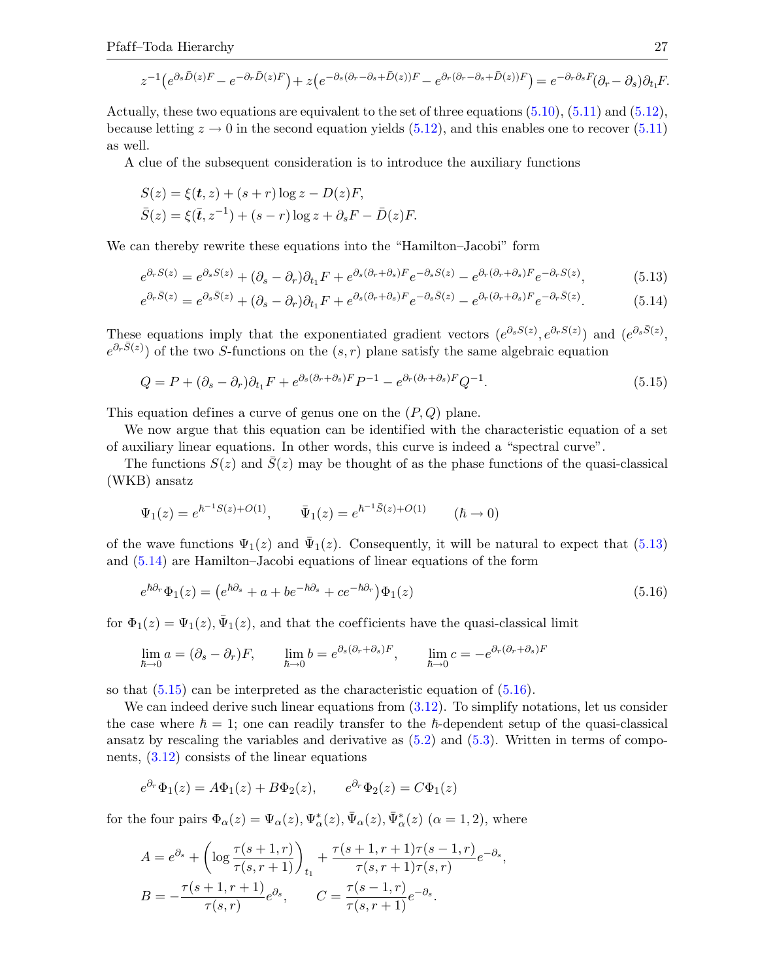$$
z^{-1}(e^{\partial_s \bar{D}(z)F} - e^{-\partial_r \bar{D}(z)F}) + z(e^{-\partial_s(\partial_r - \partial_s + \bar{D}(z))F} - e^{\partial_r(\partial_r - \partial_s + \bar{D}(z))F}) = e^{-\partial_r \partial_s F}(\partial_r - \partial_s)\partial_{t_1}F.
$$

Actually, these two equations are equivalent to the set of three equations  $(5.10)$ ,  $(5.11)$  and  $(5.12)$ , because letting  $z \to 0$  in the second equation yields [\(5.12\)](#page-24-8), and this enables one to recover [\(5.11\)](#page-24-7) as well.

A clue of the subsequent consideration is to introduce the auxiliary functions

$$
S(z) = \xi(t, z) + (s + r) \log z - D(z)F,
$$
  

$$
\bar{S}(z) = \xi(\bar{t}, z^{-1}) + (s - r) \log z + \partial_s F - \bar{D}(z)F.
$$

We can thereby rewrite these equations into the "Hamilton–Jacobi" form

<span id="page-26-0"></span>
$$
e^{\partial_r S(z)} = e^{\partial_s S(z)} + (\partial_s - \partial_r)\partial_{t_1} F + e^{\partial_s(\partial_r + \partial_s)F} e^{-\partial_s S(z)} - e^{\partial_r(\partial_r + \partial_s)F} e^{-\partial_r S(z)},\tag{5.13}
$$

<span id="page-26-1"></span>
$$
e^{\partial_r \bar{S}(z)} = e^{\partial_s \bar{S}(z)} + (\partial_s - \partial_r)\partial_{t_1}F + e^{\partial_s(\partial_r + \partial_s)F}e^{-\partial_s \bar{S}(z)} - e^{\partial_r(\partial_r + \partial_s)F}e^{-\partial_r \bar{S}(z)}.
$$
(5.14)

These equations imply that the exponentiated gradient vectors  $(e^{\partial_s S(z)}, e^{\partial_r S(z)})$  and  $(e^{\partial_s \bar{S}(z)}, e^{\partial_s \bar{S}(z)})$  $e^{\partial_r \bar{S}(z)}$  of the two S-functions on the  $(s, r)$  plane satisfy the same algebraic equation

<span id="page-26-2"></span>
$$
Q = P + (\partial_s - \partial_r)\partial_{t_1}F + e^{\partial_s(\partial_r + \partial_s)F}P^{-1} - e^{\partial_r(\partial_r + \partial_s)F}Q^{-1}.
$$
\n(5.15)

This equation defines a curve of genus one on the  $(P, Q)$  plane.

We now argue that this equation can be identified with the characteristic equation of a set of auxiliary linear equations. In other words, this curve is indeed a "spectral curve".

The functions  $S(z)$  and  $S(z)$  may be thought of as the phase functions of the quasi-classical (WKB) ansatz

$$
\Psi_1(z) = e^{\hbar^{-1}S(z) + O(1)}, \qquad \bar{\Psi}_1(z) = e^{\hbar^{-1}\bar{S}(z) + O(1)} \qquad (\hbar \to 0)
$$

of the wave functions  $\Psi_1(z)$  and  $\bar{\Psi}_1(z)$ . Consequently, it will be natural to expect that [\(5.13\)](#page-26-0) and [\(5.14\)](#page-26-1) are Hamilton–Jacobi equations of linear equations of the form

<span id="page-26-3"></span>
$$
e^{\hbar \partial_r} \Phi_1(z) = \left( e^{\hbar \partial_s} + a + b e^{-\hbar \partial_s} + c e^{-\hbar \partial_r} \right) \Phi_1(z) \tag{5.16}
$$

for  $\Phi_1(z) = \Psi_1(z), \bar{\Psi}_1(z)$ , and that the coefficients have the quasi-classical limit

$$
\lim_{\hbar \to 0} a = (\partial_s - \partial_r) F, \qquad \lim_{\hbar \to 0} b = e^{\partial_s (\partial_r + \partial_s) F}, \qquad \lim_{\hbar \to 0} c = -e^{\partial_r (\partial_r + \partial_s) F}
$$

so that [\(5.15\)](#page-26-2) can be interpreted as the characteristic equation of [\(5.16\)](#page-26-3).

We can indeed derive such linear equations from  $(3.12)$ . To simplify notations, let us consider the case where  $\hbar = 1$ ; one can readily transfer to the  $\hbar$ -dependent setup of the quasi-classical ansatz by rescaling the variables and derivative as  $(5.2)$  and  $(5.3)$ . Written in terms of components, [\(3.12\)](#page-15-3) consists of the linear equations

$$
e^{\partial_r} \Phi_1(z) = A \Phi_1(z) + B \Phi_2(z), \qquad e^{\partial_r} \Phi_2(z) = C \Phi_1(z)
$$

for the four pairs  $\Phi_{\alpha}(z) = \Psi_{\alpha}(z), \Psi_{\alpha}^{*}(z), \bar{\Psi}_{\alpha}(z), \bar{\Psi}_{\alpha}^{*}(z)$   $(\alpha = 1, 2)$ , where

$$
A = e^{\partial_s} + \left(\log \frac{\tau(s+1,r)}{\tau(s,r+1)}\right)_{t_1} + \frac{\tau(s+1,r+1)\tau(s-1,r)}{\tau(s,r+1)\tau(s,r)}e^{-\partial_s},
$$
  

$$
B = -\frac{\tau(s+1,r+1)}{\tau(s,r)}e^{\partial_s}, \qquad C = \frac{\tau(s-1,r)}{\tau(s,r+1)}e^{-\partial_s}.
$$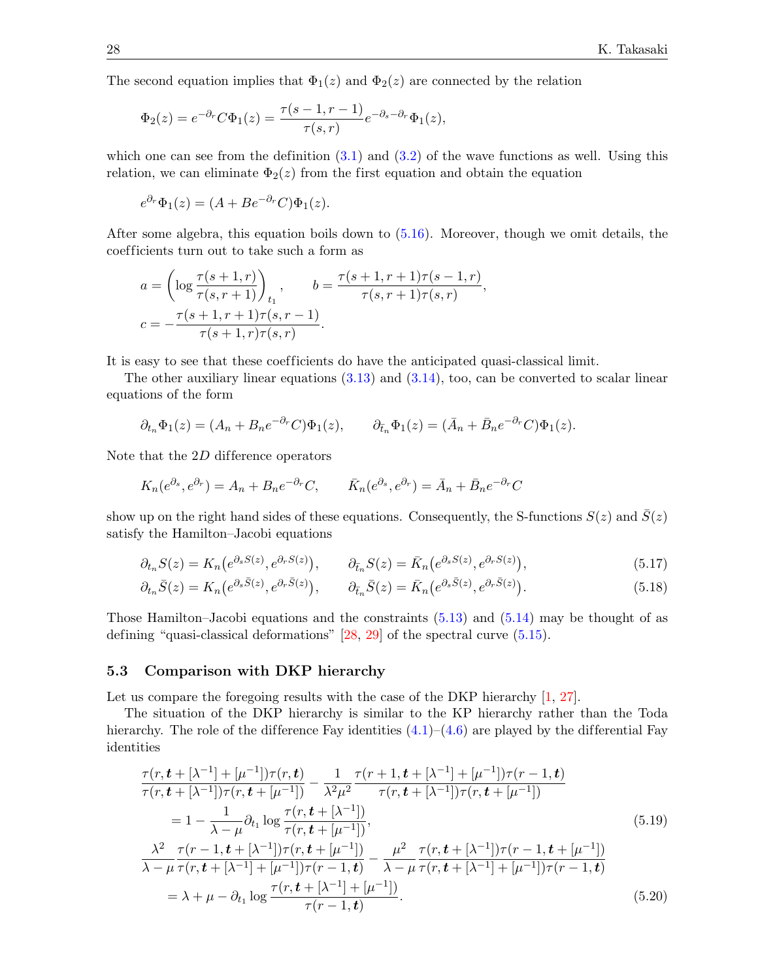The second equation implies that  $\Phi_1(z)$  and  $\Phi_2(z)$  are connected by the relation

$$
\Phi_2(z) = e^{-\partial_r} C \Phi_1(z) = \frac{\tau(s-1, r-1)}{\tau(s, r)} e^{-\partial_s - \partial_r} \Phi_1(z),
$$

which one can see from the definition  $(3.1)$  and  $(3.2)$  of the wave functions as well. Using this relation, we can eliminate  $\Phi_2(z)$  from the first equation and obtain the equation

$$
e^{\partial_r} \Phi_1(z) = (A + Be^{-\partial_r} C) \Phi_1(z).
$$

After some algebra, this equation boils down to  $(5.16)$ . Moreover, though we omit details, the coef ficients turn out to take such a form as

$$
a = \left(\log \frac{\tau(s+1,r)}{\tau(s,r+1)}\right)_{t_1}, \qquad b = \frac{\tau(s+1,r+1)\tau(s-1,r)}{\tau(s,r+1)\tau(s,r)},
$$

$$
c = -\frac{\tau(s+1,r+1)\tau(s,r-1)}{\tau(s+1,r)\tau(s,r)}.
$$

It is easy to see that these coefficients do have the anticipated quasi-classical limit.

The other auxiliary linear equations  $(3.13)$  and  $(3.14)$ , too, can be converted to scalar linear equations of the form

$$
\partial_{t_n} \Phi_1(z) = (A_n + B_n e^{-\partial_r} C) \Phi_1(z), \qquad \partial_{\bar{t}_n} \Phi_1(z) = (\bar{A}_n + \bar{B}_n e^{-\partial_r} C) \Phi_1(z).
$$

Note that the 2D difference operators

$$
K_n(e^{\partial_s}, e^{\partial_r}) = A_n + B_n e^{-\partial_r} C, \qquad \bar{K}_n(e^{\partial_s}, e^{\partial_r}) = \bar{A}_n + \bar{B}_n e^{-\partial_r} C
$$

show up on the right hand sides of these equations. Consequently, the S-functions  $S(z)$  and  $\overline{S}(z)$ satisfy the Hamilton–Jacobi equations

<span id="page-27-0"></span>
$$
\partial_{t_n} S(z) = K_n(e^{\partial_s S(z)}, e^{\partial_r S(z)}), \qquad \partial_{\bar{t}_n} S(z) = \bar{K}_n(e^{\partial_s S(z)}, e^{\partial_r S(z)}), \tag{5.17}
$$

<span id="page-27-1"></span>
$$
\partial_{t_n}\bar{S}(z) = K_n(e^{\partial_s\bar{S}(z)}, e^{\partial_r\bar{S}(z)}), \qquad \partial_{\bar{t}_n}\bar{S}(z) = \bar{K}_n(e^{\partial_s\bar{S}(z)}, e^{\partial_r\bar{S}(z)}).
$$
\n(5.18)

Those Hamilton–Jacobi equations and the constraints [\(5.13\)](#page-26-0) and [\(5.14\)](#page-26-1) may be thought of as defining "quasi-classical deformations" [\[28,](#page-33-20) [29\]](#page-33-21) of the spectral curve [\(5.15\)](#page-26-2).

#### 5.3 Comparison with DKP hierarchy

Let us compare the foregoing results with the case of the DKP hierarchy  $\left[1, 27\right]$  $\left[1, 27\right]$  $\left[1, 27\right]$ .

The situation of the DKP hierarchy is similar to the KP hierarchy rather than the Toda hierarchy. The role of the difference Fay identities  $(4.1)$ – $(4.6)$  are played by the differential Fay identities

<span id="page-27-3"></span><span id="page-27-2"></span>
$$
\frac{\tau(r, t + [\lambda^{-1}] + [\mu^{-1}])\tau(r, t)}{\tau(r, t + [\lambda^{-1}])\tau(r, t + [\mu^{-1}])} - \frac{1}{\lambda^2 \mu^2} \frac{\tau(r + 1, t + [\lambda^{-1}] + [\mu^{-1}])\tau(r - 1, t)}{\tau(r, t + [\lambda^{-1}])\tau(r, t + [\mu^{-1}])}
$$
\n
$$
= 1 - \frac{1}{\lambda - \mu} \partial_{t_1} \log \frac{\tau(r, t + [\lambda^{-1}])}{\tau(r, t + [\mu^{-1}])},
$$
\n
$$
\frac{\lambda^2}{\lambda - \mu} \frac{\tau(r - 1, t + [\lambda^{-1}])\tau(r, t + [\mu^{-1}])}{\tau(r, t + [\lambda^{-1}] + [\mu^{-1}])\tau(r - 1, t)} - \frac{\mu^2}{\lambda - \mu} \frac{\tau(r, t + [\lambda^{-1}])\tau(r - 1, t + [\mu^{-1}])}{\tau(r, t + [\lambda^{-1}] + [\mu^{-1}])\tau(r - 1, t)}
$$
\n
$$
= \lambda + \mu - \partial_{t_1} \log \frac{\tau(r, t + [\lambda^{-1}] + [\mu^{-1}])}{\tau(r - 1, t)}.
$$
\n(5.20)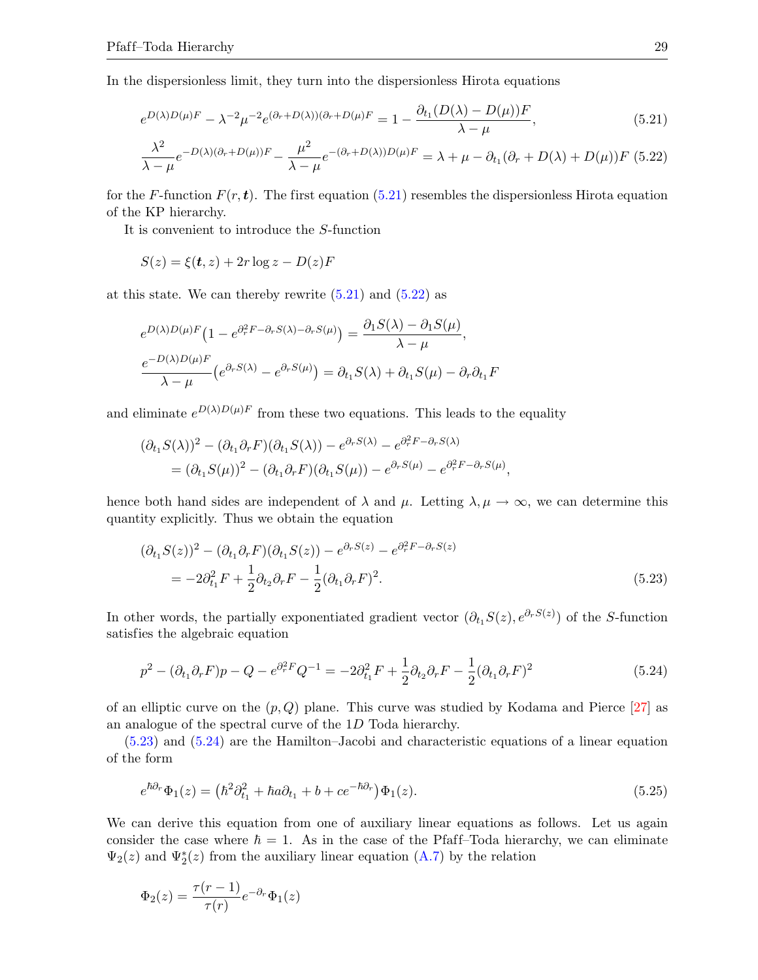In the dispersionless limit, they turn into the dispersionless Hirota equations

$$
e^{D(\lambda)D(\mu)F} - \lambda^{-2}\mu^{-2}e^{(\partial_r + D(\lambda))(\partial_r + D(\mu)F)} = 1 - \frac{\partial_{t_1}(D(\lambda) - D(\mu))F}{\lambda - \mu},\tag{5.21}
$$

<span id="page-28-1"></span><span id="page-28-0"></span>
$$
\frac{\lambda^2}{\lambda - \mu} e^{-D(\lambda)(\partial_r + D(\mu))F} - \frac{\mu^2}{\lambda - \mu} e^{-(\partial_r + D(\lambda))D(\mu)F} = \lambda + \mu - \partial_{t_1}(\partial_r + D(\lambda) + D(\mu))F
$$
(5.22)

for the F-function  $F(r, t)$ . The first equation [\(5.21\)](#page-28-0) resembles the dispersionless Hirota equation of the KP hierarchy.

It is convenient to introduce the S-function

$$
S(z) = \xi(t, z) + 2r \log z - D(z)F
$$

at this state. We can thereby rewrite  $(5.21)$  and  $(5.22)$  as

$$
e^{D(\lambda)D(\mu)F} (1 - e^{\partial_r^2 F - \partial_r S(\lambda) - \partial_r S(\mu)}) = \frac{\partial_1 S(\lambda) - \partial_1 S(\mu)}{\lambda - \mu},
$$
  

$$
\frac{e^{-D(\lambda)D(\mu)F}}{\lambda - \mu} (e^{\partial_r S(\lambda)} - e^{\partial_r S(\mu)}) = \partial_{t_1} S(\lambda) + \partial_{t_1} S(\mu) - \partial_r \partial_{t_1} F
$$

and eliminate  $e^{D(\lambda)D(\mu)F}$  from these two equations. This leads to the equality

$$
(\partial_{t_1} S(\lambda))^2 - (\partial_{t_1} \partial_r F)(\partial_{t_1} S(\lambda)) - e^{\partial_r S(\lambda)} - e^{\partial_r^2 F - \partial_r S(\lambda)}
$$
  
= 
$$
(\partial_{t_1} S(\mu))^2 - (\partial_{t_1} \partial_r F)(\partial_{t_1} S(\mu)) - e^{\partial_r S(\mu)} - e^{\partial_r^2 F - \partial_r S(\mu)},
$$

hence both hand sides are independent of  $\lambda$  and  $\mu$ . Letting  $\lambda, \mu \to \infty$ , we can determine this quantity explicitly. Thus we obtain the equation

<span id="page-28-2"></span>
$$
(\partial_{t_1} S(z))^2 - (\partial_{t_1} \partial_r F)(\partial_{t_1} S(z)) - e^{\partial_r S(z)} - e^{\partial_r^2 F - \partial_r S(z)}
$$
  
= 
$$
-2\partial_{t_1}^2 F + \frac{1}{2}\partial_{t_2}\partial_r F - \frac{1}{2}(\partial_{t_1}\partial_r F)^2.
$$
 (5.23)

In other words, the partially exponentiated gradient vector  $(\partial_{t_1}S(z), e^{\partial_rS(z)})$  of the S-function satisfies the algebraic equation

<span id="page-28-3"></span>
$$
p^{2} - (\partial_{t_{1}} \partial_{r} F)p - Q - e^{\partial_{r}^{2} F} Q^{-1} = -2\partial_{t_{1}}^{2} F + \frac{1}{2} \partial_{t_{2}} \partial_{r} F - \frac{1}{2} (\partial_{t_{1}} \partial_{r} F)^{2}
$$
(5.24)

of an elliptic curve on the  $(p, Q)$  plane. This curve was studied by Kodama and Pierce [\[27\]](#page-33-19) as an analogue of the spectral curve of the 1D Toda hierarchy.

[\(5.23\)](#page-28-2) and [\(5.24\)](#page-28-3) are the Hamilton–Jacobi and characteristic equations of a linear equation of the form

<span id="page-28-4"></span>
$$
e^{\hbar \partial_r} \Phi_1(z) = \left(\hbar^2 \partial_{t_1}^2 + \hbar a \partial_{t_1} + b + c e^{-\hbar \partial_r}\right) \Phi_1(z). \tag{5.25}
$$

We can derive this equation from one of auxiliary linear equations as follows. Let us again consider the case where  $\hbar = 1$ . As in the case of the Pfaff-Toda hierarchy, we can eliminate  $\Psi_2(z)$  and  $\Psi_2^*(z)$  from the auxiliary linear equation [\(A.7\)](#page-32-7) by the relation

$$
\Phi_2(z) = \frac{\tau(r-1)}{\tau(r)} e^{-\partial_r} \Phi_1(z)
$$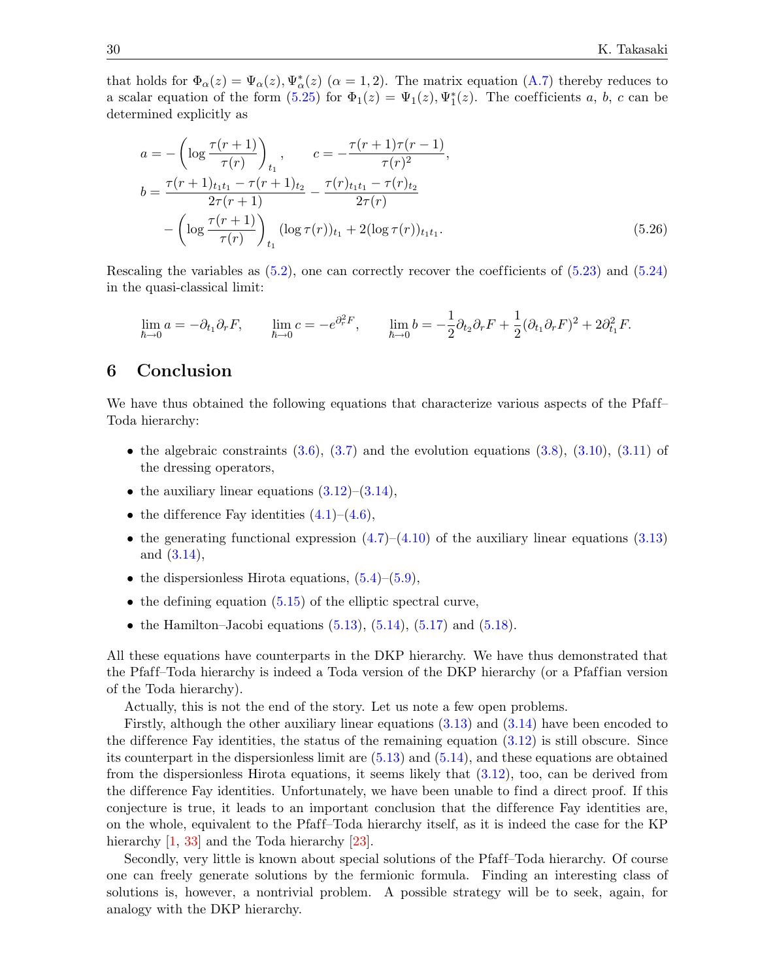that holds for  $\Phi_{\alpha}(z) = \Psi_{\alpha}(z), \Psi_{\alpha}^{*}(z)$  ( $\alpha = 1, 2$ ). The matrix equation [\(A.7\)](#page-32-7) thereby reduces to a scalar equation of the form  $(5.25)$  for  $\Phi_1(z) = \Psi_1(z), \Psi_1^*(z)$ . The coefficients a, b, c can be determined explicitly as

<span id="page-29-0"></span>
$$
a = -\left(\log \frac{\tau(r+1)}{\tau(r)}\right)_{t_1}, \qquad c = -\frac{\tau(r+1)\tau(r-1)}{\tau(r)^2},
$$
  
\n
$$
b = \frac{\tau(r+1)_{t_1t_1} - \tau(r+1)_{t_2}}{2\tau(r+1)} - \frac{\tau(r)_{t_1t_1} - \tau(r)_{t_2}}{2\tau(r)} - \left(\log \frac{\tau(r+1)}{\tau(r)}\right)_{t_1} (\log \tau(r))_{t_1} + 2(\log \tau(r))_{t_1t_1}.
$$
\n(5.26)

Rescaling the variables as  $(5.2)$ , one can correctly recover the coefficients of  $(5.23)$  and  $(5.24)$ in the quasi-classical limit:

$$
\lim_{\hbar \to 0} a = -\partial_{t_1} \partial_r F, \qquad \lim_{\hbar \to 0} c = -e^{\partial_r^2 F}, \qquad \lim_{\hbar \to 0} b = -\frac{1}{2} \partial_{t_2} \partial_r F + \frac{1}{2} (\partial_{t_1} \partial_r F)^2 + 2\partial_{t_1}^2 F.
$$

## 6 Conclusion

We have thus obtained the following equations that characterize various aspects of the Pfaff– Toda hierarchy:

- the algebraic constraints  $(3.6)$ ,  $(3.7)$  and the evolution equations  $(3.8)$ ,  $(3.10)$ ,  $(3.11)$  of the dressing operators,
- the auxiliary linear equations  $(3.12)$ – $(3.14)$ ,
- the difference Fay identities  $(4.1)$ – $(4.6)$ ,
- the generating functional expression  $(4.7)$ – $(4.10)$  of the auxiliary linear equations  $(3.13)$ and [\(3.14\)](#page-15-2),
- the dispersionless Hirota equations,  $(5.4)$ – $(5.9)$ ,
- the defining equation  $(5.15)$  of the elliptic spectral curve,
- the Hamilton–Jacobi equations  $(5.13)$ ,  $(5.14)$ ,  $(5.17)$  and  $(5.18)$ .

All these equations have counterparts in the DKP hierarchy. We have thus demonstrated that the Pfaff–Toda hierarchy is indeed a Toda version of the DKP hierarchy (or a Pfaffian version of the Toda hierarchy).

Actually, this is not the end of the story. Let us note a few open problems.

Firstly, although the other auxiliary linear equations [\(3.13\)](#page-15-1) and [\(3.14\)](#page-15-2) have been encoded to the difference Fay identities, the status of the remaining equation  $(3.12)$  is still obscure. Since its counterpart in the dispersionless limit are [\(5.13\)](#page-26-0) and [\(5.14\)](#page-26-1), and these equations are obtained from the dispersionless Hirota equations, it seems likely that [\(3.12\)](#page-15-3), too, can be derived from the dif ference Fay identities. Unfortunately, we have been unable to find a direct proof. If this conjecture is true, it leads to an important conclusion that the dif ference Fay identities are, on the whole, equivalent to the Pfaff-Toda hierarchy itself, as it is indeed the case for the KP hierarchy [\[1,](#page-32-0) [33\]](#page-33-25) and the Toda hierarchy [\[23\]](#page-33-15).

Secondly, very little is known about special solutions of the Pfaff–Toda hierarchy. Of course one can freely generate solutions by the fermionic formula. Finding an interesting class of solutions is, however, a nontrivial problem. A possible strategy will be to seek, again, for analogy with the DKP hierarchy.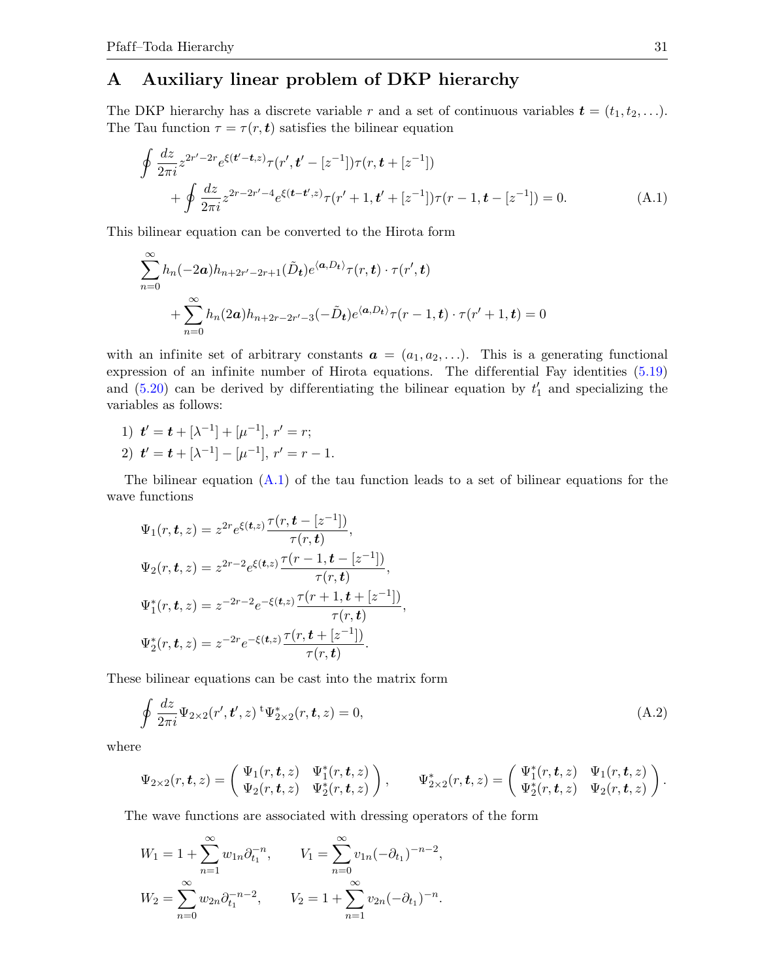# A Auxiliary linear problem of DKP hierarchy

The DKP hierarchy has a discrete variable r and a set of continuous variables  $\mathbf{t} = (t_1, t_2, \ldots)$ . The Tau function  $\tau = \tau(r, t)$  satisfies the bilinear equation

$$
\oint \frac{dz}{2\pi i} z^{2r'-2r} e^{\xi(t'-t,z)} \tau(r',t'-[z^{-1}])\tau(r,t+[z^{-1}]) \n+ \oint \frac{dz}{2\pi i} z^{2r-2r'-4} e^{\xi(t-t',z)} \tau(r'+1,t+[z^{-1}])\tau(r-1,t-[z^{-1}]) = 0.
$$
\n(A.1)

This bilinear equation can be converted to the Hirota form

$$
\sum_{n=0}^{\infty} h_n(-2a)h_{n+2r'-2r+1}(\tilde{D}_t)e^{\langle a,D_t\rangle}\tau(r,t)\cdot \tau(r',t)
$$

$$
+\sum_{n=0}^{\infty} h_n(2a)h_{n+2r-2r'-3}(-\tilde{D}_t)e^{\langle a,D_t\rangle}\tau(r-1,t)\cdot \tau(r'+1,t)=0
$$

with an infinite set of arbitrary constants  $a = (a_1, a_2, \ldots)$ . This is a generating functional expression of an infinite number of Hirota equations. The differential Fay identities [\(5.19\)](#page-27-2) and  $(5.20)$  can be derived by differentiating the bilinear equation by  $t_1$  and specializing the variables as follows:

- 1)  $t' = t + [\lambda^{-1}] + [\mu^{-1}], r' = r;$
- 2)  $t' = t + [\lambda^{-1}] [\mu^{-1}], r' = r 1.$

The bilinear equation  $(A.1)$  of the tau function leads to a set of bilinear equations for the wave functions

$$
\Psi_1(r, \mathbf{t}, z) = z^{2r} e^{\xi(\mathbf{t}, z)} \frac{\tau(r, \mathbf{t} - [z^{-1}])}{\tau(r, \mathbf{t})},
$$
\n
$$
\Psi_2(r, \mathbf{t}, z) = z^{2r-2} e^{\xi(\mathbf{t}, z)} \frac{\tau(r-1, \mathbf{t} - [z^{-1}])}{\tau(r, \mathbf{t})},
$$
\n
$$
\Psi_1^*(r, \mathbf{t}, z) = z^{-2r-2} e^{-\xi(\mathbf{t}, z)} \frac{\tau(r+1, \mathbf{t} + [z^{-1}])}{\tau(r, \mathbf{t})},
$$
\n
$$
\Psi_2^*(r, \mathbf{t}, z) = z^{-2r} e^{-\xi(\mathbf{t}, z)} \frac{\tau(r, \mathbf{t} + [z^{-1}])}{\tau(r, \mathbf{t})}.
$$

These bilinear equations can be cast into the matrix form

$$
\oint \frac{dz}{2\pi i} \Psi_{2\times 2}(r', t', z) \, ^t\Psi_{2\times 2}^*(r, t, z) = 0,\tag{A.2}
$$

<span id="page-30-1"></span><span id="page-30-0"></span>,

where

$$
\Psi_{2\times 2}(r,\boldsymbol{t},z)=\left(\begin{array}{cc}\Psi_1(r,\boldsymbol{t},z)&\Psi_1^*(r,\boldsymbol{t},z)\\ \Psi_2(r,\boldsymbol{t},z)&\Psi_2^*(r,\boldsymbol{t},z)\end{array}\right),\qquad \Psi_{2\times 2}^*(r,\boldsymbol{t},z)=\left(\begin{array}{cc}\Psi_1^*(r,\boldsymbol{t},z)&\Psi_1(r,\boldsymbol{t},z)\\ \Psi_2^*(r,\boldsymbol{t},z)&\Psi_2(r,\boldsymbol{t},z)\end{array}\right).
$$

The wave functions are associated with dressing operators of the form

$$
W_1 = 1 + \sum_{n=1}^{\infty} w_{1n} \partial_{t_1}^{-n}, \qquad V_1 = \sum_{n=0}^{\infty} v_{1n} (-\partial_{t_1})^{-n-2},
$$
  

$$
W_2 = \sum_{n=0}^{\infty} w_{2n} \partial_{t_1}^{-n-2}, \qquad V_2 = 1 + \sum_{n=1}^{\infty} v_{2n} (-\partial_{t_1})^{-n}.
$$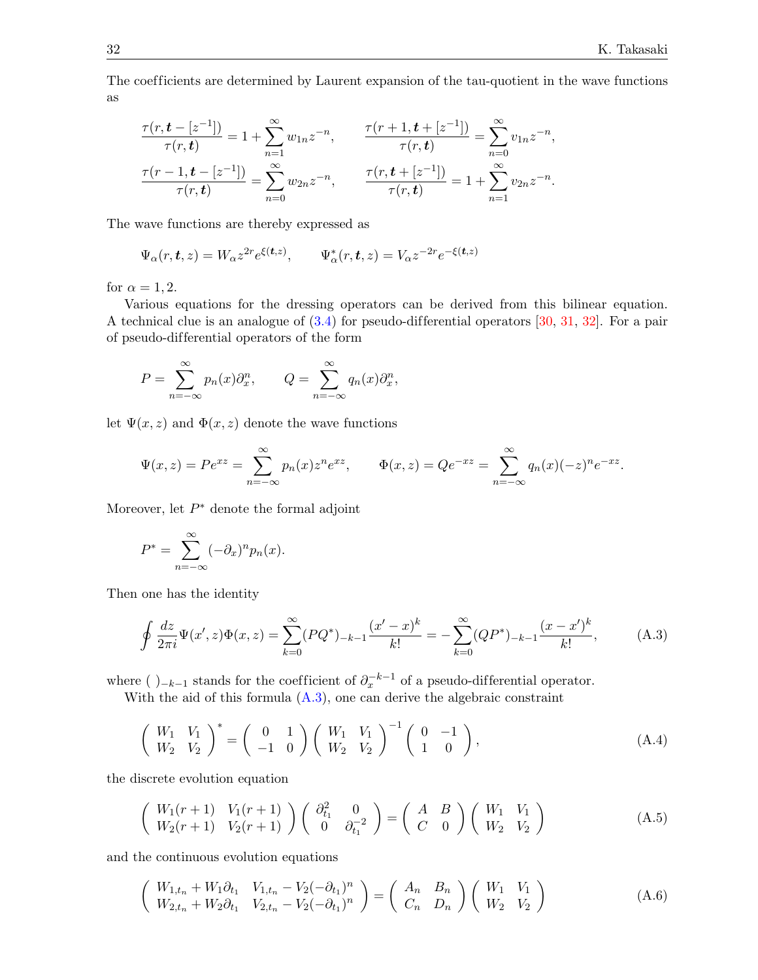The coefficients are determined by Laurent expansion of the tau-quotient in the wave functions as

$$
\frac{\tau(r, \mathbf{t} - [z^{-1}])}{\tau(r, \mathbf{t})} = 1 + \sum_{n=1}^{\infty} w_{1n} z^{-n}, \qquad \frac{\tau(r+1, \mathbf{t} + [z^{-1}])}{\tau(r, \mathbf{t})} = \sum_{n=0}^{\infty} v_{1n} z^{-n},
$$

$$
\frac{\tau(r-1, \mathbf{t} - [z^{-1}])}{\tau(r, \mathbf{t})} = \sum_{n=0}^{\infty} w_{2n} z^{-n}, \qquad \frac{\tau(r, \mathbf{t} + [z^{-1}])}{\tau(r, \mathbf{t})} = 1 + \sum_{n=1}^{\infty} v_{2n} z^{-n}.
$$

The wave functions are thereby expressed as

$$
\Psi_{\alpha}(r, \mathbf{t}, z) = W_{\alpha} z^{2r} e^{\xi(\mathbf{t}, z)}, \qquad \Psi_{\alpha}^{*}(r, \mathbf{t}, z) = V_{\alpha} z^{-2r} e^{-\xi(\mathbf{t}, z)}
$$

for  $\alpha = 1, 2$ .

Various equations for the dressing operators can be derived from this bilinear equation. A technical clue is an analogue of  $(3.4)$  for pseudo-differential operators  $[30, 31, 32]$  $[30, 31, 32]$  $[30, 31, 32]$  $[30, 31, 32]$  $[30, 31, 32]$ . For a pair of pseudo-dif ferential operators of the form

$$
P = \sum_{n=-\infty}^{\infty} p_n(x) \partial_x^n, \qquad Q = \sum_{n=-\infty}^{\infty} q_n(x) \partial_x^n,
$$

let  $\Psi(x, z)$  and  $\Phi(x, z)$  denote the wave functions

$$
\Psi(x, z) = Pe^{xz} = \sum_{n=-\infty}^{\infty} p_n(x) z^n e^{xz}, \qquad \Phi(x, z) = Qe^{-xz} = \sum_{n=-\infty}^{\infty} q_n(x) (-z)^n e^{-xz}.
$$

Moreover, let  $P^*$  denote the formal adjoint

$$
P^* = \sum_{n=-\infty}^{\infty} (-\partial_x)^n p_n(x).
$$

Then one has the identity

<span id="page-31-0"></span>
$$
\oint \frac{dz}{2\pi i} \Psi(x', z) \Phi(x, z) = \sum_{k=0}^{\infty} (PQ^*)_{-k-1} \frac{(x'-x)^k}{k!} = -\sum_{k=0}^{\infty} (QP^*)_{-k-1} \frac{(x-x')^k}{k!},
$$
(A.3)

where ( )<sub>-k-1</sub> stands for the coefficient of  $\partial_x^{-k-1}$  of a pseudo-differential operator.

With the aid of this formula  $(A.3)$ , one can derive the algebraic constraint

<span id="page-31-1"></span>
$$
\left(\begin{array}{cc} W_1 & V_1 \\ W_2 & V_2 \end{array}\right)^* = \left(\begin{array}{cc} 0 & 1 \\ -1 & 0 \end{array}\right) \left(\begin{array}{cc} W_1 & V_1 \\ W_2 & V_2 \end{array}\right)^{-1} \left(\begin{array}{cc} 0 & -1 \\ 1 & 0 \end{array}\right),\tag{A.4}
$$

the discrete evolution equation

<span id="page-31-2"></span>
$$
\begin{pmatrix}\nW_1(r+1) & V_1(r+1) \\
W_2(r+1) & V_2(r+1)\n\end{pmatrix}\n\begin{pmatrix}\n\partial_{t_1}^2 & 0 \\
0 & \partial_{t_1}^{-2}\n\end{pmatrix} =\n\begin{pmatrix}\nA & B \\
C & 0\n\end{pmatrix}\n\begin{pmatrix}\nW_1 & V_1 \\
W_2 & V_2\n\end{pmatrix}
$$
\n(A.5)

and the continuous evolution equations

<span id="page-31-3"></span>
$$
\begin{pmatrix}\nW_{1,t_n} + W_1 \partial_{t_1} & V_{1,t_n} - V_2(-\partial_{t_1})^n \\
W_{2,t_n} + W_2 \partial_{t_1} & V_{2,t_n} - V_2(-\partial_{t_1})^n\n\end{pmatrix} = \begin{pmatrix}\nA_n & B_n \\
C_n & D_n\n\end{pmatrix} \begin{pmatrix}\nW_1 & V_1 \\
W_2 & V_2\n\end{pmatrix}
$$
\n(A.6)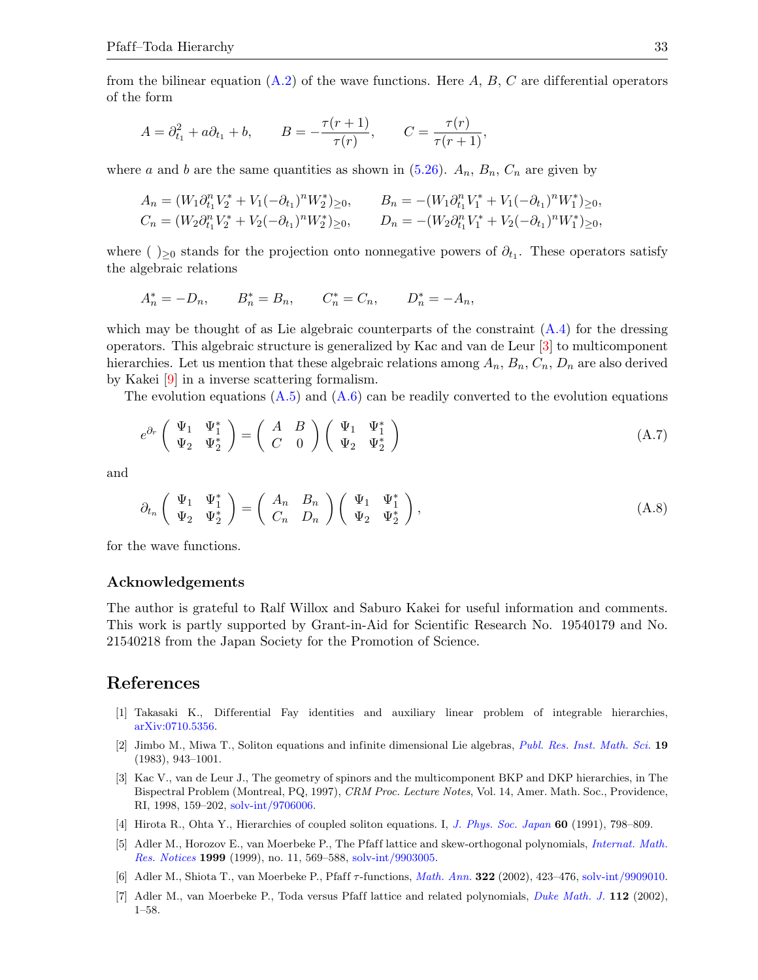from the bilinear equation  $(A.2)$  of the wave functions. Here  $A, B, C$  are differential operators of the form

$$
A = \partial_{t_1}^2 + a\partial_{t_1} + b
$$
,  $B = -\frac{\tau(r+1)}{\tau(r)}$ ,  $C = \frac{\tau(r)}{\tau(r+1)}$ ,

where a and b are the same quantities as shown in  $(5.26)$ .  $A_n$ ,  $B_n$ ,  $C_n$  are given by

$$
A_n = (W_1 \partial_{t_1}^n V_2^* + V_1(-\partial_{t_1})^n W_2^*)_{\geq 0}, \qquad B_n = -(W_1 \partial_{t_1}^n V_1^* + V_1(-\partial_{t_1})^n W_1^*)_{\geq 0},
$$
  
\n
$$
C_n = (W_2 \partial_{t_1}^n V_2^* + V_2(-\partial_{t_1})^n W_2^*)_{\geq 0}, \qquad D_n = -(W_2 \partial_{t_1}^n V_1^* + V_2(-\partial_{t_1})^n W_1^*)_{\geq 0},
$$

where ( $\rangle_{\geq 0}$  stands for the projection onto nonnegative powers of  $\partial_{t_1}$ . These operators satisfy the algebraic relations

$$
A_n^* = -D_n, \qquad B_n^* = B_n, \qquad C_n^* = C_n, \qquad D_n^* = -A_n,
$$

which may be thought of as Lie algebraic counterparts of the constraint  $(A.4)$  for the dressing operators. This algebraic structure is generalized by Kac and van de Leur [\[3\]](#page-32-2) to multicomponent hierarchies. Let us mention that these algebraic relations among  $A_n$ ,  $B_n$ ,  $C_n$ ,  $D_n$  are also derived by Kakei [\[9\]](#page-33-1) in a inverse scattering formalism.

The evolution equations  $(A.5)$  and  $(A.6)$  can be readily converted to the evolution equations

<span id="page-32-7"></span>
$$
e^{\partial_r} \begin{pmatrix} \Psi_1 & \Psi_1^* \\ \Psi_2 & \Psi_2^* \end{pmatrix} = \begin{pmatrix} A & B \\ C & 0 \end{pmatrix} \begin{pmatrix} \Psi_1 & \Psi_1^* \\ \Psi_2 & \Psi_2^* \end{pmatrix}
$$
 (A.7)

and

$$
\partial_{t_n} \left( \begin{array}{cc} \Psi_1 & \Psi_1^* \\ \Psi_2 & \Psi_2^* \end{array} \right) = \left( \begin{array}{cc} A_n & B_n \\ C_n & D_n \end{array} \right) \left( \begin{array}{cc} \Psi_1 & \Psi_1^* \\ \Psi_2 & \Psi_2^* \end{array} \right),\tag{A.8}
$$

for the wave functions.

#### Acknowledgements

The author is grateful to Ralf Willox and Saburo Kakei for useful information and comments. This work is partly supported by Grant-in-Aid for Scientific Research No. 19540179 and No. 21540218 from the Japan Society for the Promotion of Science.

## References

- <span id="page-32-0"></span>[1] Takasaki K., Differential Fay identities and auxiliary linear problem of integrable hierarchies, [arXiv:0710.5356.](http://arxiv.org/abs/0710.5356)
- <span id="page-32-1"></span>[2] Jimbo M., Miwa T., Soliton equations and infinite dimensional Lie algebras, [Publ. Res. Inst. Math. Sci.](http://dx.doi.org/10.2977/prims/1195182017) 19 (1983), 943–1001.
- <span id="page-32-2"></span>[3] Kac V., van de Leur J., The geometry of spinors and the multicomponent BKP and DKP hierarchies, in The Bispectral Problem (Montreal, PQ, 1997), CRM Proc. Lecture Notes, Vol. 14, Amer. Math. Soc., Providence, RI, 1998, 159–202, [solv-int/9706006.](http://arxiv.org/abs/solv-int/9706006)
- <span id="page-32-3"></span>[4] Hirota R., Ohta Y., Hierarchies of coupled soliton equations. I, [J. Phys. Soc. Japan](http://dx.doi.org/10.1143/JPSJ.60.798) 60 (1991), 798–809.
- <span id="page-32-4"></span>[5] Adler M., Horozov E., van Moerbeke P., The Pfaff lattice and skew-orthogonal polynomials, [Internat. Math.](http://dx.doi.org/10.1155/S107379289900029X) [Res. Notices](http://dx.doi.org/10.1155/S107379289900029X) 1999 (1999), no. 11, 569–588, [solv-int/9903005.](http://arxiv.org/abs/solv-int/9903005)
- <span id="page-32-5"></span>[6] Adler M., Shiota T., van Moerbeke P., Pfaff  $\tau$ -functions, *[Math. Ann.](http://dx.doi.org/10.1007/s002080200000)* **322** (2002), 423–476, [solv-int/9909010.](http://arxiv.org/abs/solv-int/9909010)
- <span id="page-32-6"></span>[7] Adler M., van Moerbeke P., Toda versus Pfaff lattice and related polynomials, [Duke Math. J.](http://dx.doi.org/10.1215/S0012-9074-02-11211-3) 112 (2002), 1–58.